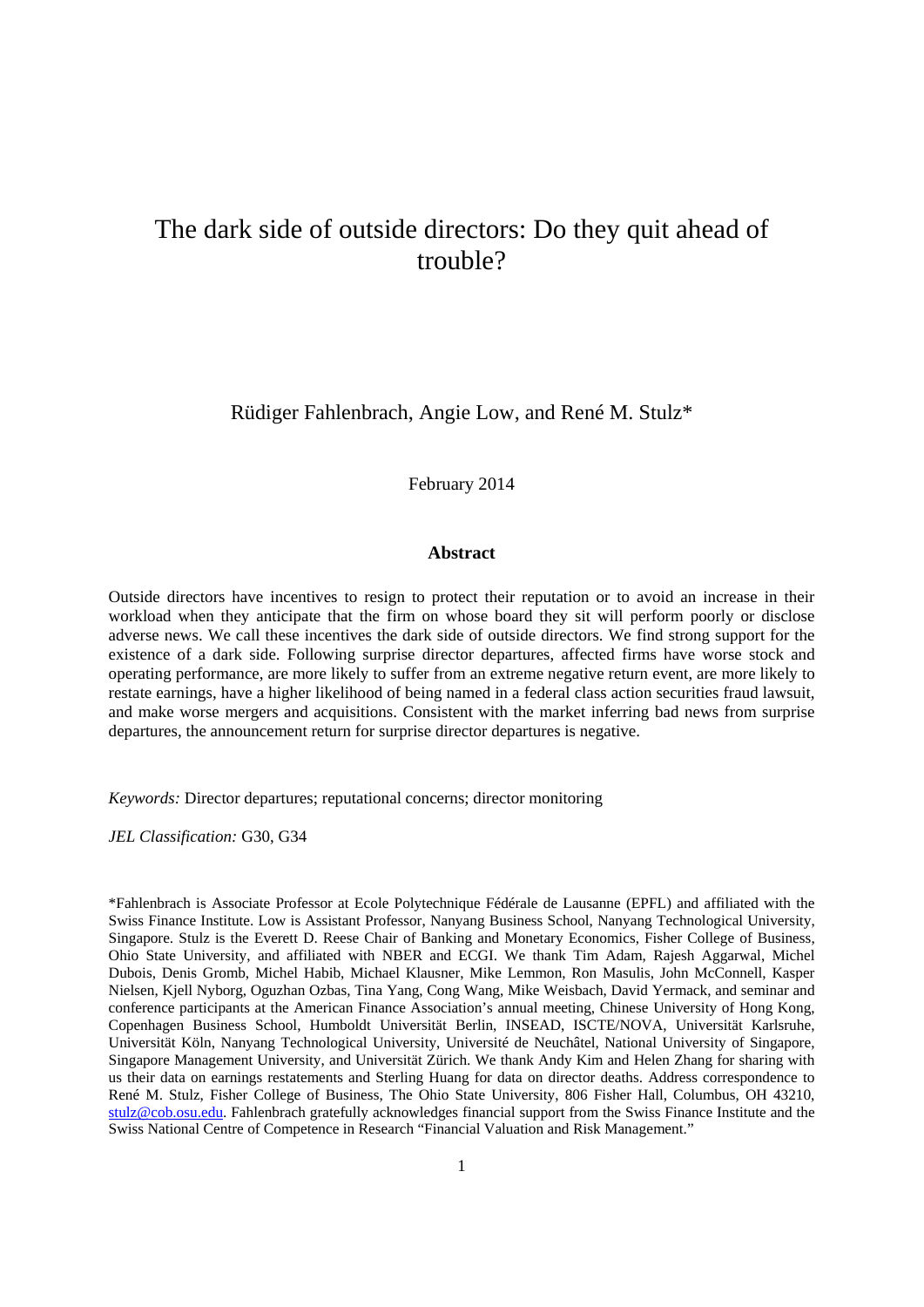# The dark side of outside directors: Do they quit ahead of trouble?

Rüdiger Fahlenbrach, Angie Low, and René M. Stulz\*

February 2014

# **Abstract**

Outside directors have incentives to resign to protect their reputation or to avoid an increase in their workload when they anticipate that the firm on whose board they sit will perform poorly or disclose adverse news. We call these incentives the dark side of outside directors. We find strong support for the existence of a dark side. Following surprise director departures, affected firms have worse stock and operating performance, are more likely to suffer from an extreme negative return event, are more likely to restate earnings, have a higher likelihood of being named in a federal class action securities fraud lawsuit, and make worse mergers and acquisitions. Consistent with the market inferring bad news from surprise departures, the announcement return for surprise director departures is negative.

*Keywords:* Director departures; reputational concerns; director monitoring

*JEL Classification:* G30, G34

\*Fahlenbrach is Associate Professor at Ecole Polytechnique Fédérale de Lausanne (EPFL) and affiliated with the Swiss Finance Institute. Low is Assistant Professor, Nanyang Business School, Nanyang Technological University, Singapore. Stulz is the Everett D. Reese Chair of Banking and Monetary Economics, Fisher College of Business, Ohio State University, and affiliated with NBER and ECGI. We thank Tim Adam, Rajesh Aggarwal, Michel Dubois, Denis Gromb, Michel Habib, Michael Klausner, Mike Lemmon, Ron Masulis, John McConnell, Kasper Nielsen, Kjell Nyborg, Oguzhan Ozbas, Tina Yang, Cong Wang, Mike Weisbach, David Yermack, and seminar and conference participants at the American Finance Association's annual meeting, Chinese University of Hong Kong, Copenhagen Business School, Humboldt Universität Berlin, INSEAD, ISCTE/NOVA, Universität Karlsruhe, Universität Köln, Nanyang Technological University, Université de Neuchâtel, National University of Singapore, Singapore Management University, and Universität Zürich. We thank Andy Kim and Helen Zhang for sharing with us their data on earnings restatements and Sterling Huang for data on director deaths. Address correspondence to René M. Stulz, Fisher College of Business, The Ohio State University, 806 Fisher Hall, Columbus, OH 43210, stulz@cob.osu.edu. Fahlenbrach gratefully acknowledges financial support from the Swiss Finance Institute and the Swiss National Centre of Competence in Research "Financial Valuation and Risk Management."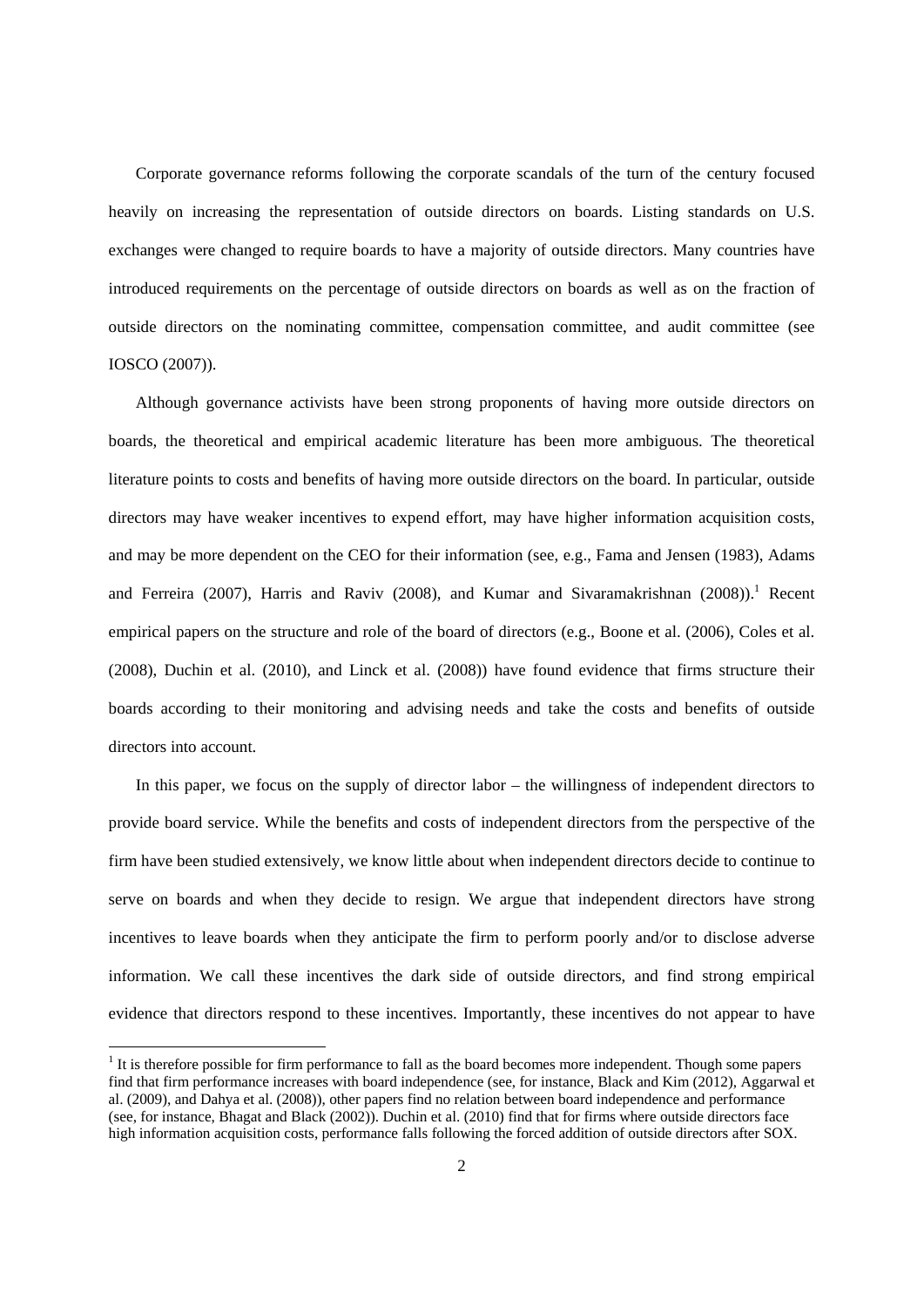Corporate governance reforms following the corporate scandals of the turn of the century focused heavily on increasing the representation of outside directors on boards. Listing standards on U.S. exchanges were changed to require boards to have a majority of outside directors. Many countries have introduced requirements on the percentage of outside directors on boards as well as on the fraction of outside directors on the nominating committee, compensation committee, and audit committee (see IOSCO (2007)).

Although governance activists have been strong proponents of having more outside directors on boards, the theoretical and empirical academic literature has been more ambiguous. The theoretical literature points to costs and benefits of having more outside directors on the board. In particular, outside directors may have weaker incentives to expend effort, may have higher information acquisition costs, and may be more dependent on the CEO for their information (see, e.g., Fama and Jensen (1983), Adams and Ferreira (2007), Harris and Raviv (2008), and Kumar and Sivaramakrishnan (2008)).<sup>1</sup> Recent empirical papers on the structure and role of the board of directors (e.g., Boone et al. (2006), Coles et al. (2008), Duchin et al. (2010), and Linck et al. (2008)) have found evidence that firms structure their boards according to their monitoring and advising needs and take the costs and benefits of outside directors into account.

In this paper, we focus on the supply of director labor – the willingness of independent directors to provide board service. While the benefits and costs of independent directors from the perspective of the firm have been studied extensively, we know little about when independent directors decide to continue to serve on boards and when they decide to resign. We argue that independent directors have strong incentives to leave boards when they anticipate the firm to perform poorly and/or to disclose adverse information. We call these incentives the dark side of outside directors, and find strong empirical evidence that directors respond to these incentives. Importantly, these incentives do not appear to have

 $<sup>1</sup>$  It is therefore possible for firm performance to fall as the board becomes more independent. Though some papers</sup> find that firm performance increases with board independence (see, for instance, Black and Kim (2012), Aggarwal et al. (2009), and Dahya et al. (2008)), other papers find no relation between board independence and performance (see, for instance, Bhagat and Black (2002)). Duchin et al. (2010) find that for firms where outside directors face high information acquisition costs, performance falls following the forced addition of outside directors after SOX.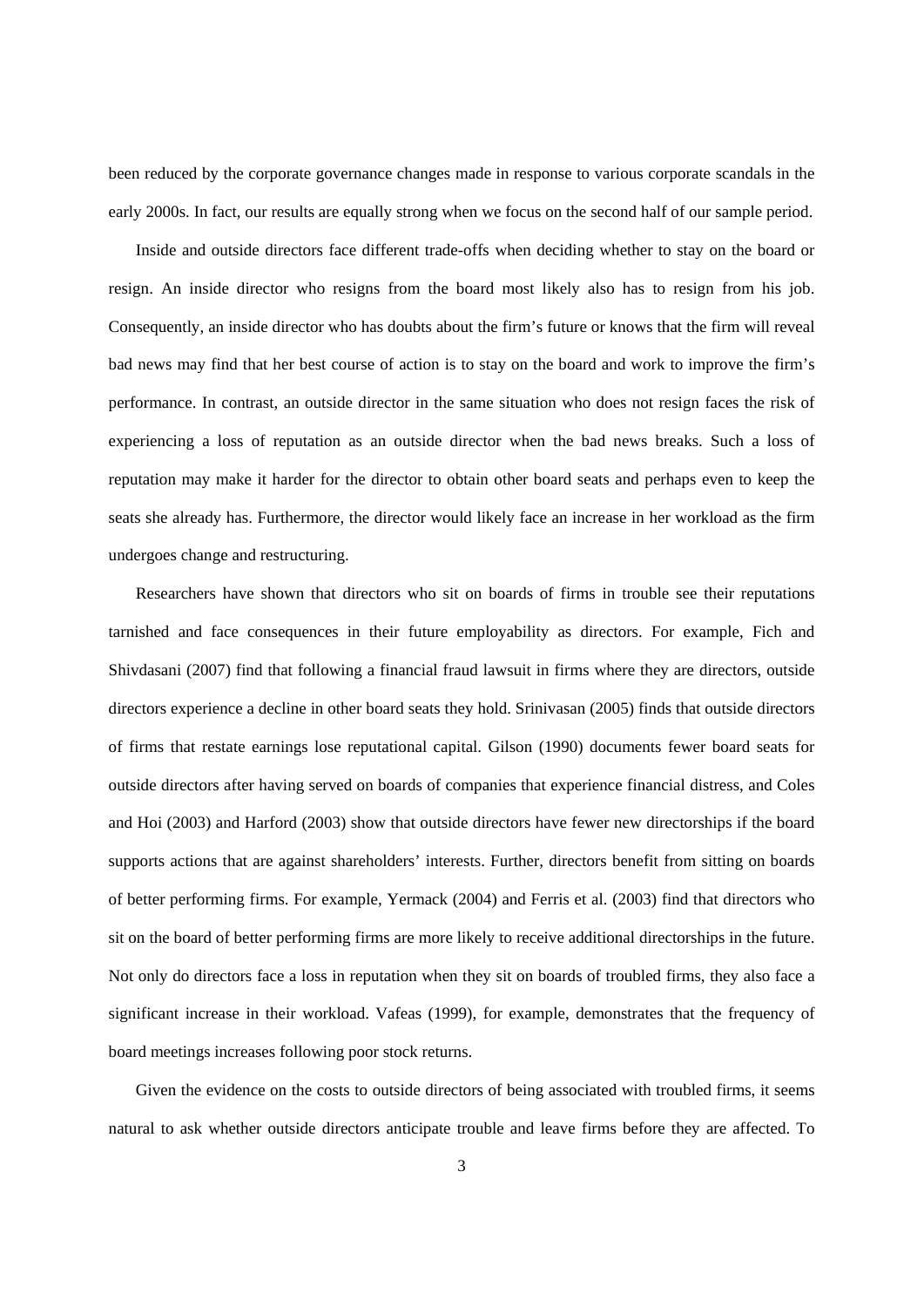been reduced by the corporate governance changes made in response to various corporate scandals in the early 2000s. In fact, our results are equally strong when we focus on the second half of our sample period.

Inside and outside directors face different trade-offs when deciding whether to stay on the board or resign. An inside director who resigns from the board most likely also has to resign from his job. Consequently, an inside director who has doubts about the firm's future or knows that the firm will reveal bad news may find that her best course of action is to stay on the board and work to improve the firm's performance. In contrast, an outside director in the same situation who does not resign faces the risk of experiencing a loss of reputation as an outside director when the bad news breaks. Such a loss of reputation may make it harder for the director to obtain other board seats and perhaps even to keep the seats she already has. Furthermore, the director would likely face an increase in her workload as the firm undergoes change and restructuring.

Researchers have shown that directors who sit on boards of firms in trouble see their reputations tarnished and face consequences in their future employability as directors. For example, Fich and Shivdasani (2007) find that following a financial fraud lawsuit in firms where they are directors, outside directors experience a decline in other board seats they hold. Srinivasan (2005) finds that outside directors of firms that restate earnings lose reputational capital. Gilson (1990) documents fewer board seats for outside directors after having served on boards of companies that experience financial distress, and Coles and Hoi (2003) and Harford (2003) show that outside directors have fewer new directorships if the board supports actions that are against shareholders' interests. Further, directors benefit from sitting on boards of better performing firms. For example, Yermack (2004) and Ferris et al. (2003) find that directors who sit on the board of better performing firms are more likely to receive additional directorships in the future. Not only do directors face a loss in reputation when they sit on boards of troubled firms, they also face a significant increase in their workload. Vafeas (1999), for example, demonstrates that the frequency of board meetings increases following poor stock returns.

Given the evidence on the costs to outside directors of being associated with troubled firms, it seems natural to ask whether outside directors anticipate trouble and leave firms before they are affected. To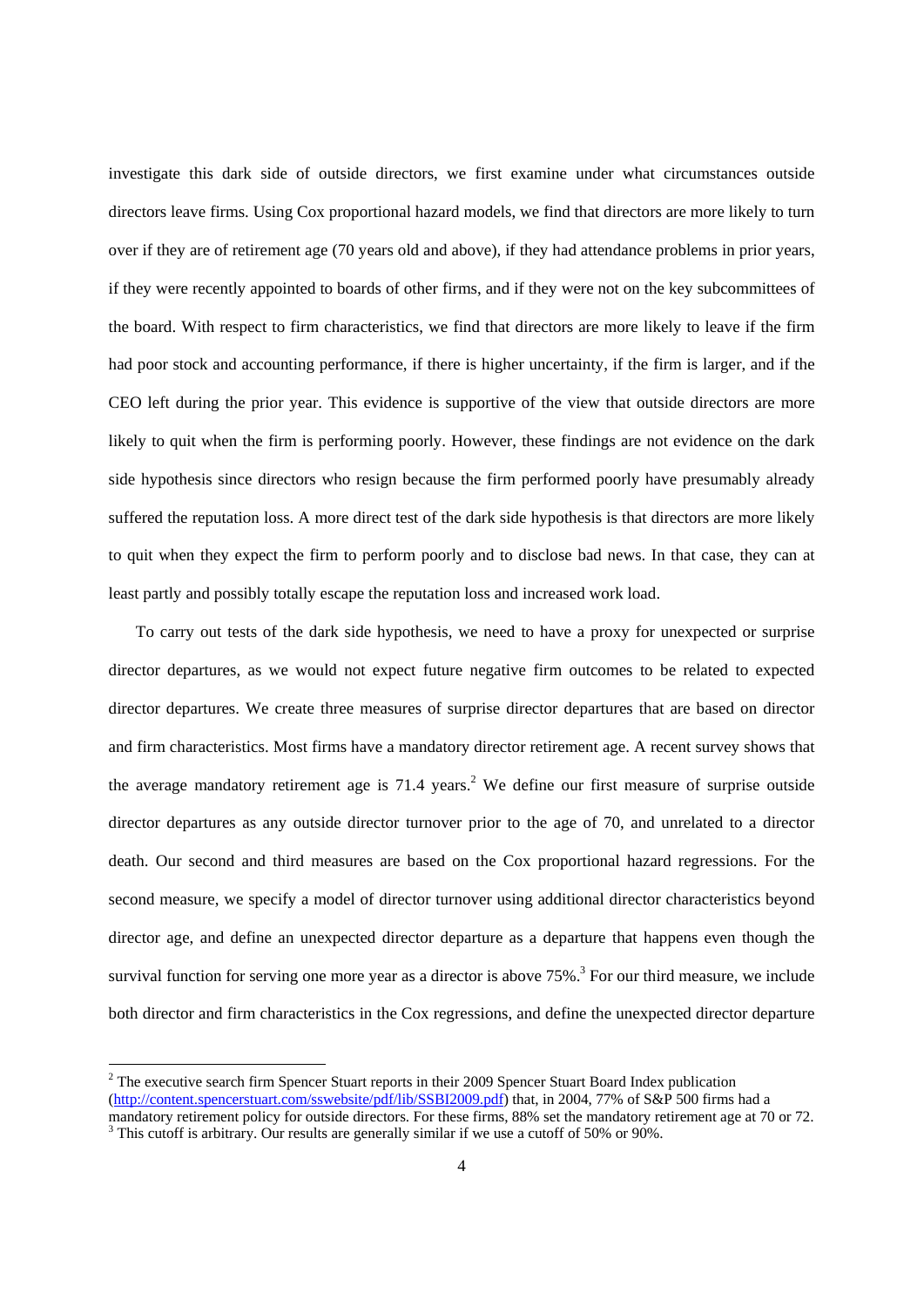investigate this dark side of outside directors, we first examine under what circumstances outside directors leave firms. Using Cox proportional hazard models, we find that directors are more likely to turn over if they are of retirement age (70 years old and above), if they had attendance problems in prior years, if they were recently appointed to boards of other firms, and if they were not on the key subcommittees of the board. With respect to firm characteristics, we find that directors are more likely to leave if the firm had poor stock and accounting performance, if there is higher uncertainty, if the firm is larger, and if the CEO left during the prior year. This evidence is supportive of the view that outside directors are more likely to quit when the firm is performing poorly. However, these findings are not evidence on the dark side hypothesis since directors who resign because the firm performed poorly have presumably already suffered the reputation loss. A more direct test of the dark side hypothesis is that directors are more likely to quit when they expect the firm to perform poorly and to disclose bad news. In that case, they can at least partly and possibly totally escape the reputation loss and increased work load.

To carry out tests of the dark side hypothesis, we need to have a proxy for unexpected or surprise director departures, as we would not expect future negative firm outcomes to be related to expected director departures. We create three measures of surprise director departures that are based on director and firm characteristics. Most firms have a mandatory director retirement age. A recent survey shows that the average mandatory retirement age is 71.4 years.<sup>2</sup> We define our first measure of surprise outside director departures as any outside director turnover prior to the age of 70, and unrelated to a director death. Our second and third measures are based on the Cox proportional hazard regressions. For the second measure, we specify a model of director turnover using additional director characteristics beyond director age, and define an unexpected director departure as a departure that happens even though the survival function for serving one more year as a director is above  $75\%$ <sup>3</sup>. For our third measure, we include both director and firm characteristics in the Cox regressions, and define the unexpected director departure

 $2^2$  The executive search firm Spencer Stuart reports in their 2009 Spencer Stuart Board Index publication (http://content.spencerstuart.com/sswebsite/pdf/lib/SSBI2009.pdf) that, in 2004, 77% of S&P 500 firms had a mandatory retirement policy for outside directors. For these firms, 88% set the mandatory retirement age at 70 or 72.

 $3$  This cutoff is arbitrary. Our results are generally similar if we use a cutoff of 50% or 90%.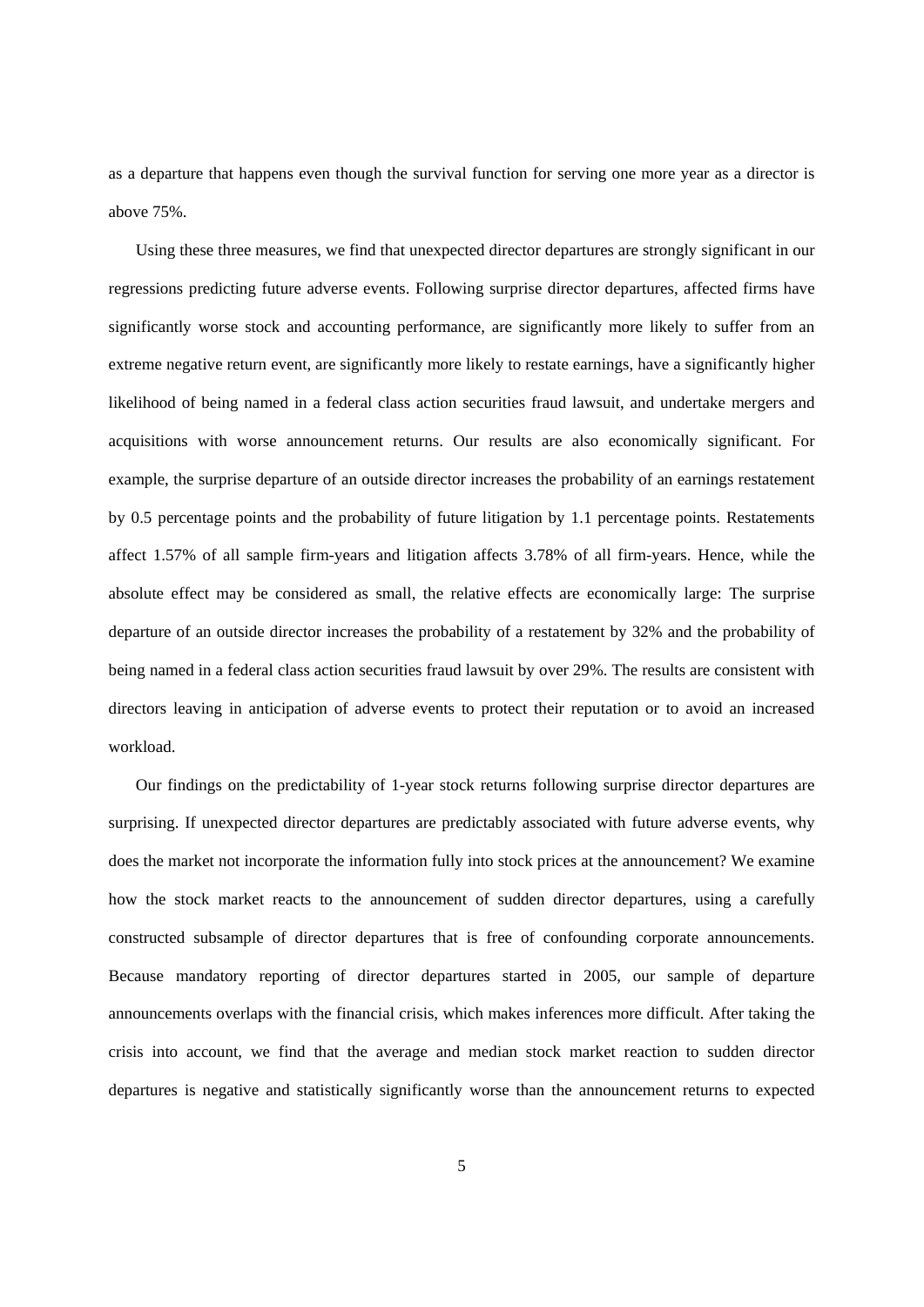as a departure that happens even though the survival function for serving one more year as a director is above 75%.

Using these three measures, we find that unexpected director departures are strongly significant in our regressions predicting future adverse events. Following surprise director departures, affected firms have significantly worse stock and accounting performance, are significantly more likely to suffer from an extreme negative return event, are significantly more likely to restate earnings, have a significantly higher likelihood of being named in a federal class action securities fraud lawsuit, and undertake mergers and acquisitions with worse announcement returns. Our results are also economically significant. For example, the surprise departure of an outside director increases the probability of an earnings restatement by 0.5 percentage points and the probability of future litigation by 1.1 percentage points. Restatements affect 1.57% of all sample firm-years and litigation affects 3.78% of all firm-years. Hence, while the absolute effect may be considered as small, the relative effects are economically large: The surprise departure of an outside director increases the probability of a restatement by 32% and the probability of being named in a federal class action securities fraud lawsuit by over 29%. The results are consistent with directors leaving in anticipation of adverse events to protect their reputation or to avoid an increased workload.

Our findings on the predictability of 1-year stock returns following surprise director departures are surprising. If unexpected director departures are predictably associated with future adverse events, why does the market not incorporate the information fully into stock prices at the announcement? We examine how the stock market reacts to the announcement of sudden director departures, using a carefully constructed subsample of director departures that is free of confounding corporate announcements. Because mandatory reporting of director departures started in 2005, our sample of departure announcements overlaps with the financial crisis, which makes inferences more difficult. After taking the crisis into account, we find that the average and median stock market reaction to sudden director departures is negative and statistically significantly worse than the announcement returns to expected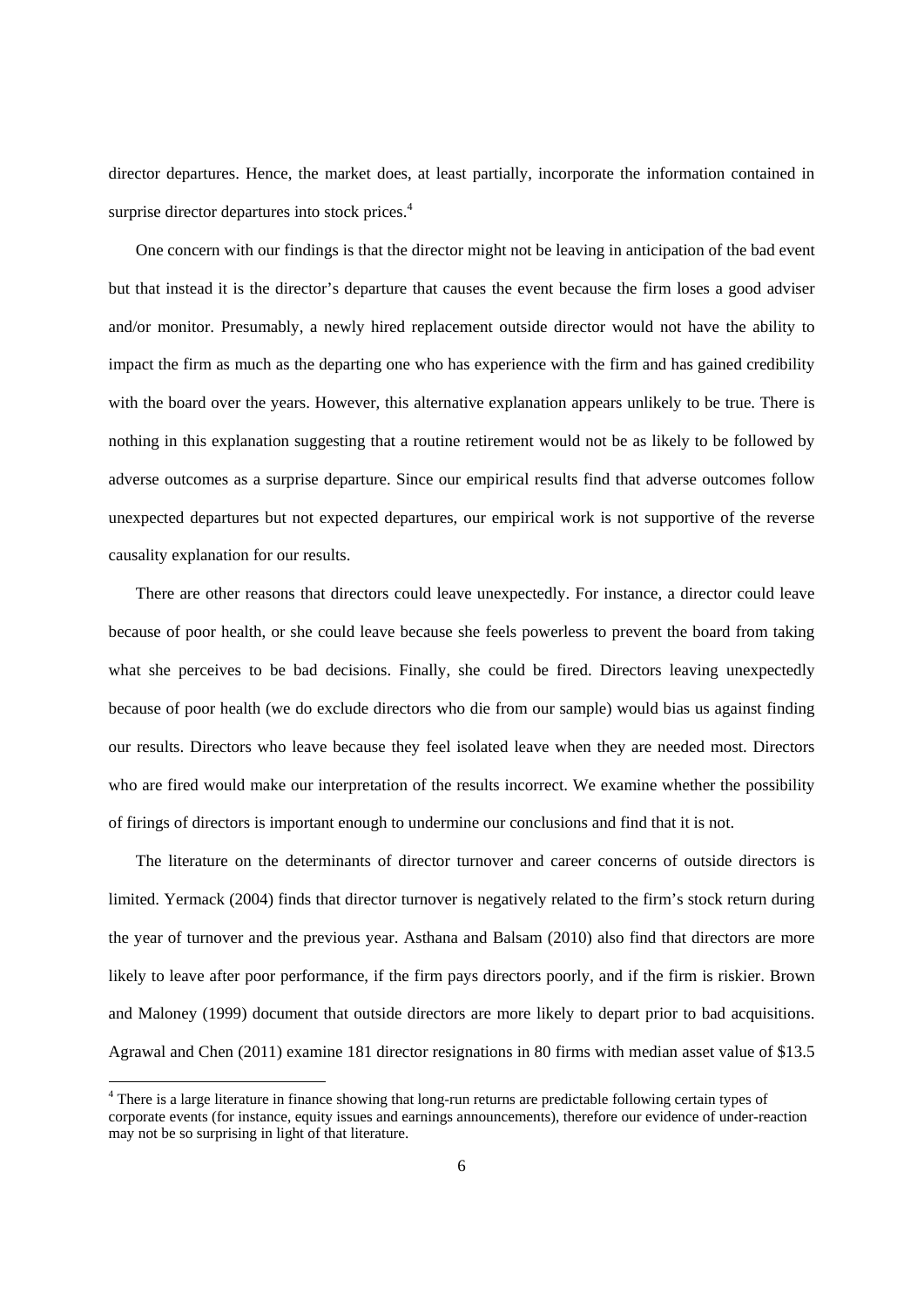director departures. Hence, the market does, at least partially, incorporate the information contained in surprise director departures into stock prices.<sup>4</sup>

One concern with our findings is that the director might not be leaving in anticipation of the bad event but that instead it is the director's departure that causes the event because the firm loses a good adviser and/or monitor. Presumably, a newly hired replacement outside director would not have the ability to impact the firm as much as the departing one who has experience with the firm and has gained credibility with the board over the years. However, this alternative explanation appears unlikely to be true. There is nothing in this explanation suggesting that a routine retirement would not be as likely to be followed by adverse outcomes as a surprise departure. Since our empirical results find that adverse outcomes follow unexpected departures but not expected departures, our empirical work is not supportive of the reverse causality explanation for our results.

There are other reasons that directors could leave unexpectedly. For instance, a director could leave because of poor health, or she could leave because she feels powerless to prevent the board from taking what she perceives to be bad decisions. Finally, she could be fired. Directors leaving unexpectedly because of poor health (we do exclude directors who die from our sample) would bias us against finding our results. Directors who leave because they feel isolated leave when they are needed most. Directors who are fired would make our interpretation of the results incorrect. We examine whether the possibility of firings of directors is important enough to undermine our conclusions and find that it is not.

The literature on the determinants of director turnover and career concerns of outside directors is limited. Yermack (2004) finds that director turnover is negatively related to the firm's stock return during the year of turnover and the previous year. Asthana and Balsam (2010) also find that directors are more likely to leave after poor performance, if the firm pays directors poorly, and if the firm is riskier. Brown and Maloney (1999) document that outside directors are more likely to depart prior to bad acquisitions. Agrawal and Chen (2011) examine 181 director resignations in 80 firms with median asset value of \$13.5

<sup>&</sup>lt;sup>4</sup> There is a large literature in finance showing that long-run returns are predictable following certain types of corporate events (for instance, equity issues and earnings announcements), therefore our evidence of under-reaction may not be so surprising in light of that literature.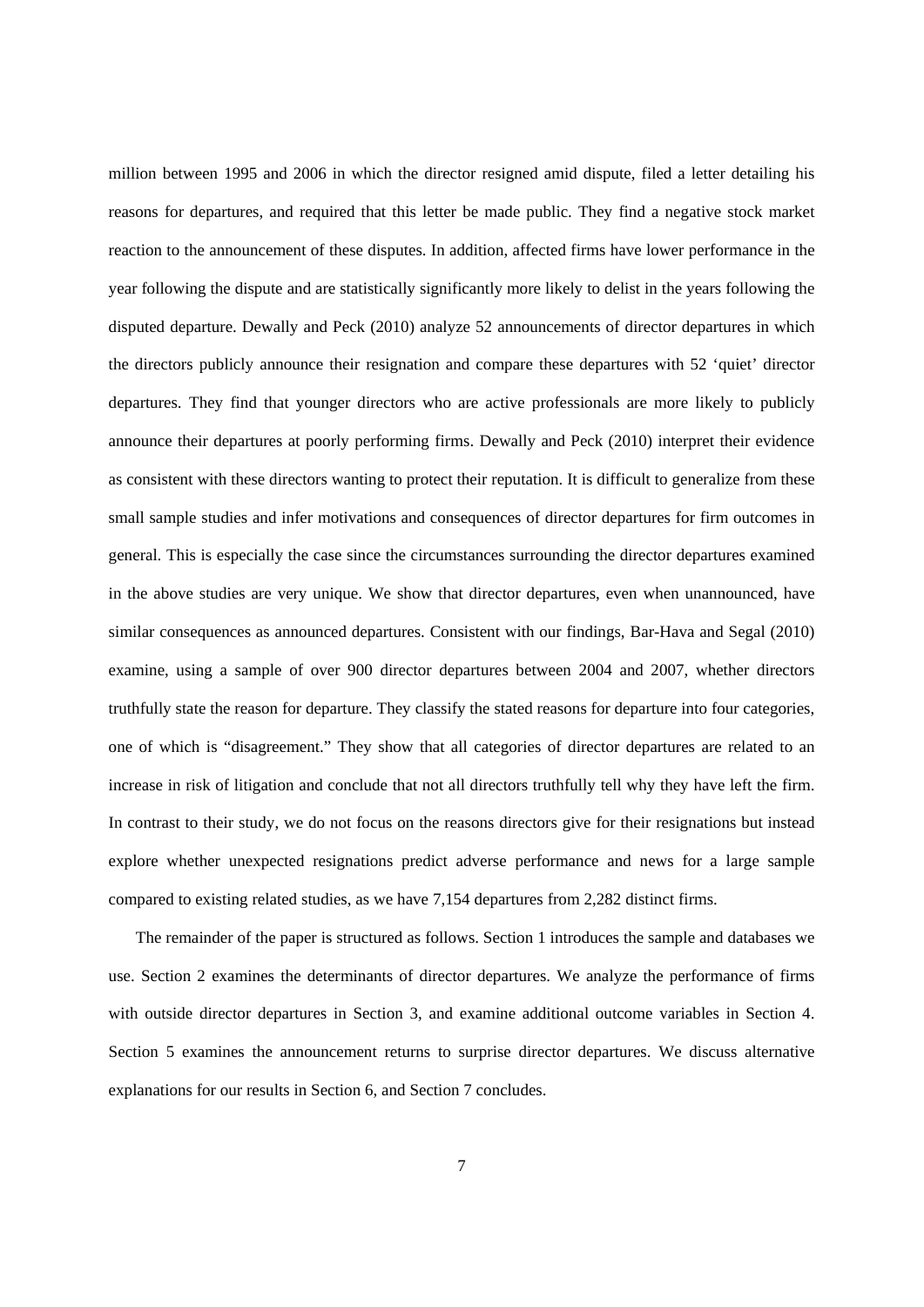million between 1995 and 2006 in which the director resigned amid dispute, filed a letter detailing his reasons for departures, and required that this letter be made public. They find a negative stock market reaction to the announcement of these disputes. In addition, affected firms have lower performance in the year following the dispute and are statistically significantly more likely to delist in the years following the disputed departure. Dewally and Peck (2010) analyze 52 announcements of director departures in which the directors publicly announce their resignation and compare these departures with 52 'quiet' director departures. They find that younger directors who are active professionals are more likely to publicly announce their departures at poorly performing firms. Dewally and Peck (2010) interpret their evidence as consistent with these directors wanting to protect their reputation. It is difficult to generalize from these small sample studies and infer motivations and consequences of director departures for firm outcomes in general. This is especially the case since the circumstances surrounding the director departures examined in the above studies are very unique. We show that director departures, even when unannounced, have similar consequences as announced departures. Consistent with our findings, Bar-Hava and Segal (2010) examine, using a sample of over 900 director departures between 2004 and 2007, whether directors truthfully state the reason for departure. They classify the stated reasons for departure into four categories, one of which is "disagreement." They show that all categories of director departures are related to an increase in risk of litigation and conclude that not all directors truthfully tell why they have left the firm. In contrast to their study, we do not focus on the reasons directors give for their resignations but instead explore whether unexpected resignations predict adverse performance and news for a large sample compared to existing related studies, as we have 7,154 departures from 2,282 distinct firms.

The remainder of the paper is structured as follows. Section 1 introduces the sample and databases we use. Section 2 examines the determinants of director departures. We analyze the performance of firms with outside director departures in Section 3, and examine additional outcome variables in Section 4. Section 5 examines the announcement returns to surprise director departures. We discuss alternative explanations for our results in Section 6, and Section 7 concludes.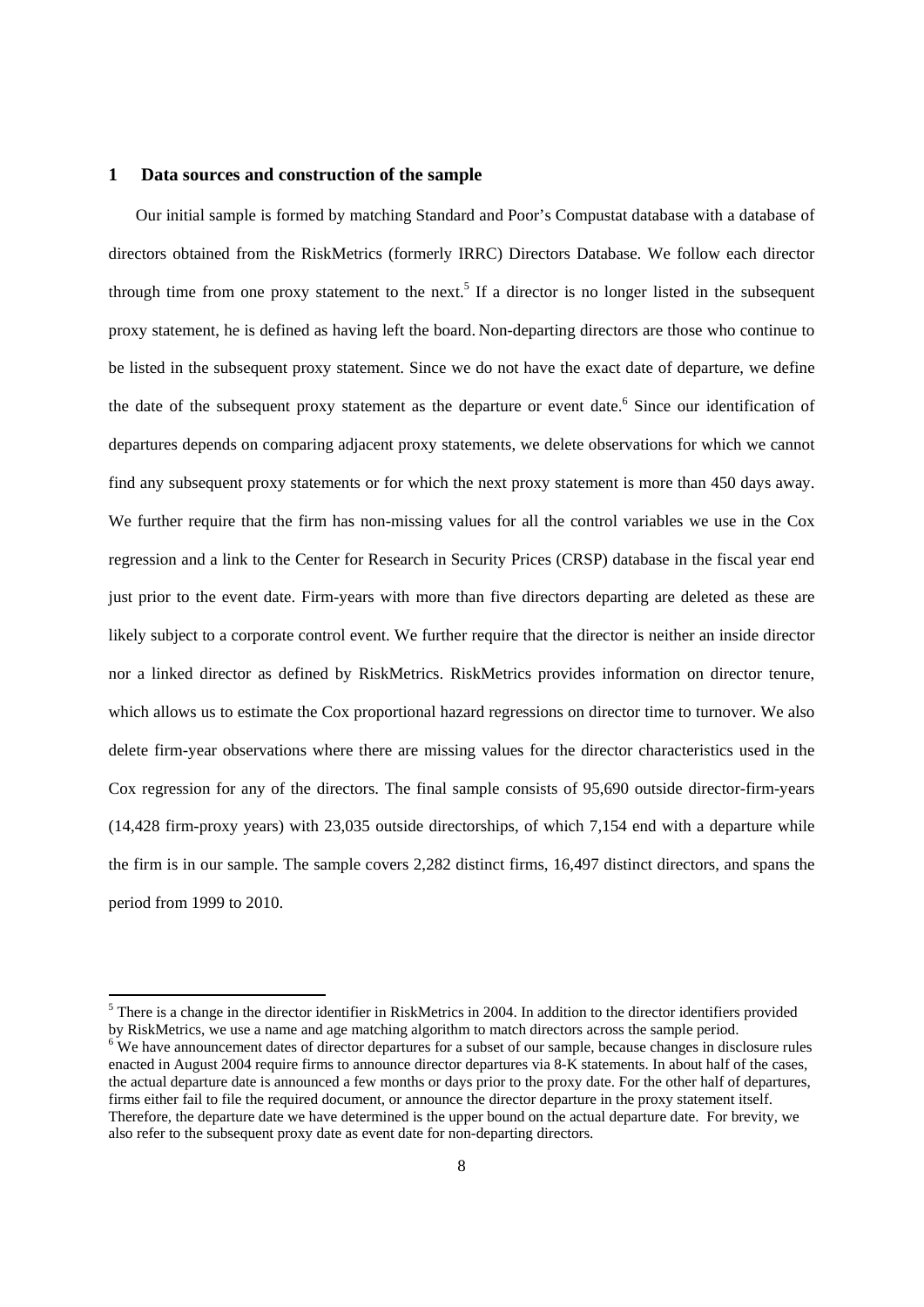#### **1 Data sources and construction of the sample**

-

Our initial sample is formed by matching Standard and Poor's Compustat database with a database of directors obtained from the RiskMetrics (formerly IRRC) Directors Database. We follow each director through time from one proxy statement to the next.<sup>5</sup> If a director is no longer listed in the subsequent proxy statement, he is defined as having left the board. Non-departing directors are those who continue to be listed in the subsequent proxy statement. Since we do not have the exact date of departure, we define the date of the subsequent proxy statement as the departure or event date.<sup>6</sup> Since our identification of departures depends on comparing adjacent proxy statements, we delete observations for which we cannot find any subsequent proxy statements or for which the next proxy statement is more than 450 days away. We further require that the firm has non-missing values for all the control variables we use in the Cox regression and a link to the Center for Research in Security Prices (CRSP) database in the fiscal year end just prior to the event date. Firm-years with more than five directors departing are deleted as these are likely subject to a corporate control event. We further require that the director is neither an inside director nor a linked director as defined by RiskMetrics. RiskMetrics provides information on director tenure, which allows us to estimate the Cox proportional hazard regressions on director time to turnover. We also delete firm-year observations where there are missing values for the director characteristics used in the Cox regression for any of the directors. The final sample consists of 95,690 outside director-firm-years (14,428 firm-proxy years) with 23,035 outside directorships, of which 7,154 end with a departure while the firm is in our sample. The sample covers 2,282 distinct firms, 16,497 distinct directors, and spans the period from 1999 to 2010.

 $<sup>5</sup>$  There is a change in the director identifier in RiskMetrics in 2004. In addition to the director identifiers provided</sup> by RiskMetrics, we use a name and age matching algorithm to match directors across the sample period.

 $6\text{ W}$ e have announcement dates of director departures for a subset of our sample, because changes in disclosure rules enacted in August 2004 require firms to announce director departures via 8-K statements. In about half of the cases, the actual departure date is announced a few months or days prior to the proxy date. For the other half of departures, firms either fail to file the required document, or announce the director departure in the proxy statement itself. Therefore, the departure date we have determined is the upper bound on the actual departure date. For brevity, we also refer to the subsequent proxy date as event date for non-departing directors.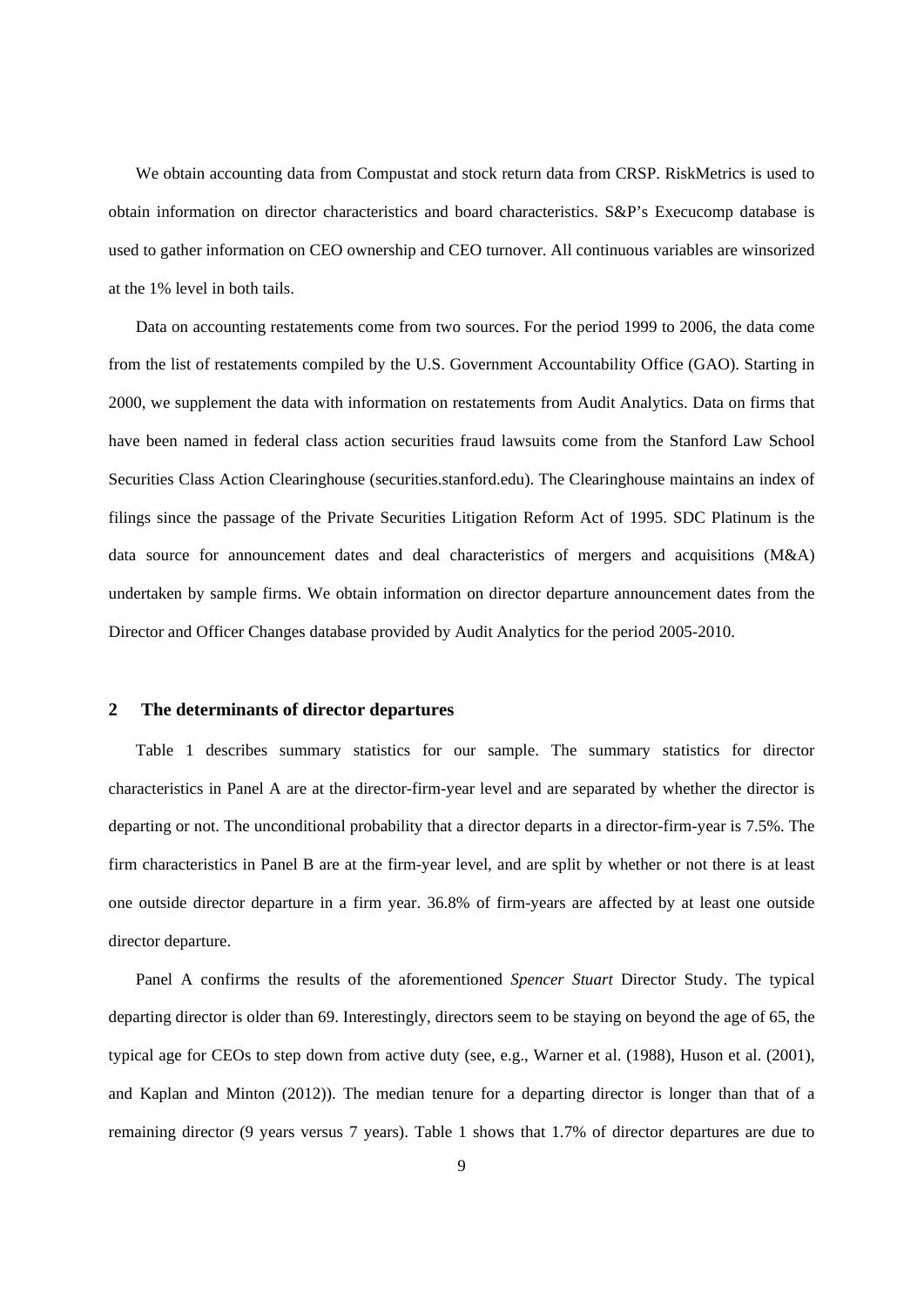We obtain accounting data from Compustat and stock return data from CRSP. RiskMetrics is used to obtain information on director characteristics and board characteristics. S&P's Execucomp database is used to gather information on CEO ownership and CEO turnover. All continuous variables are winsorized at the 1% level in both tails.

Data on accounting restatements come from two sources. For the period 1999 to 2006, the data come from the list of restatements compiled by the U.S. Government Accountability Office (GAO). Starting in 2000, we supplement the data with information on restatements from Audit Analytics. Data on firms that have been named in federal class action securities fraud lawsuits come from the Stanford Law School Securities Class Action Clearinghouse (securities.stanford.edu). The Clearinghouse maintains an index of filings since the passage of the Private Securities Litigation Reform Act of 1995. SDC Platinum is the data source for announcement dates and deal characteristics of mergers and acquisitions (M&A) undertaken by sample firms. We obtain information on director departure announcement dates from the Director and Officer Changes database provided by Audit Analytics for the period 2005-2010.

# **2 The determinants of director departures**

Table 1 describes summary statistics for our sample. The summary statistics for director characteristics in Panel A are at the director-firm-year level and are separated by whether the director is departing or not. The unconditional probability that a director departs in a director-firm-year is 7.5%. The firm characteristics in Panel B are at the firm-year level, and are split by whether or not there is at least one outside director departure in a firm year. 36.8% of firm-years are affected by at least one outside director departure.

Panel A confirms the results of the aforementioned *Spencer Stuart* Director Study. The typical departing director is older than 69. Interestingly, directors seem to be staying on beyond the age of 65, the typical age for CEOs to step down from active duty (see, e.g., Warner et al. (1988), Huson et al. (2001), and Kaplan and Minton (2012)). The median tenure for a departing director is longer than that of a remaining director (9 years versus 7 years). Table 1 shows that 1.7% of director departures are due to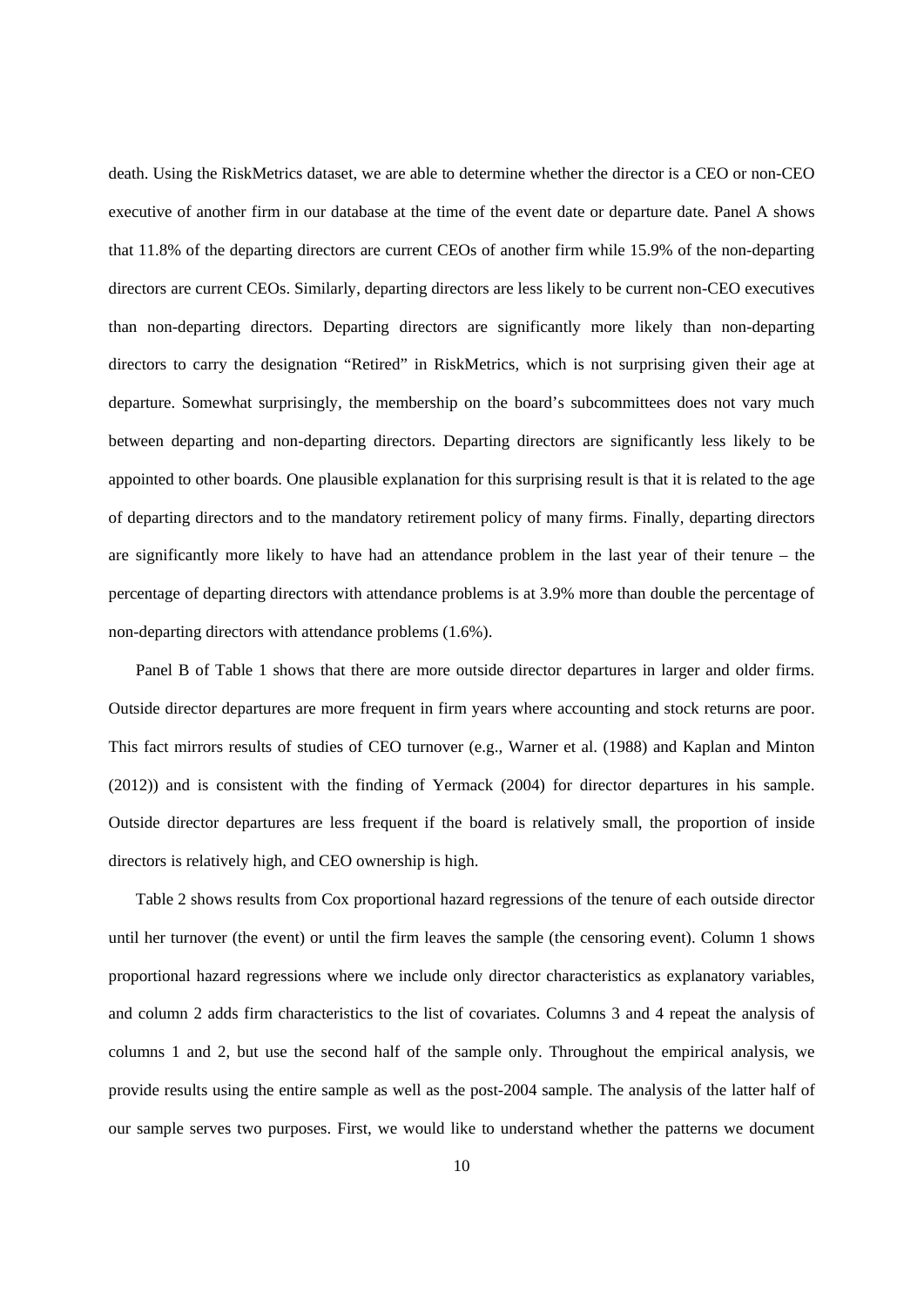death. Using the RiskMetrics dataset, we are able to determine whether the director is a CEO or non-CEO executive of another firm in our database at the time of the event date or departure date. Panel A shows that 11.8% of the departing directors are current CEOs of another firm while 15.9% of the non-departing directors are current CEOs. Similarly, departing directors are less likely to be current non-CEO executives than non-departing directors. Departing directors are significantly more likely than non-departing directors to carry the designation "Retired" in RiskMetrics, which is not surprising given their age at departure. Somewhat surprisingly, the membership on the board's subcommittees does not vary much between departing and non-departing directors. Departing directors are significantly less likely to be appointed to other boards. One plausible explanation for this surprising result is that it is related to the age of departing directors and to the mandatory retirement policy of many firms. Finally, departing directors are significantly more likely to have had an attendance problem in the last year of their tenure – the percentage of departing directors with attendance problems is at 3.9% more than double the percentage of non-departing directors with attendance problems (1.6%).

Panel B of Table 1 shows that there are more outside director departures in larger and older firms. Outside director departures are more frequent in firm years where accounting and stock returns are poor. This fact mirrors results of studies of CEO turnover (e.g., Warner et al. (1988) and Kaplan and Minton (2012)) and is consistent with the finding of Yermack (2004) for director departures in his sample. Outside director departures are less frequent if the board is relatively small, the proportion of inside directors is relatively high, and CEO ownership is high.

Table 2 shows results from Cox proportional hazard regressions of the tenure of each outside director until her turnover (the event) or until the firm leaves the sample (the censoring event). Column 1 shows proportional hazard regressions where we include only director characteristics as explanatory variables, and column 2 adds firm characteristics to the list of covariates. Columns 3 and 4 repeat the analysis of columns 1 and 2, but use the second half of the sample only. Throughout the empirical analysis, we provide results using the entire sample as well as the post-2004 sample. The analysis of the latter half of our sample serves two purposes. First, we would like to understand whether the patterns we document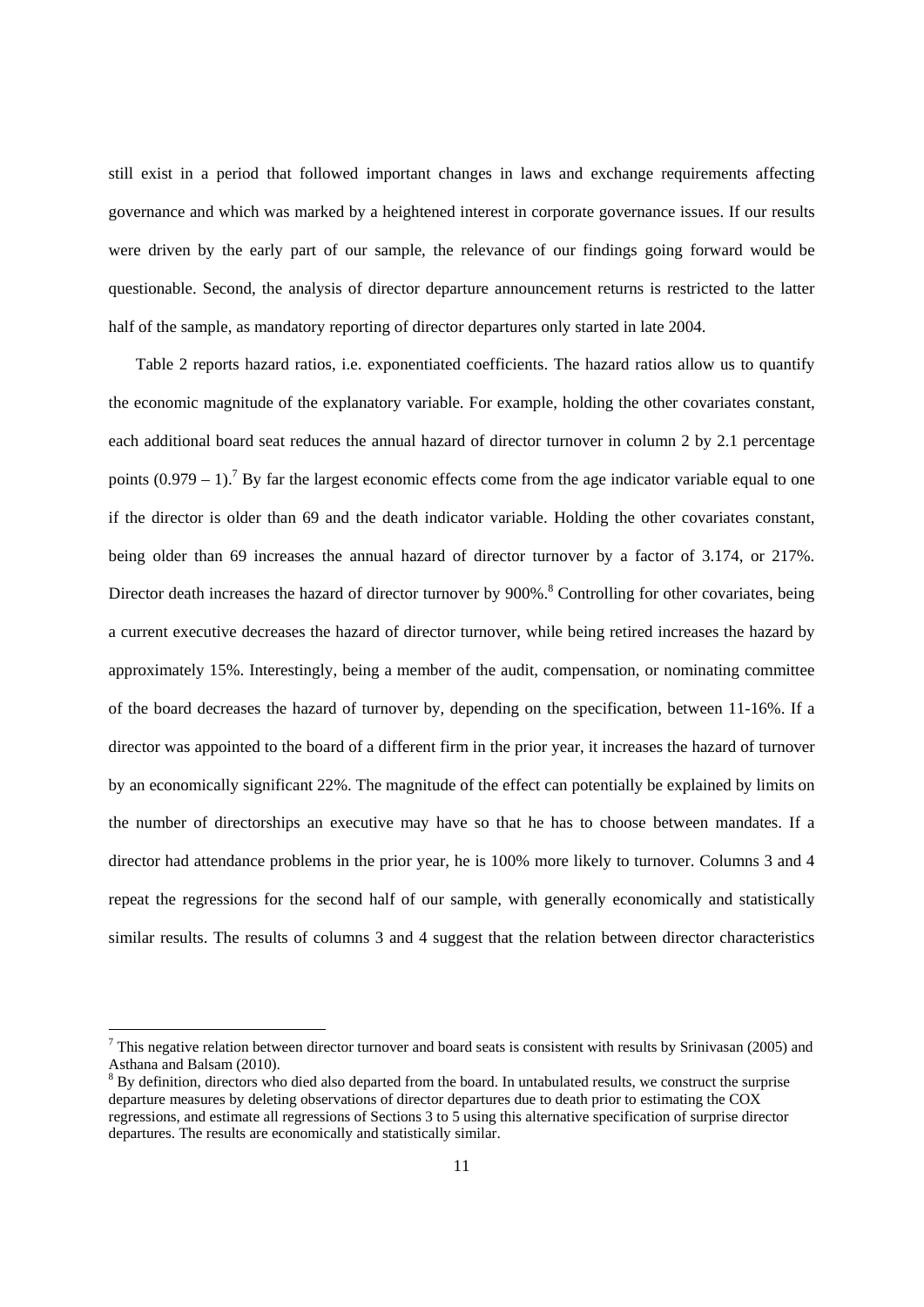still exist in a period that followed important changes in laws and exchange requirements affecting governance and which was marked by a heightened interest in corporate governance issues. If our results were driven by the early part of our sample, the relevance of our findings going forward would be questionable. Second, the analysis of director departure announcement returns is restricted to the latter half of the sample, as mandatory reporting of director departures only started in late 2004.

Table 2 reports hazard ratios, i.e. exponentiated coefficients. The hazard ratios allow us to quantify the economic magnitude of the explanatory variable. For example, holding the other covariates constant, each additional board seat reduces the annual hazard of director turnover in column 2 by 2.1 percentage points  $(0.979 - 1)$ .<sup>7</sup> By far the largest economic effects come from the age indicator variable equal to one if the director is older than 69 and the death indicator variable. Holding the other covariates constant, being older than 69 increases the annual hazard of director turnover by a factor of 3.174, or 217%. Director death increases the hazard of director turnover by 900%.<sup>8</sup> Controlling for other covariates, being a current executive decreases the hazard of director turnover, while being retired increases the hazard by approximately 15%. Interestingly, being a member of the audit, compensation, or nominating committee of the board decreases the hazard of turnover by, depending on the specification, between 11-16%. If a director was appointed to the board of a different firm in the prior year, it increases the hazard of turnover by an economically significant 22%. The magnitude of the effect can potentially be explained by limits on the number of directorships an executive may have so that he has to choose between mandates. If a director had attendance problems in the prior year, he is 100% more likely to turnover. Columns 3 and 4 repeat the regressions for the second half of our sample, with generally economically and statistically similar results. The results of columns 3 and 4 suggest that the relation between director characteristics

 $<sup>7</sup>$  This negative relation between director turnover and board seats is consistent with results by Srinivasan (2005) and</sup> Asthana and Balsam (2010).

<sup>&</sup>lt;sup>8</sup> By definition, directors who died also departed from the board. In untabulated results, we construct the surprise departure measures by deleting observations of director departures due to death prior to estimating the COX regressions, and estimate all regressions of Sections 3 to 5 using this alternative specification of surprise director departures. The results are economically and statistically similar.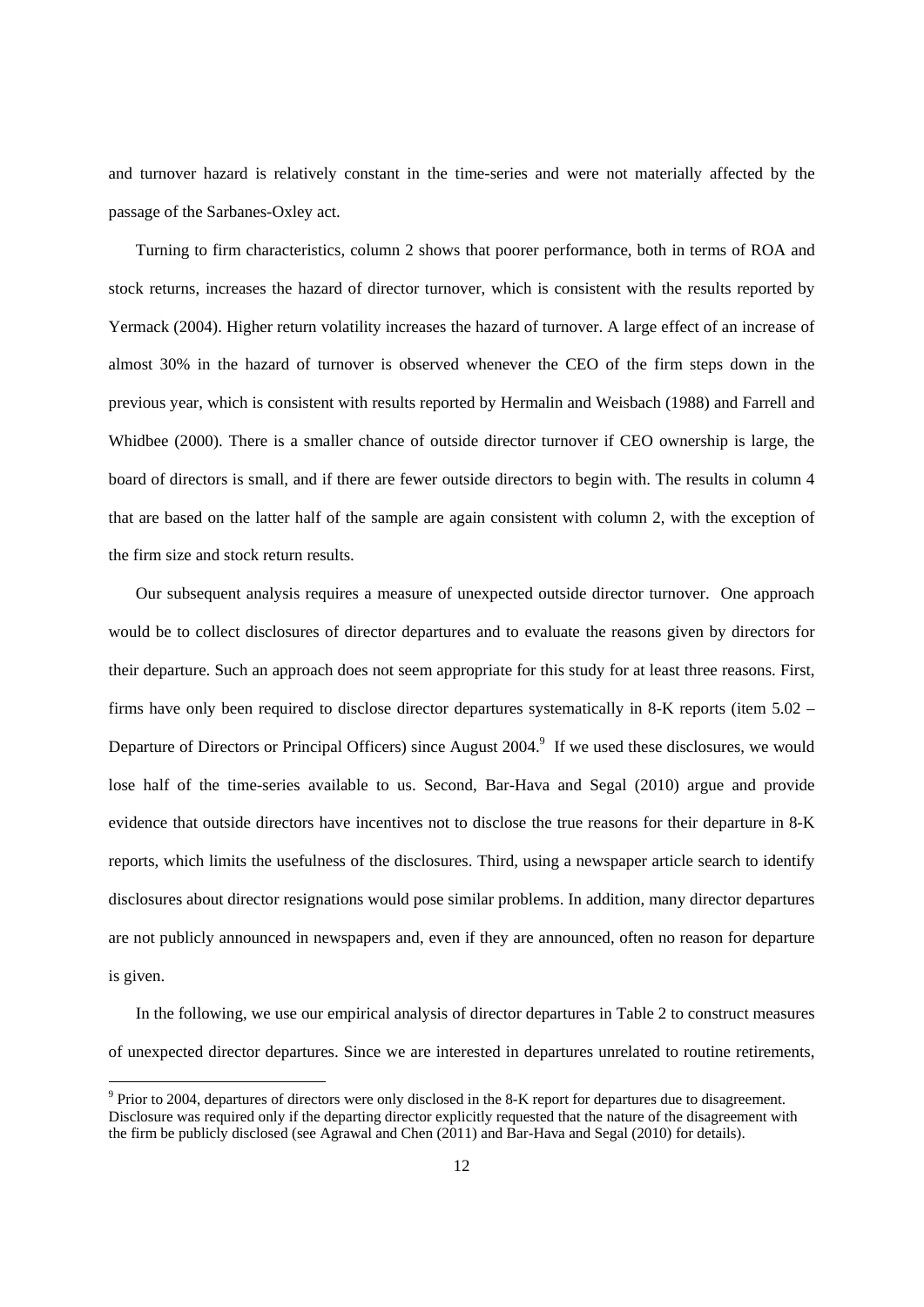and turnover hazard is relatively constant in the time-series and were not materially affected by the passage of the Sarbanes-Oxley act.

Turning to firm characteristics, column 2 shows that poorer performance, both in terms of ROA and stock returns, increases the hazard of director turnover, which is consistent with the results reported by Yermack (2004). Higher return volatility increases the hazard of turnover. A large effect of an increase of almost 30% in the hazard of turnover is observed whenever the CEO of the firm steps down in the previous year, which is consistent with results reported by Hermalin and Weisbach (1988) and Farrell and Whidbee (2000). There is a smaller chance of outside director turnover if CEO ownership is large, the board of directors is small, and if there are fewer outside directors to begin with. The results in column 4 that are based on the latter half of the sample are again consistent with column 2, with the exception of the firm size and stock return results.

Our subsequent analysis requires a measure of unexpected outside director turnover. One approach would be to collect disclosures of director departures and to evaluate the reasons given by directors for their departure. Such an approach does not seem appropriate for this study for at least three reasons. First, firms have only been required to disclose director departures systematically in 8-K reports (item 5.02 – Departure of Directors or Principal Officers) since August 2004.<sup>9</sup> If we used these disclosures, we would lose half of the time-series available to us. Second, Bar-Hava and Segal (2010) argue and provide evidence that outside directors have incentives not to disclose the true reasons for their departure in 8-K reports, which limits the usefulness of the disclosures. Third, using a newspaper article search to identify disclosures about director resignations would pose similar problems. In addition, many director departures are not publicly announced in newspapers and, even if they are announced, often no reason for departure is given.

In the following, we use our empirical analysis of director departures in Table 2 to construct measures of unexpected director departures. Since we are interested in departures unrelated to routine retirements,

<sup>&</sup>lt;sup>9</sup> Prior to 2004, departures of directors were only disclosed in the 8-K report for departures due to disagreement. Disclosure was required only if the departing director explicitly requested that the nature of the disagreement with the firm be publicly disclosed (see Agrawal and Chen (2011) and Bar-Hava and Segal (2010) for details).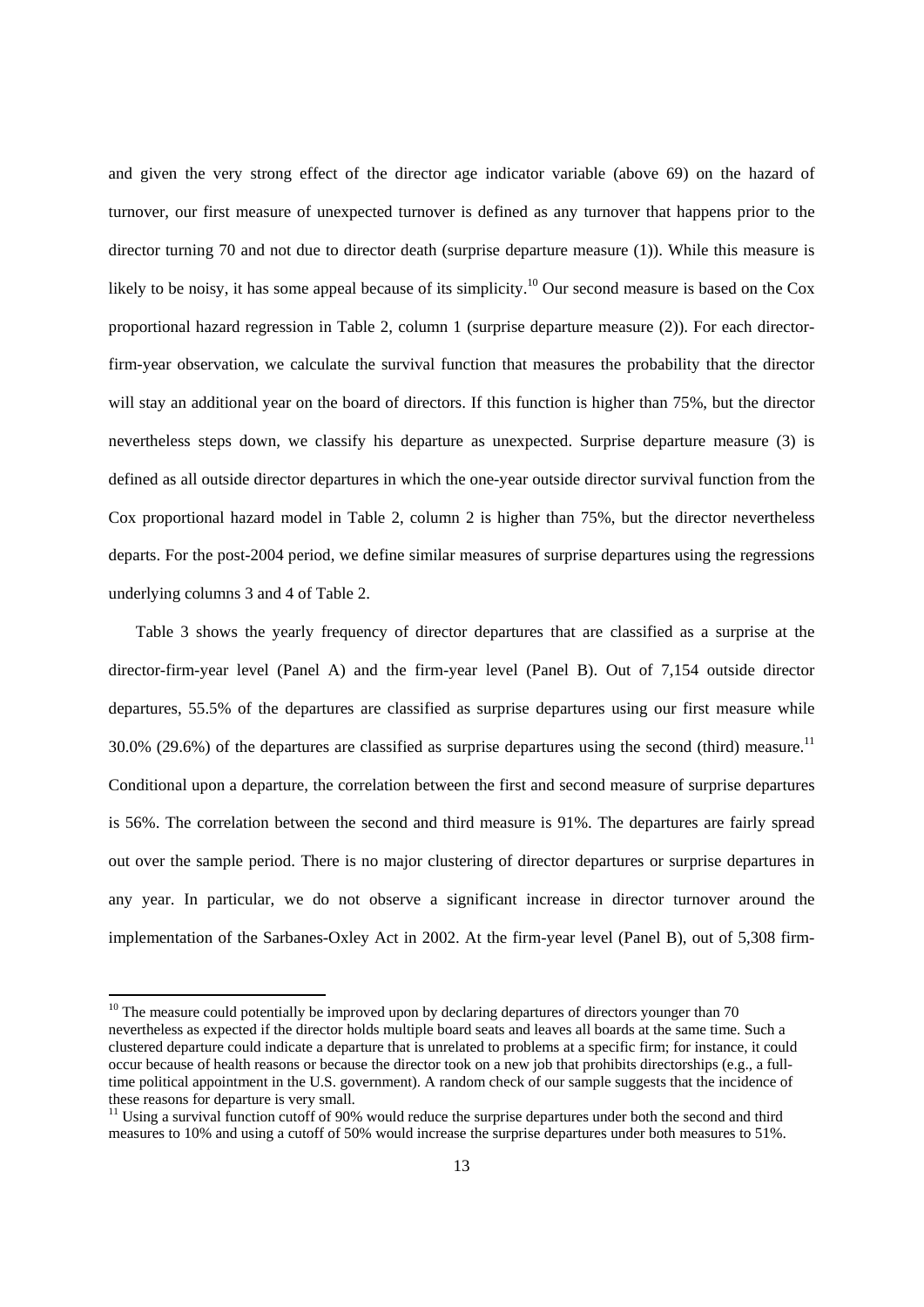and given the very strong effect of the director age indicator variable (above 69) on the hazard of turnover, our first measure of unexpected turnover is defined as any turnover that happens prior to the director turning 70 and not due to director death (surprise departure measure (1)). While this measure is likely to be noisy, it has some appeal because of its simplicity.<sup>10</sup> Our second measure is based on the Cox proportional hazard regression in Table 2, column 1 (surprise departure measure (2)). For each directorfirm-year observation, we calculate the survival function that measures the probability that the director will stay an additional year on the board of directors. If this function is higher than 75%, but the director nevertheless steps down, we classify his departure as unexpected. Surprise departure measure (3) is defined as all outside director departures in which the one-year outside director survival function from the Cox proportional hazard model in Table 2, column 2 is higher than 75%, but the director nevertheless departs. For the post-2004 period, we define similar measures of surprise departures using the regressions underlying columns 3 and 4 of Table 2.

Table 3 shows the yearly frequency of director departures that are classified as a surprise at the director-firm-year level (Panel A) and the firm-year level (Panel B). Out of 7,154 outside director departures, 55.5% of the departures are classified as surprise departures using our first measure while 30.0% (29.6%) of the departures are classified as surprise departures using the second (third) measure.<sup>11</sup> Conditional upon a departure, the correlation between the first and second measure of surprise departures is 56%. The correlation between the second and third measure is 91%. The departures are fairly spread out over the sample period. There is no major clustering of director departures or surprise departures in any year. In particular, we do not observe a significant increase in director turnover around the implementation of the Sarbanes-Oxley Act in 2002. At the firm-year level (Panel B), out of 5,308 firm-

 $10$  The measure could potentially be improved upon by declaring departures of directors younger than 70 nevertheless as expected if the director holds multiple board seats and leaves all boards at the same time. Such a clustered departure could indicate a departure that is unrelated to problems at a specific firm; for instance, it could occur because of health reasons or because the director took on a new job that prohibits directorships (e.g., a fulltime political appointment in the U.S. government). A random check of our sample suggests that the incidence of these reasons for departure is very small.

 $11$  Using a survival function cutoff of 90% would reduce the surprise departures under both the second and third measures to 10% and using a cutoff of 50% would increase the surprise departures under both measures to 51%.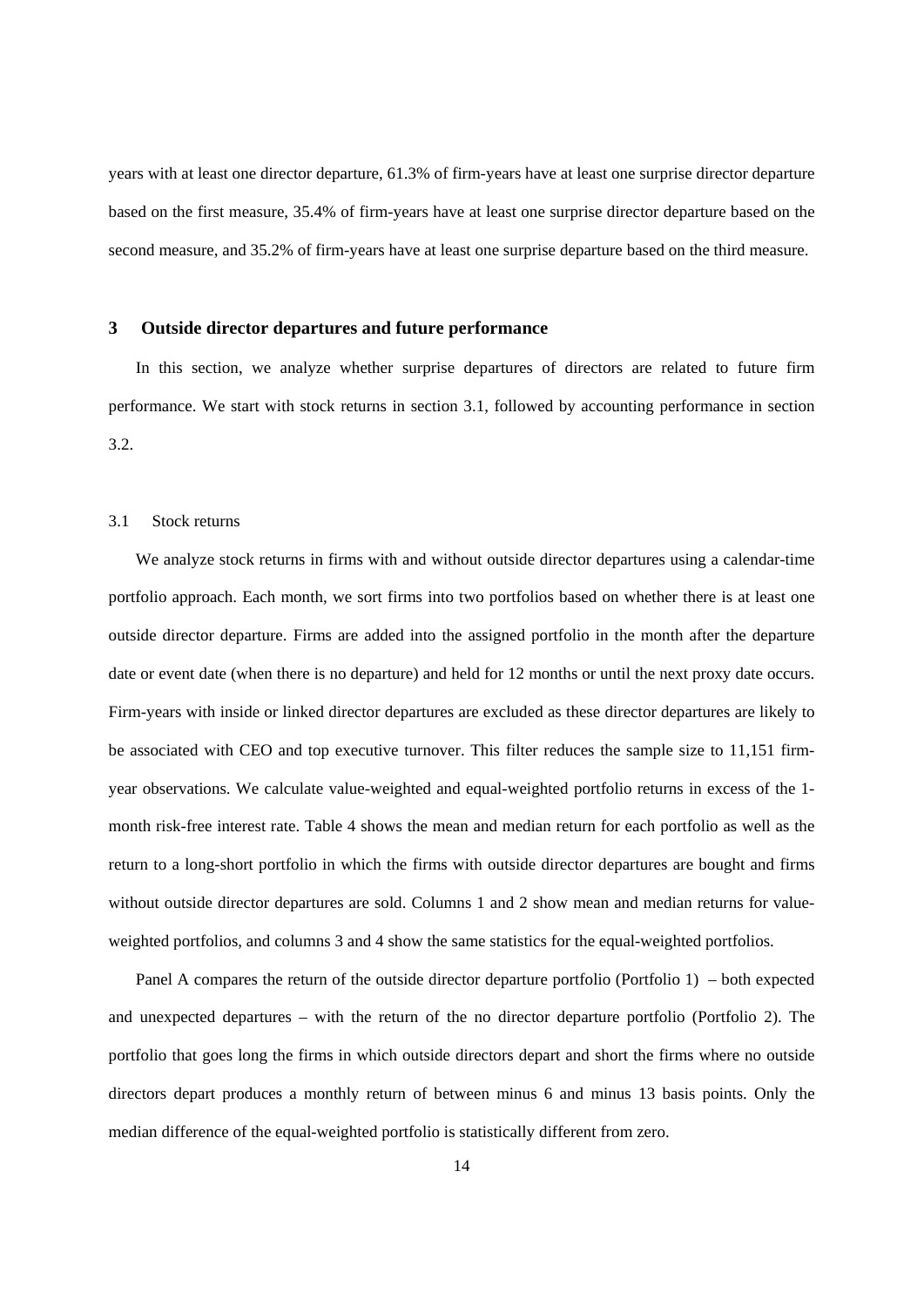years with at least one director departure, 61.3% of firm-years have at least one surprise director departure based on the first measure, 35.4% of firm-years have at least one surprise director departure based on the second measure, and 35.2% of firm-years have at least one surprise departure based on the third measure.

#### **3 Outside director departures and future performance**

In this section, we analyze whether surprise departures of directors are related to future firm performance. We start with stock returns in section 3.1, followed by accounting performance in section 3.2.

# 3.1 Stock returns

We analyze stock returns in firms with and without outside director departures using a calendar-time portfolio approach. Each month, we sort firms into two portfolios based on whether there is at least one outside director departure. Firms are added into the assigned portfolio in the month after the departure date or event date (when there is no departure) and held for 12 months or until the next proxy date occurs. Firm-years with inside or linked director departures are excluded as these director departures are likely to be associated with CEO and top executive turnover. This filter reduces the sample size to 11,151 firmyear observations. We calculate value-weighted and equal-weighted portfolio returns in excess of the 1 month risk-free interest rate. Table 4 shows the mean and median return for each portfolio as well as the return to a long-short portfolio in which the firms with outside director departures are bought and firms without outside director departures are sold. Columns 1 and 2 show mean and median returns for valueweighted portfolios, and columns 3 and 4 show the same statistics for the equal-weighted portfolios.

Panel A compares the return of the outside director departure portfolio (Portfolio 1) – both expected and unexpected departures – with the return of the no director departure portfolio (Portfolio 2). The portfolio that goes long the firms in which outside directors depart and short the firms where no outside directors depart produces a monthly return of between minus 6 and minus 13 basis points. Only the median difference of the equal-weighted portfolio is statistically different from zero.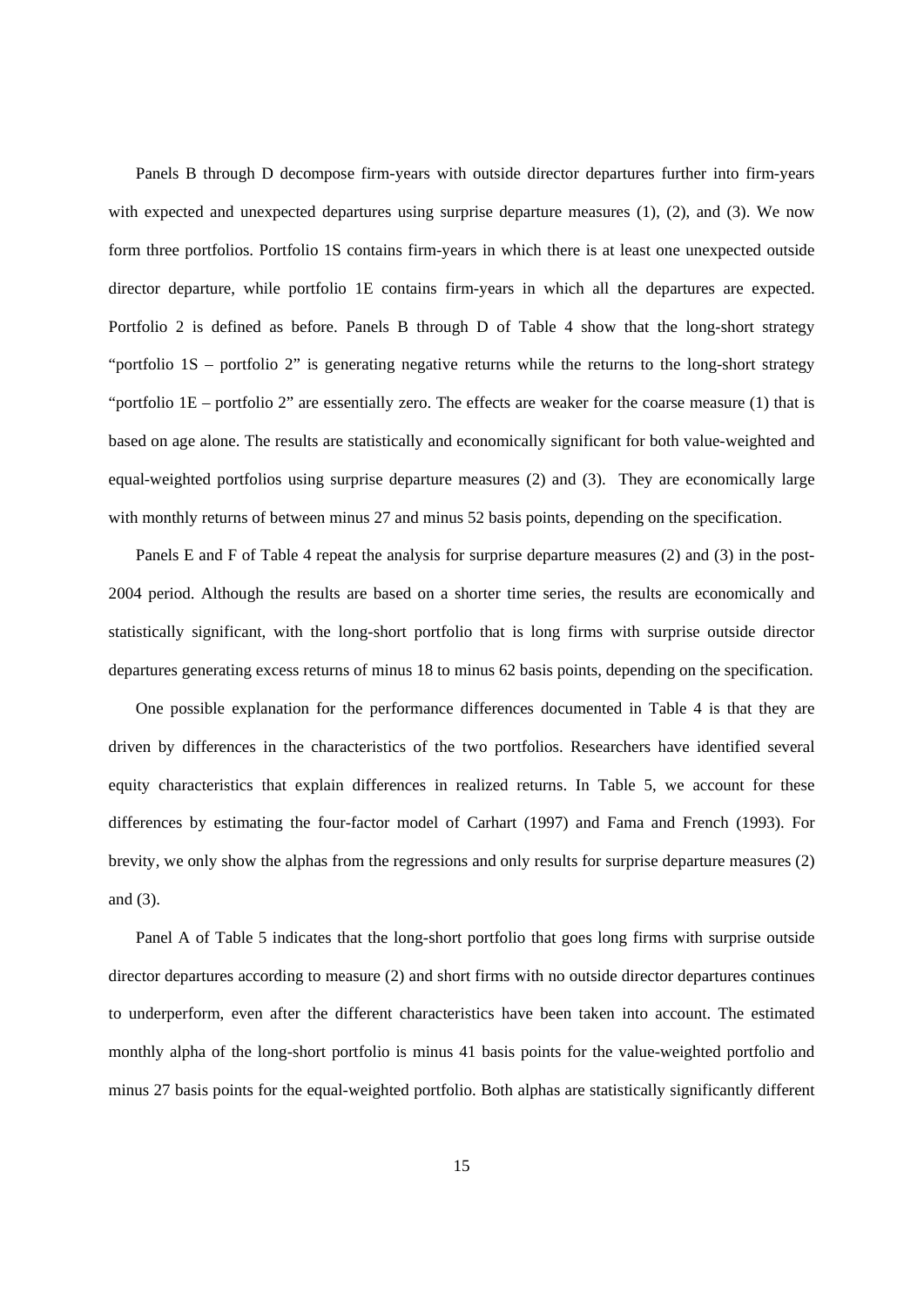Panels B through D decompose firm-years with outside director departures further into firm-years with expected and unexpected departures using surprise departure measures (1), (2), and (3). We now form three portfolios. Portfolio 1S contains firm-years in which there is at least one unexpected outside director departure, while portfolio 1E contains firm-years in which all the departures are expected. Portfolio 2 is defined as before. Panels B through D of Table 4 show that the long-short strategy "portfolio 1S – portfolio 2" is generating negative returns while the returns to the long-short strategy "portfolio 1E – portfolio 2" are essentially zero. The effects are weaker for the coarse measure (1) that is based on age alone. The results are statistically and economically significant for both value-weighted and equal-weighted portfolios using surprise departure measures (2) and (3). They are economically large with monthly returns of between minus 27 and minus 52 basis points, depending on the specification.

Panels E and F of Table 4 repeat the analysis for surprise departure measures (2) and (3) in the post-2004 period. Although the results are based on a shorter time series, the results are economically and statistically significant, with the long-short portfolio that is long firms with surprise outside director departures generating excess returns of minus 18 to minus 62 basis points, depending on the specification.

One possible explanation for the performance differences documented in Table 4 is that they are driven by differences in the characteristics of the two portfolios. Researchers have identified several equity characteristics that explain differences in realized returns. In Table 5, we account for these differences by estimating the four-factor model of Carhart (1997) and Fama and French (1993). For brevity, we only show the alphas from the regressions and only results for surprise departure measures (2) and (3).

Panel A of Table 5 indicates that the long-short portfolio that goes long firms with surprise outside director departures according to measure (2) and short firms with no outside director departures continues to underperform, even after the different characteristics have been taken into account. The estimated monthly alpha of the long-short portfolio is minus 41 basis points for the value-weighted portfolio and minus 27 basis points for the equal-weighted portfolio. Both alphas are statistically significantly different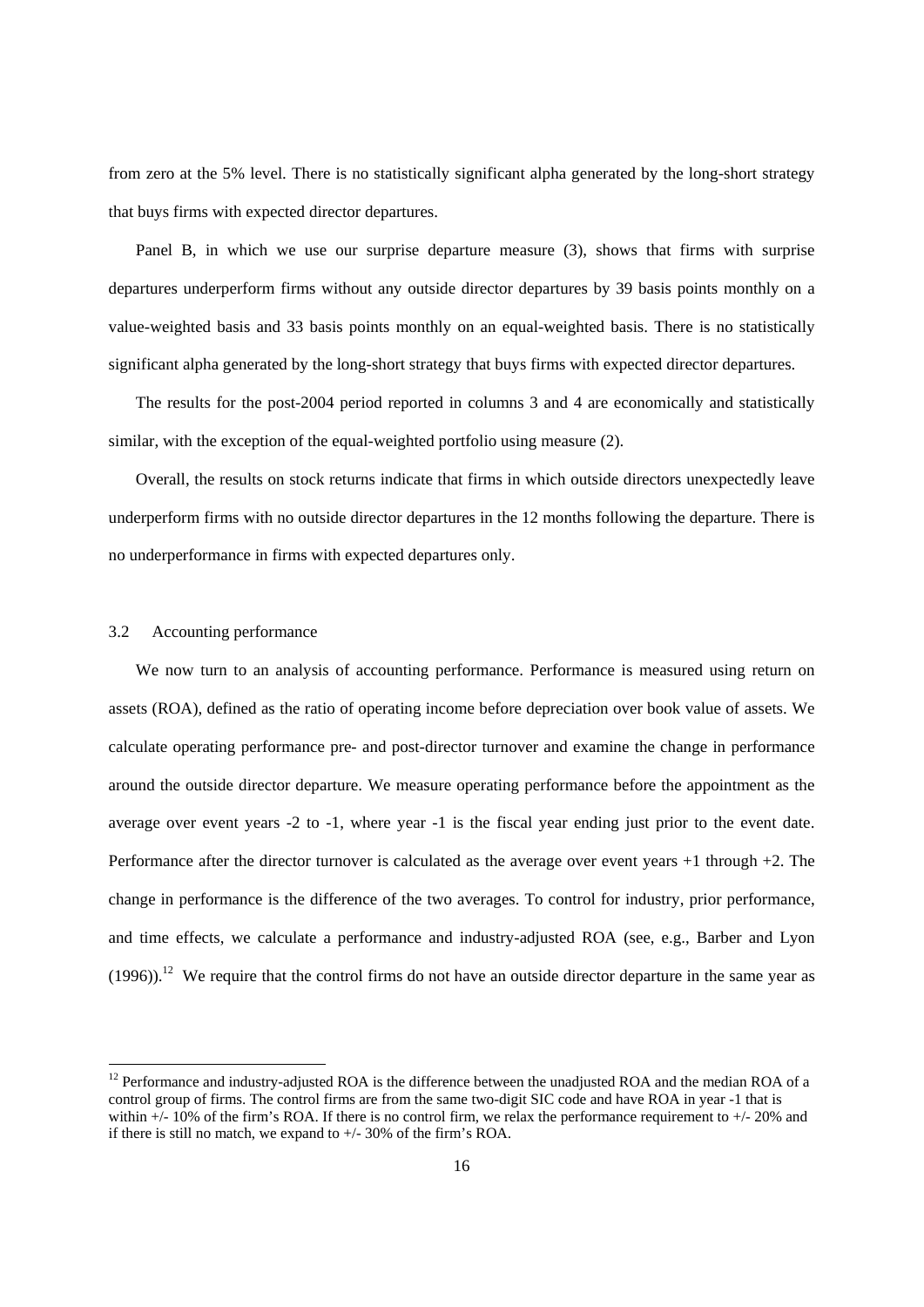from zero at the 5% level. There is no statistically significant alpha generated by the long-short strategy that buys firms with expected director departures.

Panel B, in which we use our surprise departure measure (3), shows that firms with surprise departures underperform firms without any outside director departures by 39 basis points monthly on a value-weighted basis and 33 basis points monthly on an equal-weighted basis. There is no statistically significant alpha generated by the long-short strategy that buys firms with expected director departures.

The results for the post-2004 period reported in columns 3 and 4 are economically and statistically similar, with the exception of the equal-weighted portfolio using measure (2).

Overall, the results on stock returns indicate that firms in which outside directors unexpectedly leave underperform firms with no outside director departures in the 12 months following the departure. There is no underperformance in firms with expected departures only.

# 3.2 Accounting performance

-

We now turn to an analysis of accounting performance. Performance is measured using return on assets (ROA), defined as the ratio of operating income before depreciation over book value of assets. We calculate operating performance pre- and post-director turnover and examine the change in performance around the outside director departure. We measure operating performance before the appointment as the average over event years -2 to -1, where year -1 is the fiscal year ending just prior to the event date. Performance after the director turnover is calculated as the average over event years +1 through +2. The change in performance is the difference of the two averages. To control for industry, prior performance, and time effects, we calculate a performance and industry-adjusted ROA (see, e.g., Barber and Lyon  $(1996)$ .<sup>12</sup> We require that the control firms do not have an outside director departure in the same year as

<sup>&</sup>lt;sup>12</sup> Performance and industry-adjusted ROA is the difference between the unadjusted ROA and the median ROA of a control group of firms. The control firms are from the same two-digit SIC code and have ROA in year -1 that is within  $+/- 10\%$  of the firm's ROA. If there is no control firm, we relax the performance requirement to  $+/- 20\%$  and if there is still no match, we expand to +/- 30% of the firm's ROA.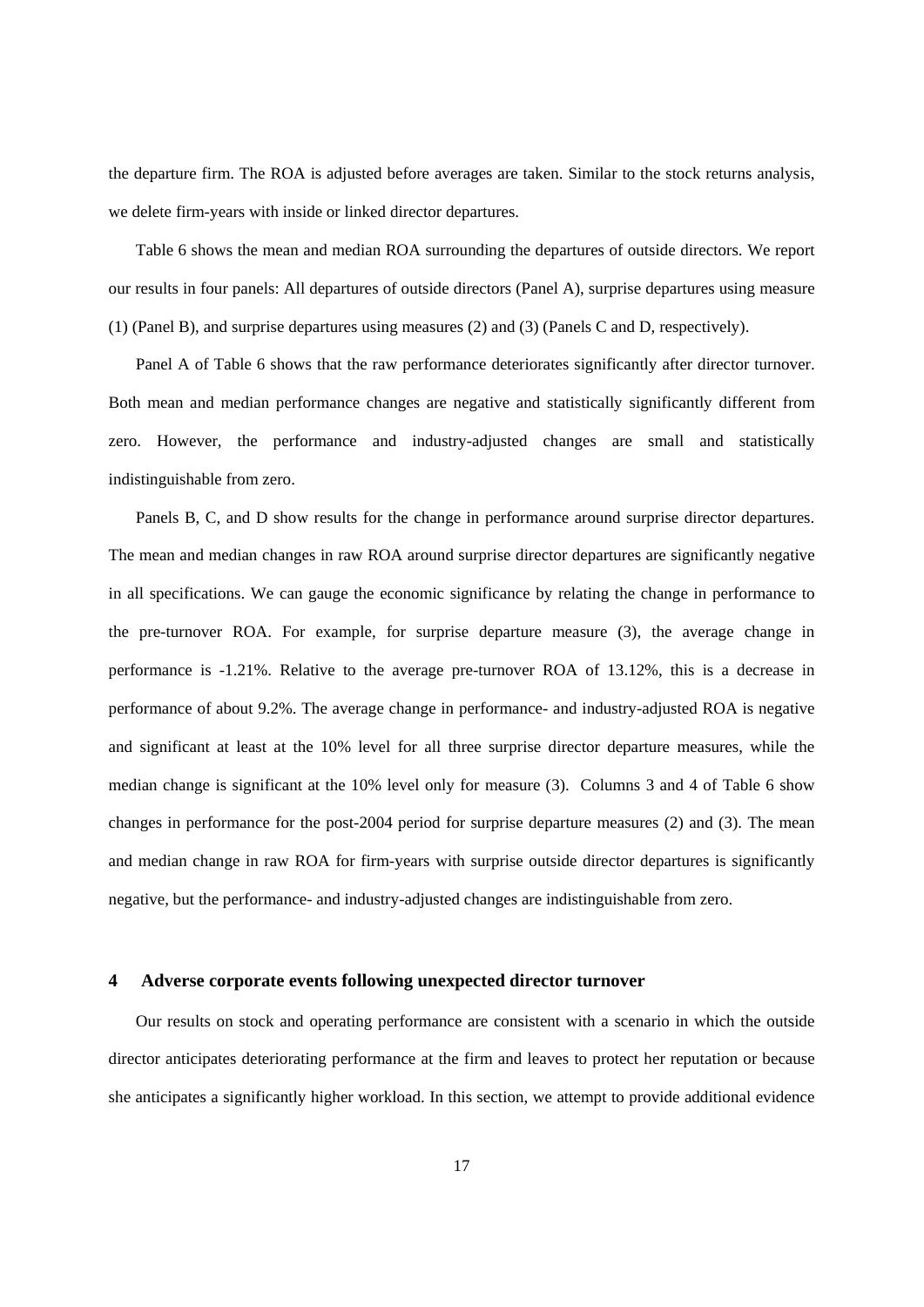the departure firm. The ROA is adjusted before averages are taken. Similar to the stock returns analysis, we delete firm-years with inside or linked director departures.

Table 6 shows the mean and median ROA surrounding the departures of outside directors. We report our results in four panels: All departures of outside directors (Panel A), surprise departures using measure (1) (Panel B), and surprise departures using measures (2) and (3) (Panels C and D, respectively).

Panel A of Table 6 shows that the raw performance deteriorates significantly after director turnover. Both mean and median performance changes are negative and statistically significantly different from zero. However, the performance and industry-adjusted changes are small and statistically indistinguishable from zero.

Panels B, C, and D show results for the change in performance around surprise director departures. The mean and median changes in raw ROA around surprise director departures are significantly negative in all specifications. We can gauge the economic significance by relating the change in performance to the pre-turnover ROA. For example, for surprise departure measure (3), the average change in performance is -1.21%. Relative to the average pre-turnover ROA of 13.12%, this is a decrease in performance of about 9.2%. The average change in performance- and industry-adjusted ROA is negative and significant at least at the 10% level for all three surprise director departure measures, while the median change is significant at the 10% level only for measure (3). Columns 3 and 4 of Table 6 show changes in performance for the post-2004 period for surprise departure measures (2) and (3). The mean and median change in raw ROA for firm-years with surprise outside director departures is significantly negative, but the performance- and industry-adjusted changes are indistinguishable from zero.

#### **4 Adverse corporate events following unexpected director turnover**

Our results on stock and operating performance are consistent with a scenario in which the outside director anticipates deteriorating performance at the firm and leaves to protect her reputation or because she anticipates a significantly higher workload. In this section, we attempt to provide additional evidence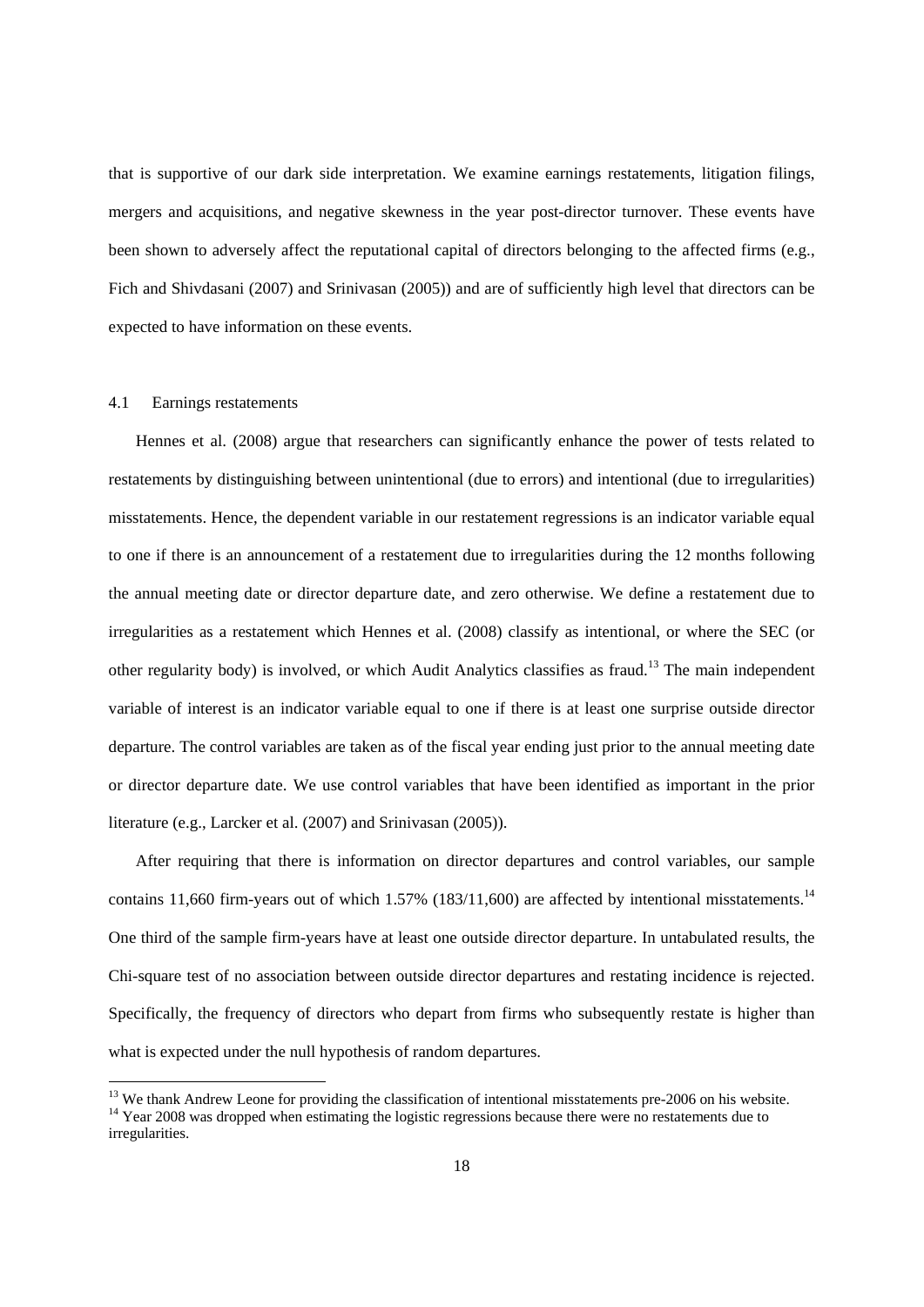that is supportive of our dark side interpretation. We examine earnings restatements, litigation filings, mergers and acquisitions, and negative skewness in the year post-director turnover. These events have been shown to adversely affect the reputational capital of directors belonging to the affected firms (e.g., Fich and Shivdasani (2007) and Srinivasan (2005)) and are of sufficiently high level that directors can be expected to have information on these events.

#### 4.1 Earnings restatements

-

Hennes et al. (2008) argue that researchers can significantly enhance the power of tests related to restatements by distinguishing between unintentional (due to errors) and intentional (due to irregularities) misstatements. Hence, the dependent variable in our restatement regressions is an indicator variable equal to one if there is an announcement of a restatement due to irregularities during the 12 months following the annual meeting date or director departure date, and zero otherwise. We define a restatement due to irregularities as a restatement which Hennes et al. (2008) classify as intentional, or where the SEC (or other regularity body) is involved, or which Audit Analytics classifies as fraud.13 The main independent variable of interest is an indicator variable equal to one if there is at least one surprise outside director departure. The control variables are taken as of the fiscal year ending just prior to the annual meeting date or director departure date. We use control variables that have been identified as important in the prior literature (e.g., Larcker et al. (2007) and Srinivasan (2005)).

After requiring that there is information on director departures and control variables, our sample contains 11,660 firm-years out of which  $1.57\%$  (183/11,600) are affected by intentional misstatements.<sup>14</sup> One third of the sample firm-years have at least one outside director departure. In untabulated results, the Chi-square test of no association between outside director departures and restating incidence is rejected. Specifically, the frequency of directors who depart from firms who subsequently restate is higher than what is expected under the null hypothesis of random departures.

<sup>&</sup>lt;sup>13</sup> We thank Andrew Leone for providing the classification of intentional misstatements pre-2006 on his website. <sup>14</sup> Year 2008 was dropped when estimating the logistic regressions because there were no restatements due to irregularities.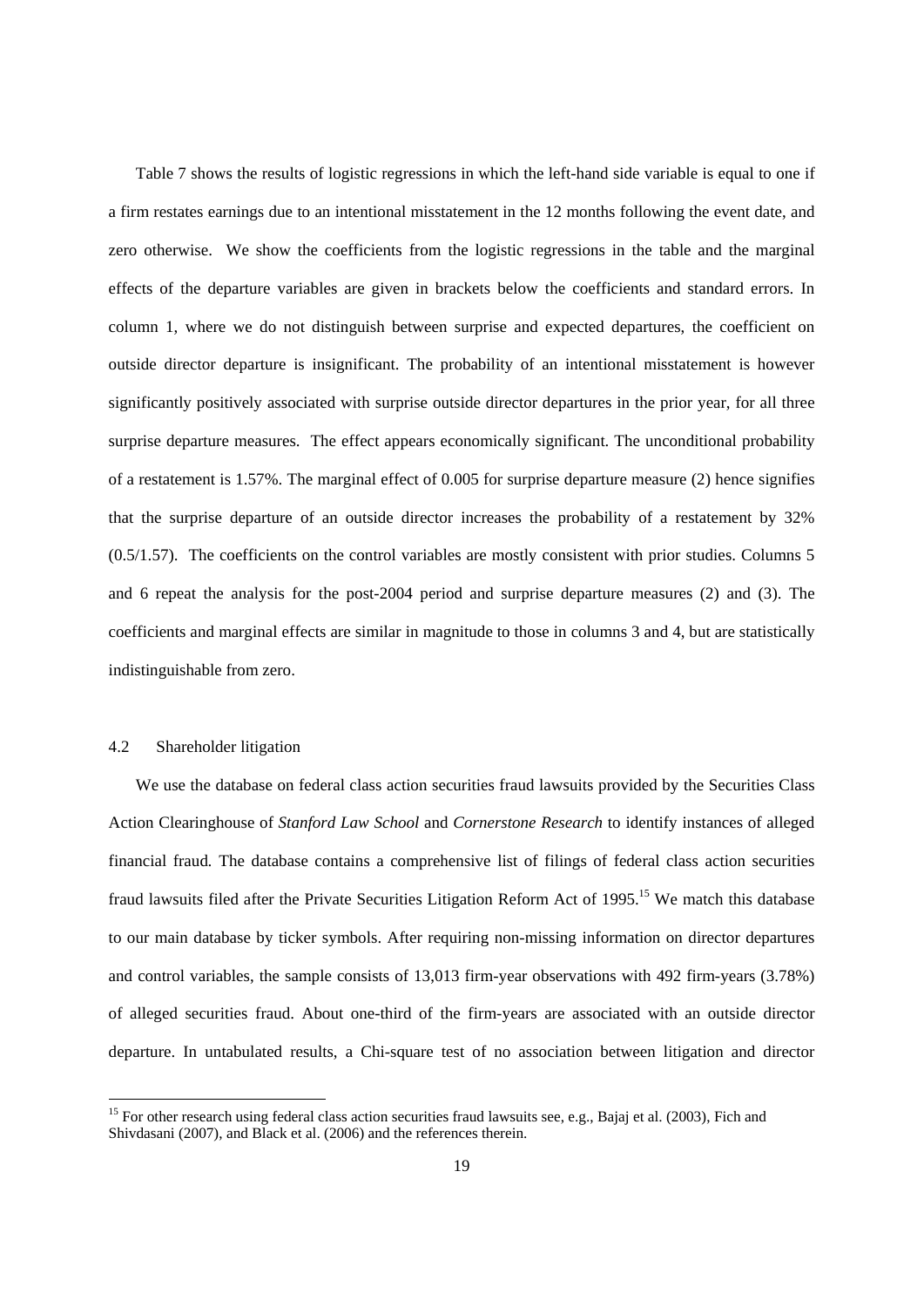Table 7 shows the results of logistic regressions in which the left-hand side variable is equal to one if a firm restates earnings due to an intentional misstatement in the 12 months following the event date, and zero otherwise. We show the coefficients from the logistic regressions in the table and the marginal effects of the departure variables are given in brackets below the coefficients and standard errors. In column 1, where we do not distinguish between surprise and expected departures, the coefficient on outside director departure is insignificant. The probability of an intentional misstatement is however significantly positively associated with surprise outside director departures in the prior year, for all three surprise departure measures. The effect appears economically significant. The unconditional probability of a restatement is 1.57%. The marginal effect of 0.005 for surprise departure measure (2) hence signifies that the surprise departure of an outside director increases the probability of a restatement by 32% (0.5/1.57). The coefficients on the control variables are mostly consistent with prior studies. Columns 5 and 6 repeat the analysis for the post-2004 period and surprise departure measures (2) and (3). The coefficients and marginal effects are similar in magnitude to those in columns 3 and 4, but are statistically indistinguishable from zero.

# 4.2 Shareholder litigation

-

We use the database on federal class action securities fraud lawsuits provided by the Securities Class Action Clearinghouse of *Stanford Law School* and *Cornerstone Research* to identify instances of alleged financial fraud*.* The database contains a comprehensive list of filings of federal class action securities fraud lawsuits filed after the Private Securities Litigation Reform Act of 1995.15 We match this database to our main database by ticker symbols. After requiring non-missing information on director departures and control variables, the sample consists of 13,013 firm-year observations with 492 firm-years (3.78%) of alleged securities fraud. About one-third of the firm-years are associated with an outside director departure. In untabulated results, a Chi-square test of no association between litigation and director

<sup>&</sup>lt;sup>15</sup> For other research using federal class action securities fraud lawsuits see, e.g., Bajaj et al. (2003), Fich and Shivdasani (2007), and Black et al. (2006) and the references therein.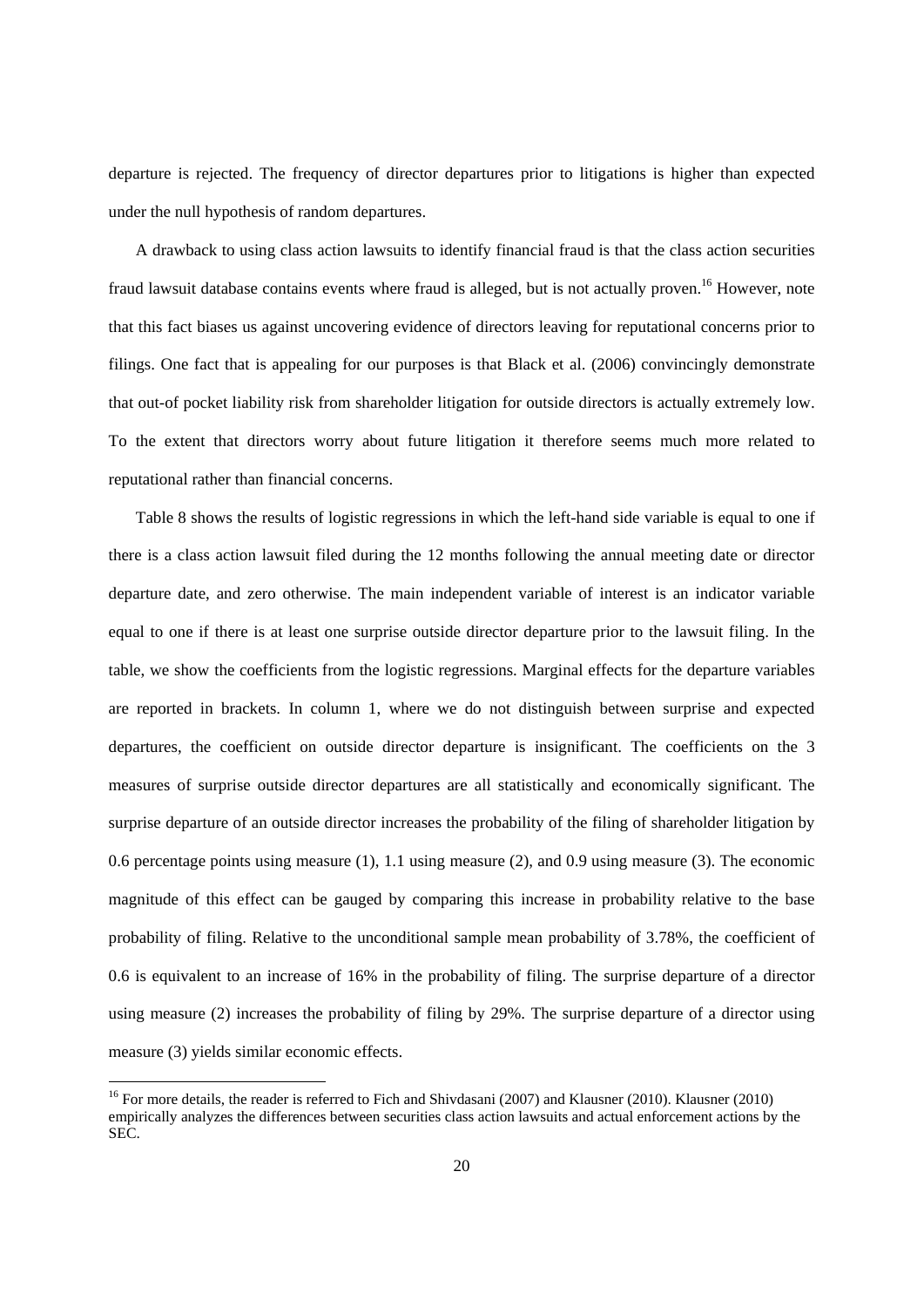departure is rejected. The frequency of director departures prior to litigations is higher than expected under the null hypothesis of random departures.

A drawback to using class action lawsuits to identify financial fraud is that the class action securities fraud lawsuit database contains events where fraud is alleged, but is not actually proven.<sup>16</sup> However, note that this fact biases us against uncovering evidence of directors leaving for reputational concerns prior to filings. One fact that is appealing for our purposes is that Black et al. (2006) convincingly demonstrate that out-of pocket liability risk from shareholder litigation for outside directors is actually extremely low. To the extent that directors worry about future litigation it therefore seems much more related to reputational rather than financial concerns.

Table 8 shows the results of logistic regressions in which the left-hand side variable is equal to one if there is a class action lawsuit filed during the 12 months following the annual meeting date or director departure date, and zero otherwise. The main independent variable of interest is an indicator variable equal to one if there is at least one surprise outside director departure prior to the lawsuit filing. In the table, we show the coefficients from the logistic regressions. Marginal effects for the departure variables are reported in brackets. In column 1, where we do not distinguish between surprise and expected departures, the coefficient on outside director departure is insignificant. The coefficients on the 3 measures of surprise outside director departures are all statistically and economically significant. The surprise departure of an outside director increases the probability of the filing of shareholder litigation by 0.6 percentage points using measure (1), 1.1 using measure (2), and 0.9 using measure (3). The economic magnitude of this effect can be gauged by comparing this increase in probability relative to the base probability of filing. Relative to the unconditional sample mean probability of 3.78%, the coefficient of 0.6 is equivalent to an increase of 16% in the probability of filing. The surprise departure of a director using measure (2) increases the probability of filing by 29%. The surprise departure of a director using measure (3) yields similar economic effects.

<sup>&</sup>lt;sup>16</sup> For more details, the reader is referred to Fich and Shivdasani (2007) and Klausner (2010). Klausner (2010) empirically analyzes the differences between securities class action lawsuits and actual enforcement actions by the SEC.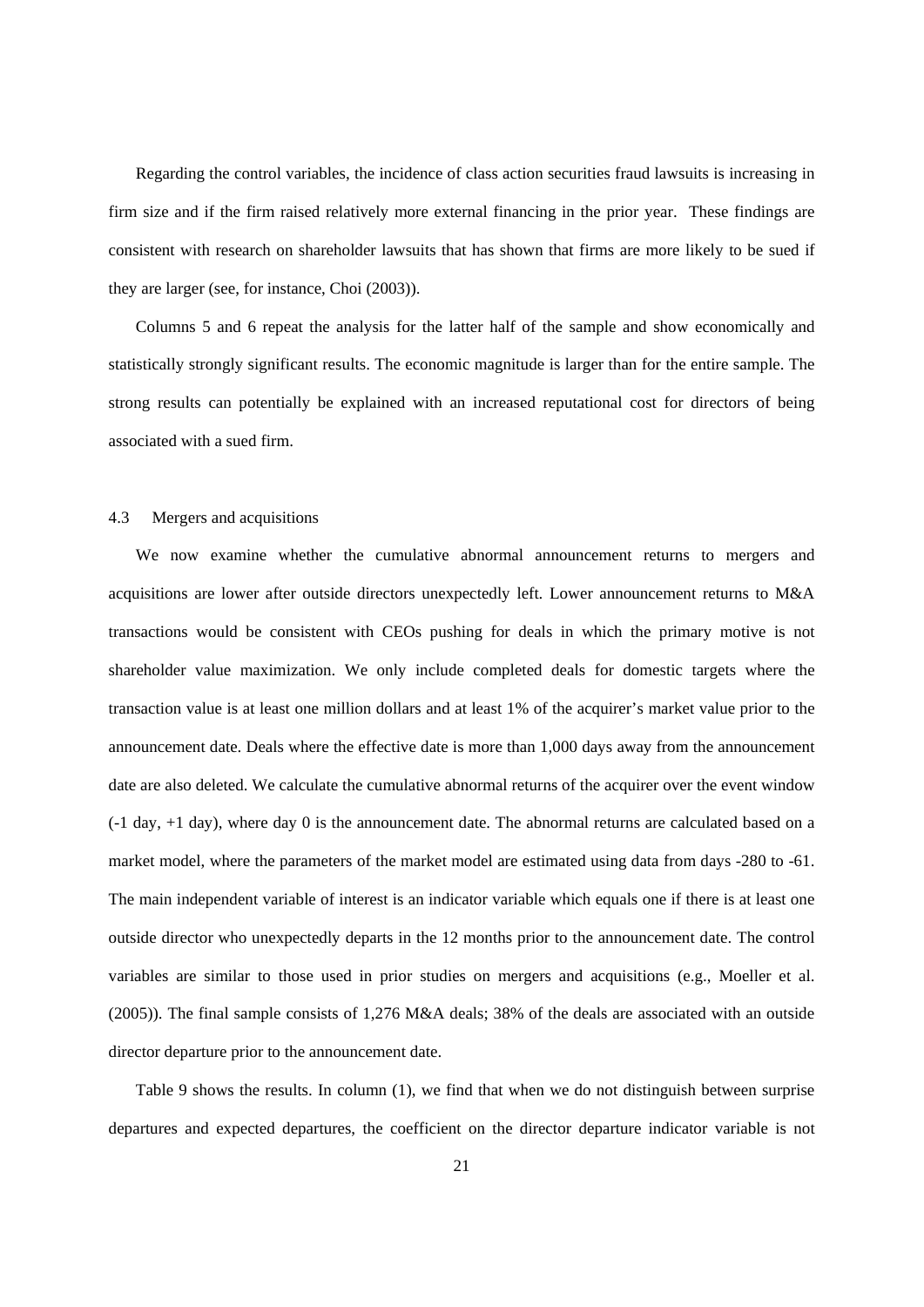Regarding the control variables, the incidence of class action securities fraud lawsuits is increasing in firm size and if the firm raised relatively more external financing in the prior year. These findings are consistent with research on shareholder lawsuits that has shown that firms are more likely to be sued if they are larger (see, for instance, Choi (2003)).

Columns 5 and 6 repeat the analysis for the latter half of the sample and show economically and statistically strongly significant results. The economic magnitude is larger than for the entire sample. The strong results can potentially be explained with an increased reputational cost for directors of being associated with a sued firm.

# 4.3 Mergers and acquisitions

We now examine whether the cumulative abnormal announcement returns to mergers and acquisitions are lower after outside directors unexpectedly left. Lower announcement returns to M&A transactions would be consistent with CEOs pushing for deals in which the primary motive is not shareholder value maximization. We only include completed deals for domestic targets where the transaction value is at least one million dollars and at least 1% of the acquirer's market value prior to the announcement date. Deals where the effective date is more than 1,000 days away from the announcement date are also deleted. We calculate the cumulative abnormal returns of the acquirer over the event window (-1 day, +1 day), where day 0 is the announcement date. The abnormal returns are calculated based on a market model, where the parameters of the market model are estimated using data from days -280 to -61. The main independent variable of interest is an indicator variable which equals one if there is at least one outside director who unexpectedly departs in the 12 months prior to the announcement date. The control variables are similar to those used in prior studies on mergers and acquisitions (e.g., Moeller et al. (2005)). The final sample consists of 1,276 M&A deals; 38% of the deals are associated with an outside director departure prior to the announcement date.

Table 9 shows the results. In column (1), we find that when we do not distinguish between surprise departures and expected departures, the coefficient on the director departure indicator variable is not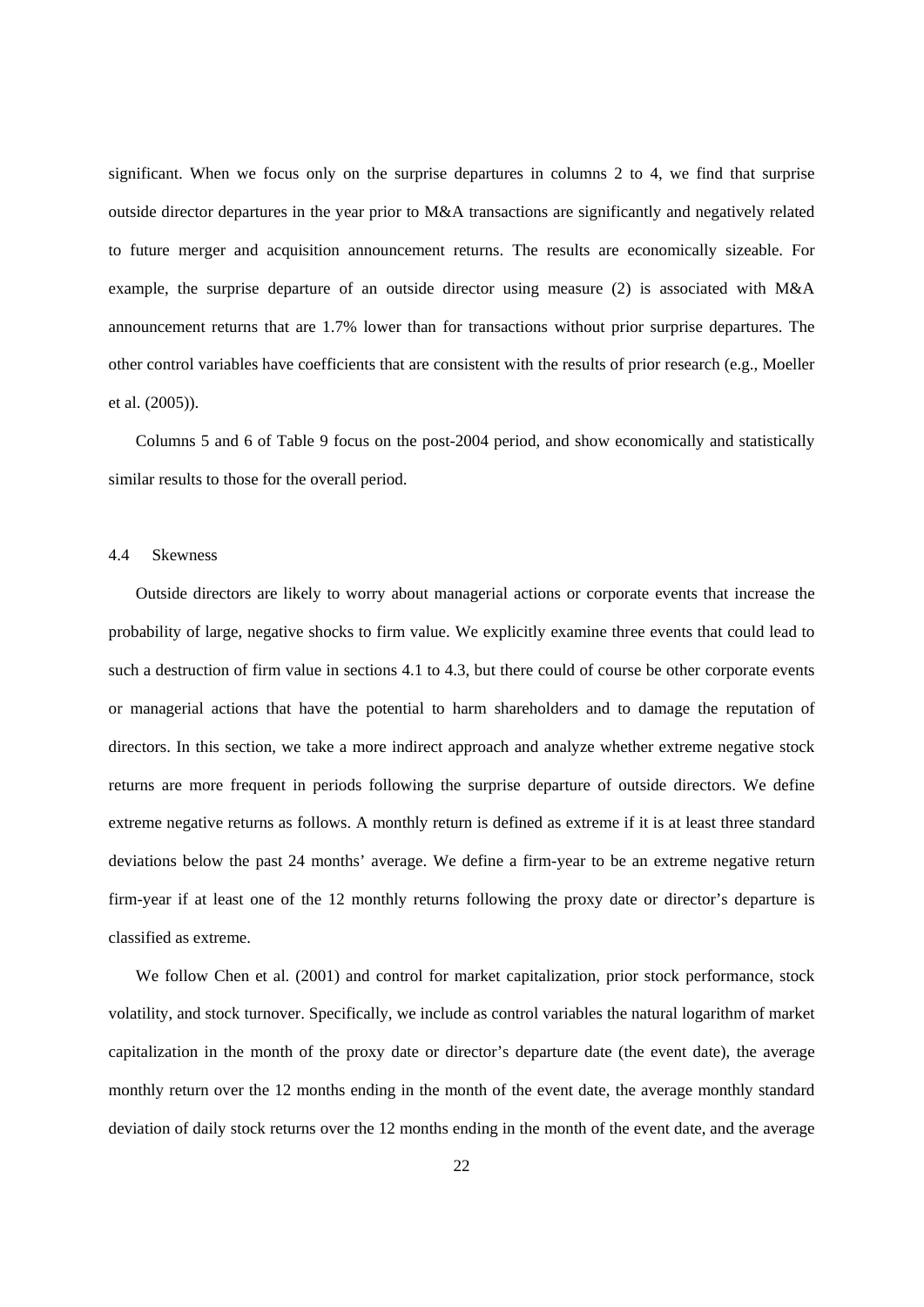significant. When we focus only on the surprise departures in columns 2 to 4, we find that surprise outside director departures in the year prior to M&A transactions are significantly and negatively related to future merger and acquisition announcement returns. The results are economically sizeable. For example, the surprise departure of an outside director using measure (2) is associated with M&A announcement returns that are 1.7% lower than for transactions without prior surprise departures. The other control variables have coefficients that are consistent with the results of prior research (e.g., Moeller et al. (2005)).

Columns 5 and 6 of Table 9 focus on the post-2004 period, and show economically and statistically similar results to those for the overall period.

# 4.4 Skewness

Outside directors are likely to worry about managerial actions or corporate events that increase the probability of large, negative shocks to firm value. We explicitly examine three events that could lead to such a destruction of firm value in sections 4.1 to 4.3, but there could of course be other corporate events or managerial actions that have the potential to harm shareholders and to damage the reputation of directors. In this section, we take a more indirect approach and analyze whether extreme negative stock returns are more frequent in periods following the surprise departure of outside directors. We define extreme negative returns as follows. A monthly return is defined as extreme if it is at least three standard deviations below the past 24 months' average. We define a firm-year to be an extreme negative return firm-year if at least one of the 12 monthly returns following the proxy date or director's departure is classified as extreme.

We follow Chen et al. (2001) and control for market capitalization, prior stock performance, stock volatility, and stock turnover. Specifically, we include as control variables the natural logarithm of market capitalization in the month of the proxy date or director's departure date (the event date), the average monthly return over the 12 months ending in the month of the event date, the average monthly standard deviation of daily stock returns over the 12 months ending in the month of the event date, and the average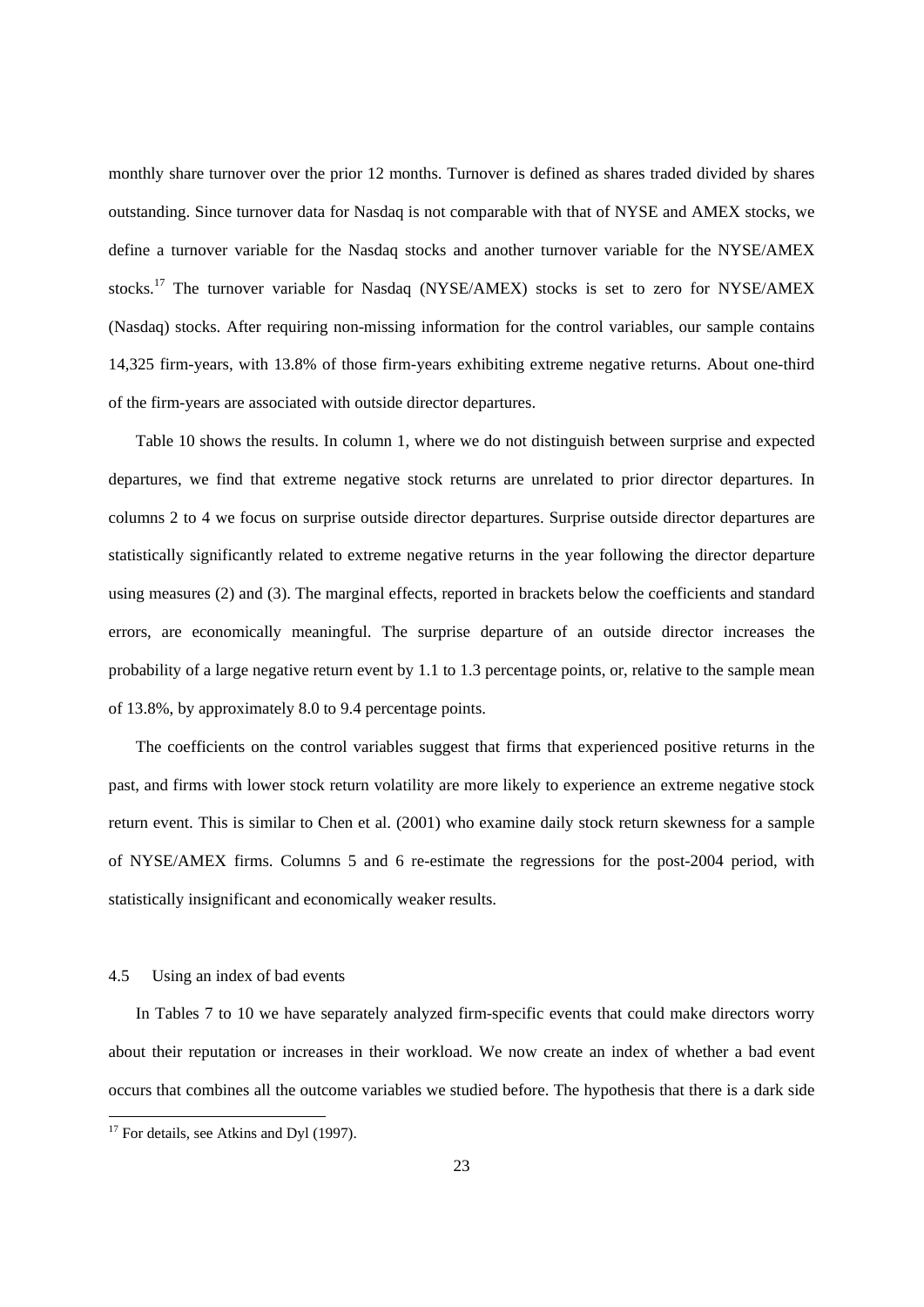monthly share turnover over the prior 12 months. Turnover is defined as shares traded divided by shares outstanding. Since turnover data for Nasdaq is not comparable with that of NYSE and AMEX stocks, we define a turnover variable for the Nasdaq stocks and another turnover variable for the NYSE/AMEX stocks.17 The turnover variable for Nasdaq (NYSE/AMEX) stocks is set to zero for NYSE/AMEX (Nasdaq) stocks. After requiring non-missing information for the control variables, our sample contains 14,325 firm-years, with 13.8% of those firm-years exhibiting extreme negative returns. About one-third of the firm-years are associated with outside director departures.

Table 10 shows the results. In column 1, where we do not distinguish between surprise and expected departures, we find that extreme negative stock returns are unrelated to prior director departures. In columns 2 to 4 we focus on surprise outside director departures. Surprise outside director departures are statistically significantly related to extreme negative returns in the year following the director departure using measures (2) and (3). The marginal effects, reported in brackets below the coefficients and standard errors, are economically meaningful. The surprise departure of an outside director increases the probability of a large negative return event by 1.1 to 1.3 percentage points, or, relative to the sample mean of 13.8%, by approximately 8.0 to 9.4 percentage points.

The coefficients on the control variables suggest that firms that experienced positive returns in the past, and firms with lower stock return volatility are more likely to experience an extreme negative stock return event. This is similar to Chen et al. (2001) who examine daily stock return skewness for a sample of NYSE/AMEX firms. Columns 5 and 6 re-estimate the regressions for the post-2004 period, with statistically insignificant and economically weaker results.

# 4.5 Using an index of bad events

In Tables 7 to 10 we have separately analyzed firm-specific events that could make directors worry about their reputation or increases in their workload. We now create an index of whether a bad event occurs that combines all the outcome variables we studied before. The hypothesis that there is a dark side

1

 $17$  For details, see Atkins and Dyl (1997).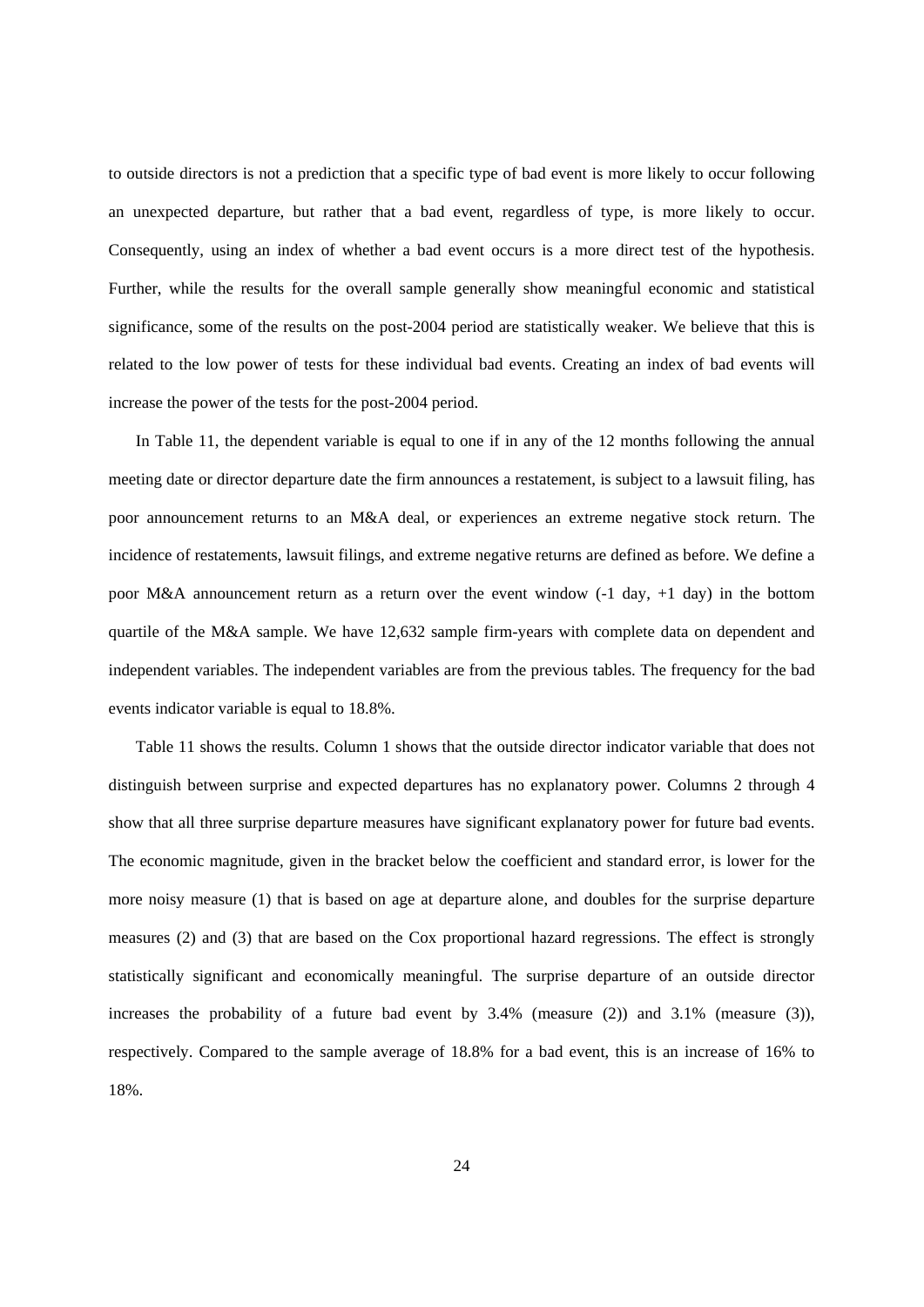to outside directors is not a prediction that a specific type of bad event is more likely to occur following an unexpected departure, but rather that a bad event, regardless of type, is more likely to occur. Consequently, using an index of whether a bad event occurs is a more direct test of the hypothesis. Further, while the results for the overall sample generally show meaningful economic and statistical significance, some of the results on the post-2004 period are statistically weaker. We believe that this is related to the low power of tests for these individual bad events. Creating an index of bad events will increase the power of the tests for the post-2004 period.

In Table 11, the dependent variable is equal to one if in any of the 12 months following the annual meeting date or director departure date the firm announces a restatement, is subject to a lawsuit filing, has poor announcement returns to an M&A deal, or experiences an extreme negative stock return. The incidence of restatements, lawsuit filings, and extreme negative returns are defined as before. We define a poor M&A announcement return as a return over the event window (-1 day, +1 day) in the bottom quartile of the M&A sample. We have 12,632 sample firm-years with complete data on dependent and independent variables. The independent variables are from the previous tables. The frequency for the bad events indicator variable is equal to 18.8%.

Table 11 shows the results. Column 1 shows that the outside director indicator variable that does not distinguish between surprise and expected departures has no explanatory power. Columns 2 through 4 show that all three surprise departure measures have significant explanatory power for future bad events. The economic magnitude, given in the bracket below the coefficient and standard error, is lower for the more noisy measure (1) that is based on age at departure alone, and doubles for the surprise departure measures (2) and (3) that are based on the Cox proportional hazard regressions. The effect is strongly statistically significant and economically meaningful. The surprise departure of an outside director increases the probability of a future bad event by  $3.4\%$  (measure (2)) and  $3.1\%$  (measure (3)), respectively. Compared to the sample average of 18.8% for a bad event, this is an increase of 16% to 18%.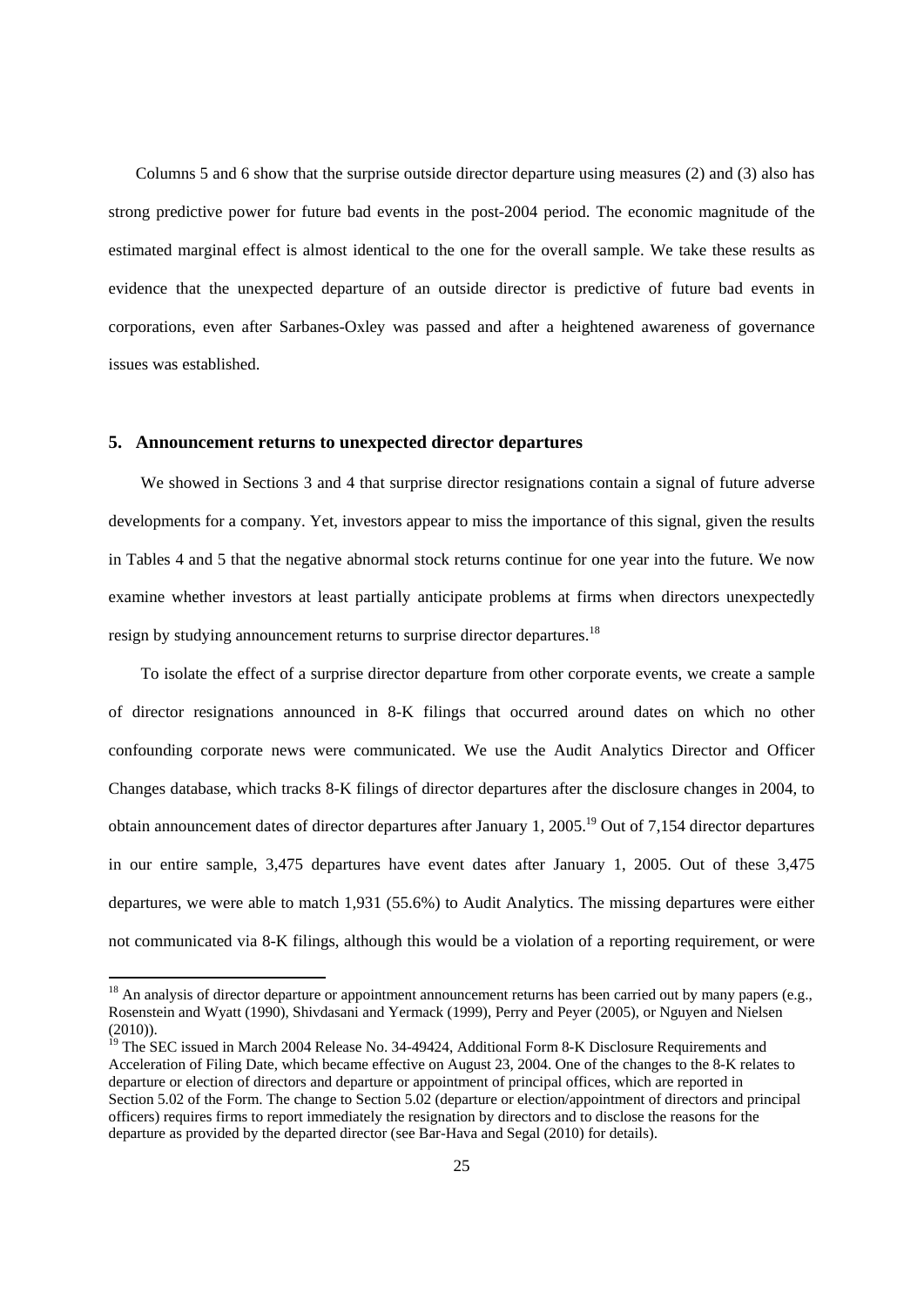Columns 5 and 6 show that the surprise outside director departure using measures (2) and (3) also has strong predictive power for future bad events in the post-2004 period. The economic magnitude of the estimated marginal effect is almost identical to the one for the overall sample. We take these results as evidence that the unexpected departure of an outside director is predictive of future bad events in corporations, even after Sarbanes-Oxley was passed and after a heightened awareness of governance issues was established.

# **5. Announcement returns to unexpected director departures**

-

We showed in Sections 3 and 4 that surprise director resignations contain a signal of future adverse developments for a company. Yet, investors appear to miss the importance of this signal, given the results in Tables 4 and 5 that the negative abnormal stock returns continue for one year into the future. We now examine whether investors at least partially anticipate problems at firms when directors unexpectedly resign by studying announcement returns to surprise director departures.<sup>18</sup>

To isolate the effect of a surprise director departure from other corporate events, we create a sample of director resignations announced in 8-K filings that occurred around dates on which no other confounding corporate news were communicated. We use the Audit Analytics Director and Officer Changes database, which tracks 8-K filings of director departures after the disclosure changes in 2004, to obtain announcement dates of director departures after January 1, 2005.19 Out of 7,154 director departures in our entire sample, 3,475 departures have event dates after January 1, 2005. Out of these 3,475 departures, we were able to match 1,931 (55.6%) to Audit Analytics. The missing departures were either not communicated via 8-K filings, although this would be a violation of a reporting requirement, or were

 $18$  An analysis of director departure or appointment announcement returns has been carried out by many papers (e.g., Rosenstein and Wyatt (1990), Shivdasani and Yermack (1999), Perry and Peyer (2005), or Nguyen and Nielsen (2010)).

<sup>&</sup>lt;sup>19</sup> The SEC issued in March 2004 Release No. 34-49424, Additional Form 8-K Disclosure Requirements and Acceleration of Filing Date, which became effective on August 23, 2004. One of the changes to the 8-K relates to departure or election of directors and departure or appointment of principal offices, which are reported in Section 5.02 of the Form. The change to Section 5.02 (departure or election/appointment of directors and principal officers) requires firms to report immediately the resignation by directors and to disclose the reasons for the departure as provided by the departed director (see Bar-Hava and Segal (2010) for details).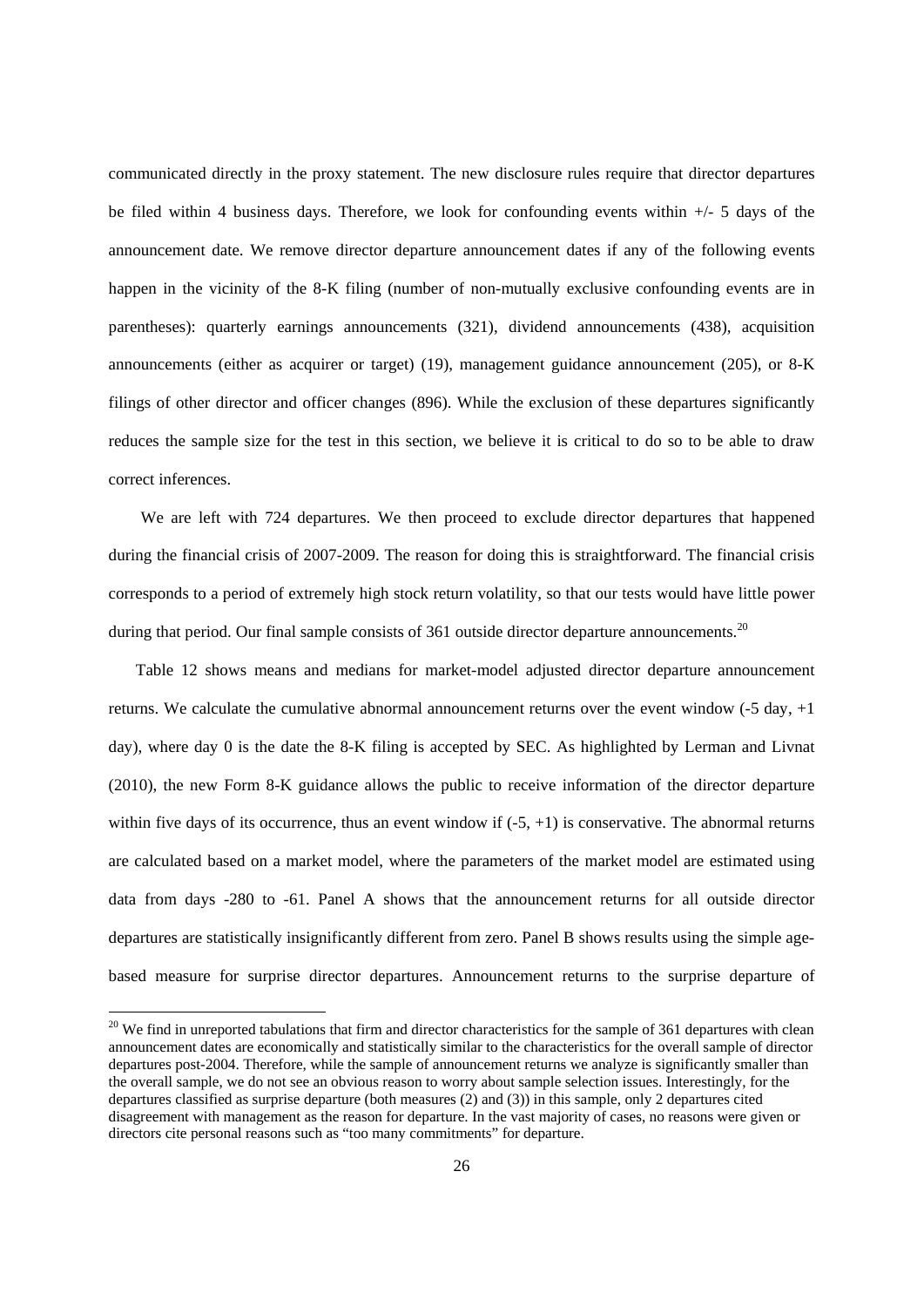communicated directly in the proxy statement. The new disclosure rules require that director departures be filed within 4 business days. Therefore, we look for confounding events within +/- 5 days of the announcement date. We remove director departure announcement dates if any of the following events happen in the vicinity of the 8-K filing (number of non-mutually exclusive confounding events are in parentheses): quarterly earnings announcements (321), dividend announcements (438), acquisition announcements (either as acquirer or target) (19), management guidance announcement (205), or 8-K filings of other director and officer changes (896). While the exclusion of these departures significantly reduces the sample size for the test in this section, we believe it is critical to do so to be able to draw correct inferences.

We are left with 724 departures. We then proceed to exclude director departures that happened during the financial crisis of 2007-2009. The reason for doing this is straightforward. The financial crisis corresponds to a period of extremely high stock return volatility, so that our tests would have little power during that period. Our final sample consists of 361 outside director departure announcements.<sup>20</sup>

Table 12 shows means and medians for market-model adjusted director departure announcement returns. We calculate the cumulative abnormal announcement returns over the event window  $(-5 \text{ day}, +1)$ day), where day 0 is the date the 8-K filing is accepted by SEC. As highlighted by Lerman and Livnat (2010), the new Form 8-K guidance allows the public to receive information of the director departure within five days of its occurrence, thus an event window if  $(-5, +1)$  is conservative. The abnormal returns are calculated based on a market model, where the parameters of the market model are estimated using data from days -280 to -61. Panel A shows that the announcement returns for all outside director departures are statistically insignificantly different from zero. Panel B shows results using the simple agebased measure for surprise director departures. Announcement returns to the surprise departure of

 $\overline{a}$ 

 $20$  We find in unreported tabulations that firm and director characteristics for the sample of 361 departures with clean announcement dates are economically and statistically similar to the characteristics for the overall sample of director departures post-2004. Therefore, while the sample of announcement returns we analyze is significantly smaller than the overall sample, we do not see an obvious reason to worry about sample selection issues. Interestingly, for the departures classified as surprise departure (both measures (2) and (3)) in this sample, only 2 departures cited disagreement with management as the reason for departure. In the vast majority of cases, no reasons were given or directors cite personal reasons such as "too many commitments" for departure.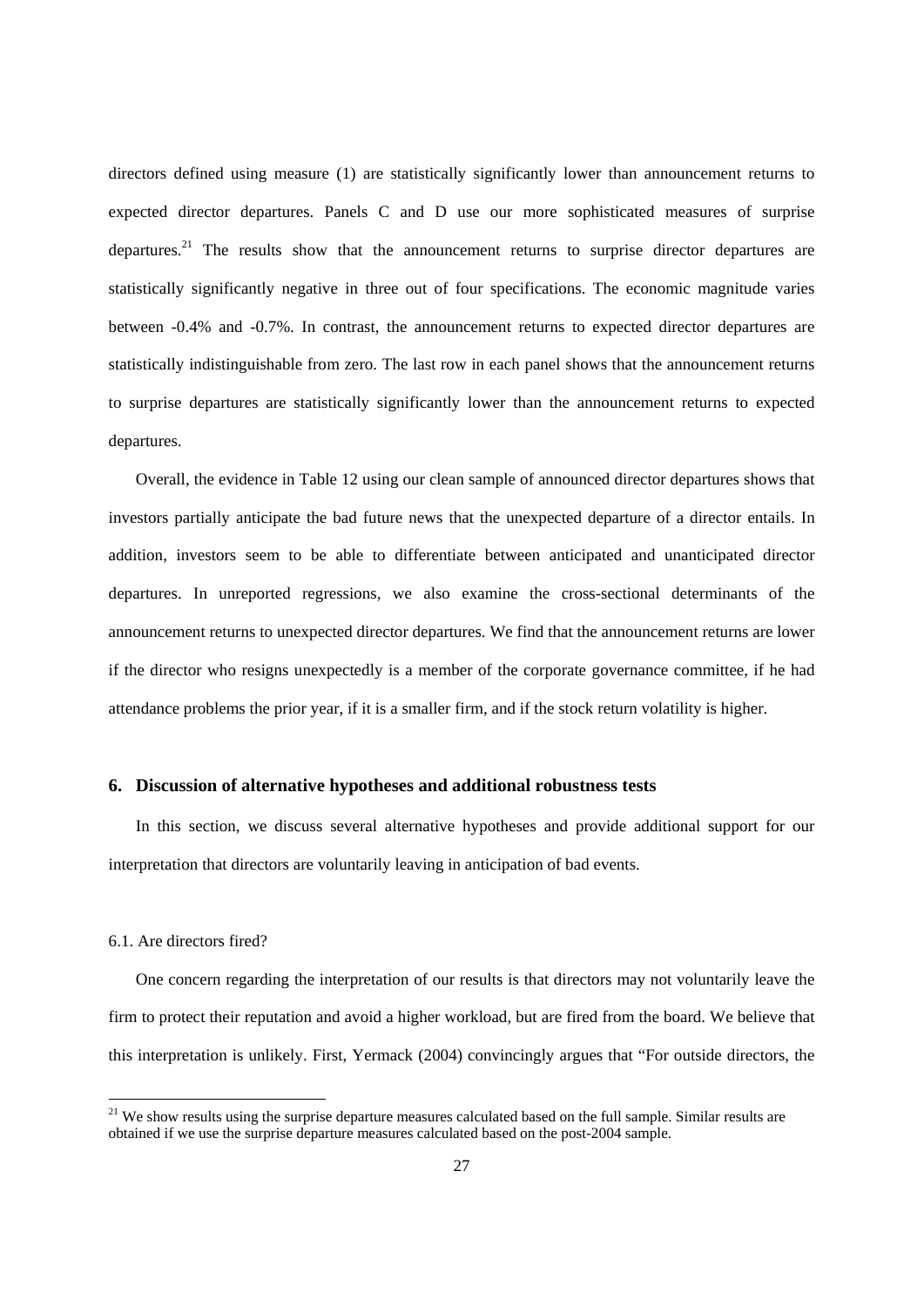directors defined using measure (1) are statistically significantly lower than announcement returns to expected director departures. Panels C and D use our more sophisticated measures of surprise departures.<sup>21</sup> The results show that the announcement returns to surprise director departures are statistically significantly negative in three out of four specifications. The economic magnitude varies between -0.4% and -0.7%. In contrast, the announcement returns to expected director departures are statistically indistinguishable from zero. The last row in each panel shows that the announcement returns to surprise departures are statistically significantly lower than the announcement returns to expected departures.

Overall, the evidence in Table 12 using our clean sample of announced director departures shows that investors partially anticipate the bad future news that the unexpected departure of a director entails. In addition, investors seem to be able to differentiate between anticipated and unanticipated director departures. In unreported regressions, we also examine the cross-sectional determinants of the announcement returns to unexpected director departures. We find that the announcement returns are lower if the director who resigns unexpectedly is a member of the corporate governance committee, if he had attendance problems the prior year, if it is a smaller firm, and if the stock return volatility is higher.

# **6. Discussion of alternative hypotheses and additional robustness tests**

In this section, we discuss several alternative hypotheses and provide additional support for our interpretation that directors are voluntarily leaving in anticipation of bad events.

#### 6.1. Are directors fired?

-

One concern regarding the interpretation of our results is that directors may not voluntarily leave the firm to protect their reputation and avoid a higher workload, but are fired from the board. We believe that this interpretation is unlikely. First, Yermack (2004) convincingly argues that "For outside directors, the

<sup>&</sup>lt;sup>21</sup> We show results using the surprise departure measures calculated based on the full sample. Similar results are obtained if we use the surprise departure measures calculated based on the post-2004 sample.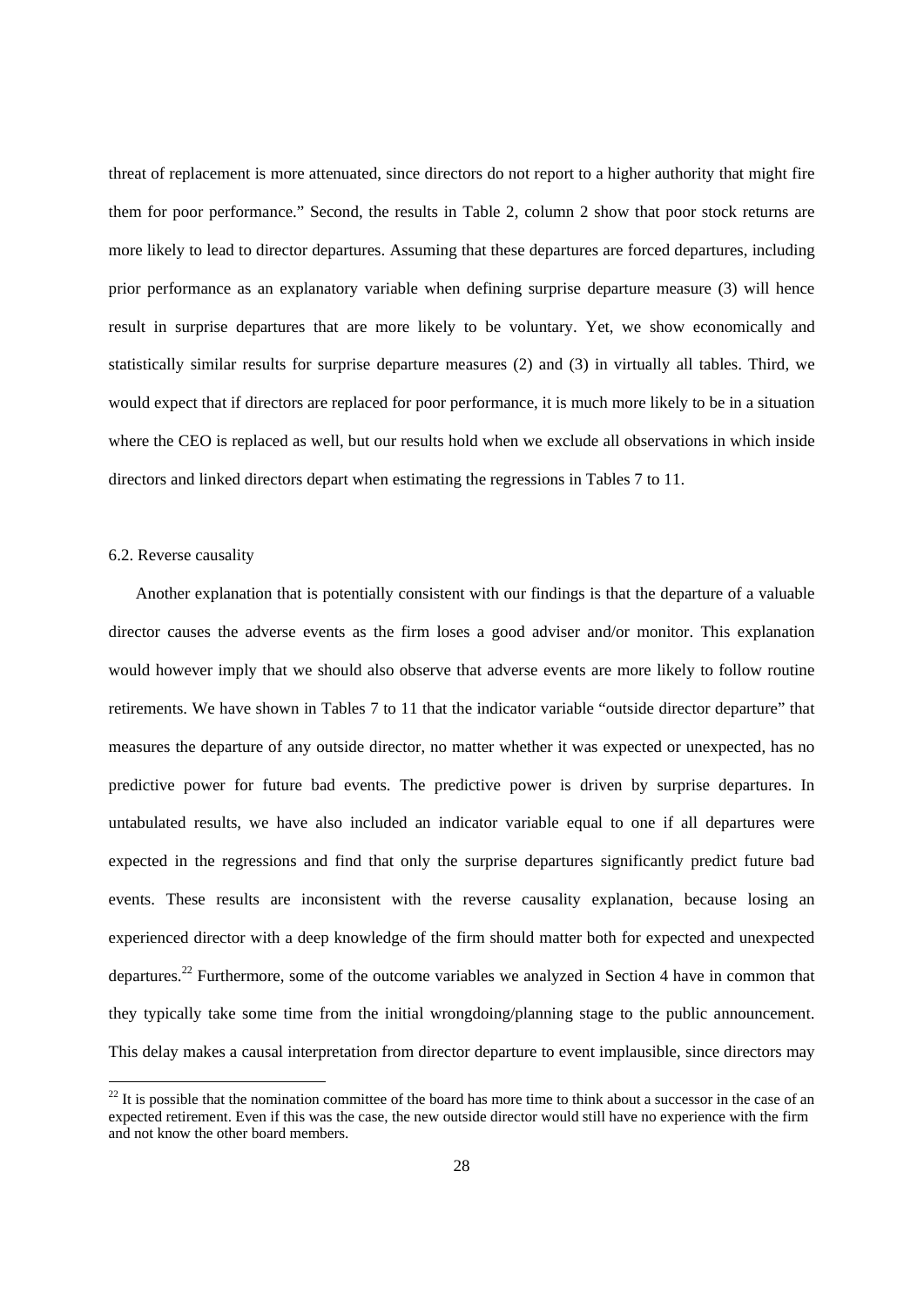threat of replacement is more attenuated, since directors do not report to a higher authority that might fire them for poor performance." Second, the results in Table 2, column 2 show that poor stock returns are more likely to lead to director departures. Assuming that these departures are forced departures, including prior performance as an explanatory variable when defining surprise departure measure (3) will hence result in surprise departures that are more likely to be voluntary. Yet, we show economically and statistically similar results for surprise departure measures (2) and (3) in virtually all tables. Third, we would expect that if directors are replaced for poor performance, it is much more likely to be in a situation where the CEO is replaced as well, but our results hold when we exclude all observations in which inside directors and linked directors depart when estimating the regressions in Tables 7 to 11.

# 6.2. Reverse causality

-

Another explanation that is potentially consistent with our findings is that the departure of a valuable director causes the adverse events as the firm loses a good adviser and/or monitor. This explanation would however imply that we should also observe that adverse events are more likely to follow routine retirements. We have shown in Tables 7 to 11 that the indicator variable "outside director departure" that measures the departure of any outside director, no matter whether it was expected or unexpected, has no predictive power for future bad events. The predictive power is driven by surprise departures. In untabulated results, we have also included an indicator variable equal to one if all departures were expected in the regressions and find that only the surprise departures significantly predict future bad events. These results are inconsistent with the reverse causality explanation, because losing an experienced director with a deep knowledge of the firm should matter both for expected and unexpected departures.22 Furthermore, some of the outcome variables we analyzed in Section 4 have in common that they typically take some time from the initial wrongdoing/planning stage to the public announcement. This delay makes a causal interpretation from director departure to event implausible, since directors may

 $22$  It is possible that the nomination committee of the board has more time to think about a successor in the case of an expected retirement. Even if this was the case, the new outside director would still have no experience with the firm and not know the other board members.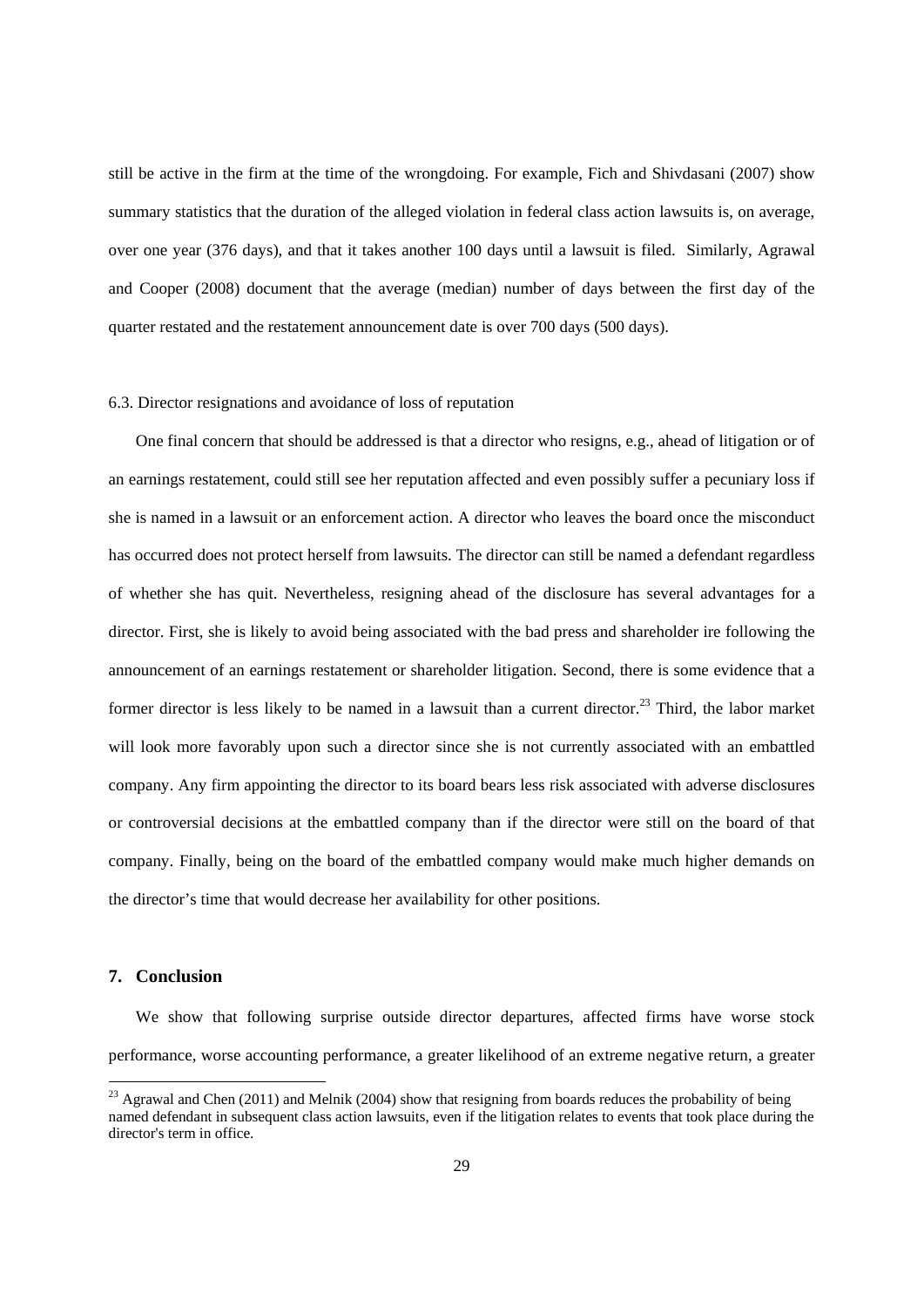still be active in the firm at the time of the wrongdoing. For example, Fich and Shivdasani (2007) show summary statistics that the duration of the alleged violation in federal class action lawsuits is, on average, over one year (376 days), and that it takes another 100 days until a lawsuit is filed. Similarly, Agrawal and Cooper (2008) document that the average (median) number of days between the first day of the quarter restated and the restatement announcement date is over 700 days (500 days).

#### 6.3. Director resignations and avoidance of loss of reputation

One final concern that should be addressed is that a director who resigns, e.g., ahead of litigation or of an earnings restatement, could still see her reputation affected and even possibly suffer a pecuniary loss if she is named in a lawsuit or an enforcement action. A director who leaves the board once the misconduct has occurred does not protect herself from lawsuits. The director can still be named a defendant regardless of whether she has quit. Nevertheless, resigning ahead of the disclosure has several advantages for a director. First, she is likely to avoid being associated with the bad press and shareholder ire following the announcement of an earnings restatement or shareholder litigation. Second, there is some evidence that a former director is less likely to be named in a lawsuit than a current director.<sup>23</sup> Third, the labor market will look more favorably upon such a director since she is not currently associated with an embattled company. Any firm appointing the director to its board bears less risk associated with adverse disclosures or controversial decisions at the embattled company than if the director were still on the board of that company. Finally, being on the board of the embattled company would make much higher demands on the director's time that would decrease her availability for other positions.

# **7. Conclusion**

-

We show that following surprise outside director departures, affected firms have worse stock performance, worse accounting performance, a greater likelihood of an extreme negative return, a greater

<sup>&</sup>lt;sup>23</sup> Agrawal and Chen (2011) and Melnik (2004) show that resigning from boards reduces the probability of being named defendant in subsequent class action lawsuits, even if the litigation relates to events that took place during the director's term in office.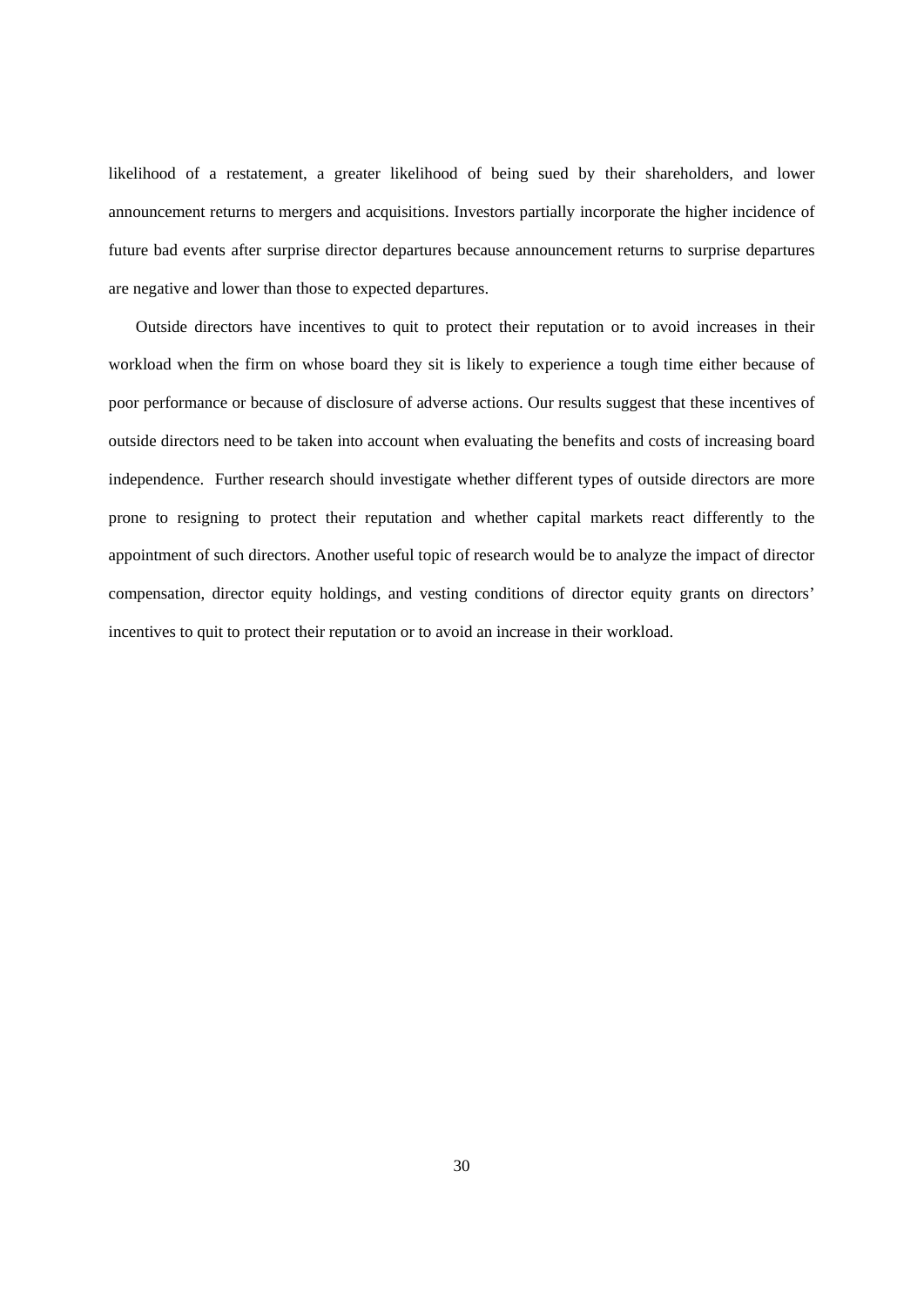likelihood of a restatement, a greater likelihood of being sued by their shareholders, and lower announcement returns to mergers and acquisitions. Investors partially incorporate the higher incidence of future bad events after surprise director departures because announcement returns to surprise departures are negative and lower than those to expected departures.

Outside directors have incentives to quit to protect their reputation or to avoid increases in their workload when the firm on whose board they sit is likely to experience a tough time either because of poor performance or because of disclosure of adverse actions. Our results suggest that these incentives of outside directors need to be taken into account when evaluating the benefits and costs of increasing board independence. Further research should investigate whether different types of outside directors are more prone to resigning to protect their reputation and whether capital markets react differently to the appointment of such directors. Another useful topic of research would be to analyze the impact of director compensation, director equity holdings, and vesting conditions of director equity grants on directors' incentives to quit to protect their reputation or to avoid an increase in their workload.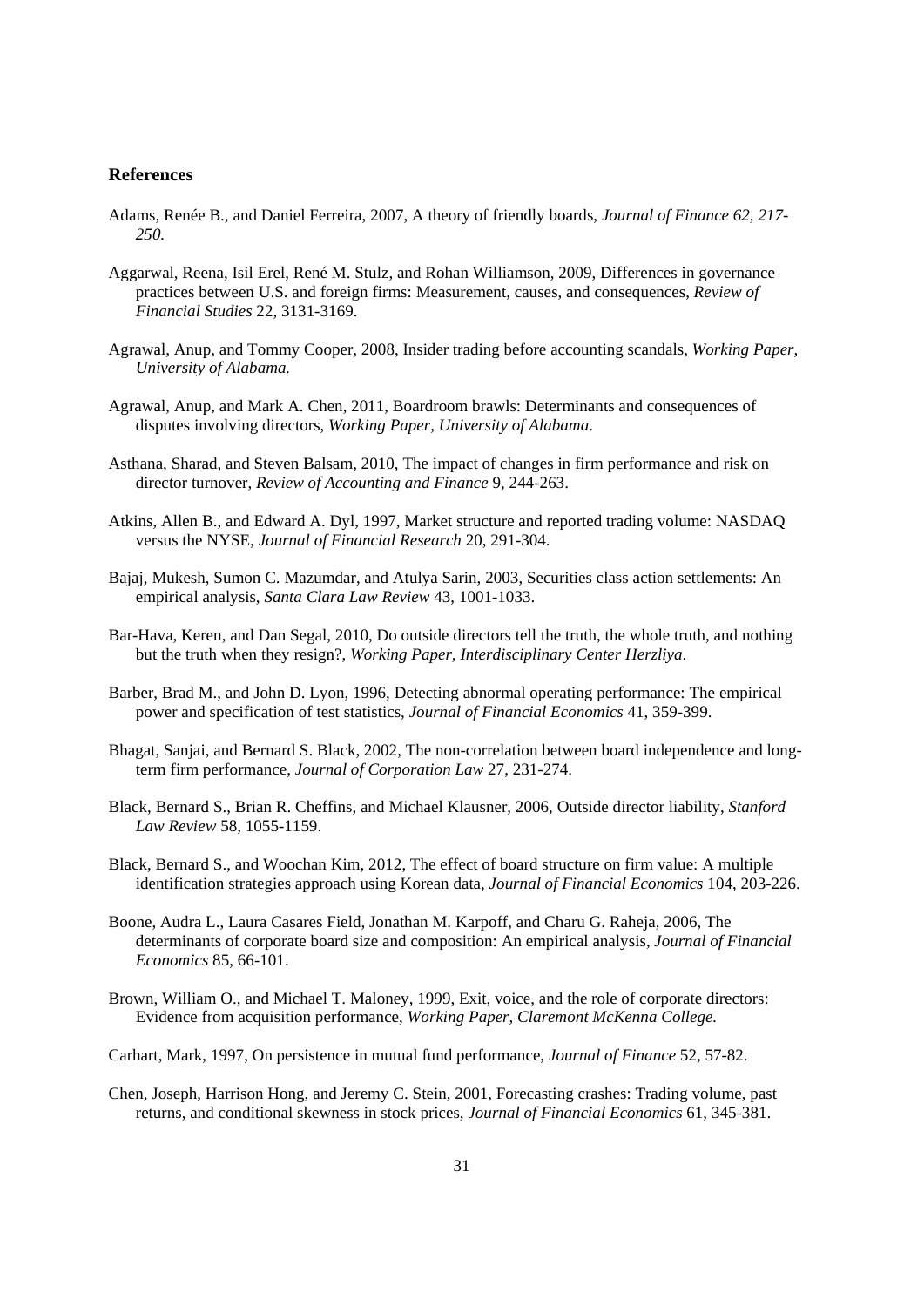#### **References**

- Adams, Renée B., and Daniel Ferreira, 2007, A theory of friendly boards, *Journal of Finance 62, 217- 250.*
- Aggarwal, Reena, Isil Erel, René M. Stulz, and Rohan Williamson, 2009, Differences in governance practices between U.S. and foreign firms: Measurement, causes, and consequences, *Review of Financial Studies* 22, 3131-3169.
- Agrawal, Anup, and Tommy Cooper, 2008, Insider trading before accounting scandals, *Working Paper, University of Alabama.*
- Agrawal, Anup, and Mark A. Chen, 2011, Boardroom brawls: Determinants and consequences of disputes involving directors, *Working Paper, University of Alabama*.
- Asthana, Sharad, and Steven Balsam, 2010, The impact of changes in firm performance and risk on director turnover, *Review of Accounting and Finance* 9, 244-263.
- Atkins, Allen B., and Edward A. Dyl, 1997, Market structure and reported trading volume: NASDAQ versus the NYSE, *Journal of Financial Research* 20, 291-304.
- Bajaj, Mukesh, Sumon C. Mazumdar, and Atulya Sarin, 2003, Securities class action settlements: An empirical analysis, *Santa Clara Law Review* 43, 1001-1033.
- Bar-Hava, Keren, and Dan Segal, 2010, Do outside directors tell the truth, the whole truth, and nothing but the truth when they resign?, *Working Paper, Interdisciplinary Center Herzliya*.
- Barber, Brad M., and John D. Lyon, 1996, Detecting abnormal operating performance: The empirical power and specification of test statistics, *Journal of Financial Economics* 41, 359-399.
- Bhagat, Sanjai, and Bernard S. Black, 2002, The non-correlation between board independence and longterm firm performance, *Journal of Corporation Law* 27, 231-274.
- Black, Bernard S., Brian R. Cheffins, and Michael Klausner, 2006, Outside director liability, *Stanford Law Review* 58, 1055-1159.
- Black, Bernard S., and Woochan Kim, 2012, The effect of board structure on firm value: A multiple identification strategies approach using Korean data, *Journal of Financial Economics* 104, 203-226.
- Boone, Audra L., Laura Casares Field, Jonathan M. Karpoff, and Charu G. Raheja, 2006, The determinants of corporate board size and composition: An empirical analysis, *Journal of Financial Economics* 85, 66-101.
- Brown, William O., and Michael T. Maloney, 1999, Exit, voice, and the role of corporate directors: Evidence from acquisition performance, *Working Paper, Claremont McKenna College.*
- Carhart, Mark, 1997, On persistence in mutual fund performance, *Journal of Finance* 52, 57-82.
- Chen, Joseph, Harrison Hong, and Jeremy C. Stein, 2001, Forecasting crashes: Trading volume, past returns, and conditional skewness in stock prices, *Journal of Financial Economics* 61, 345-381.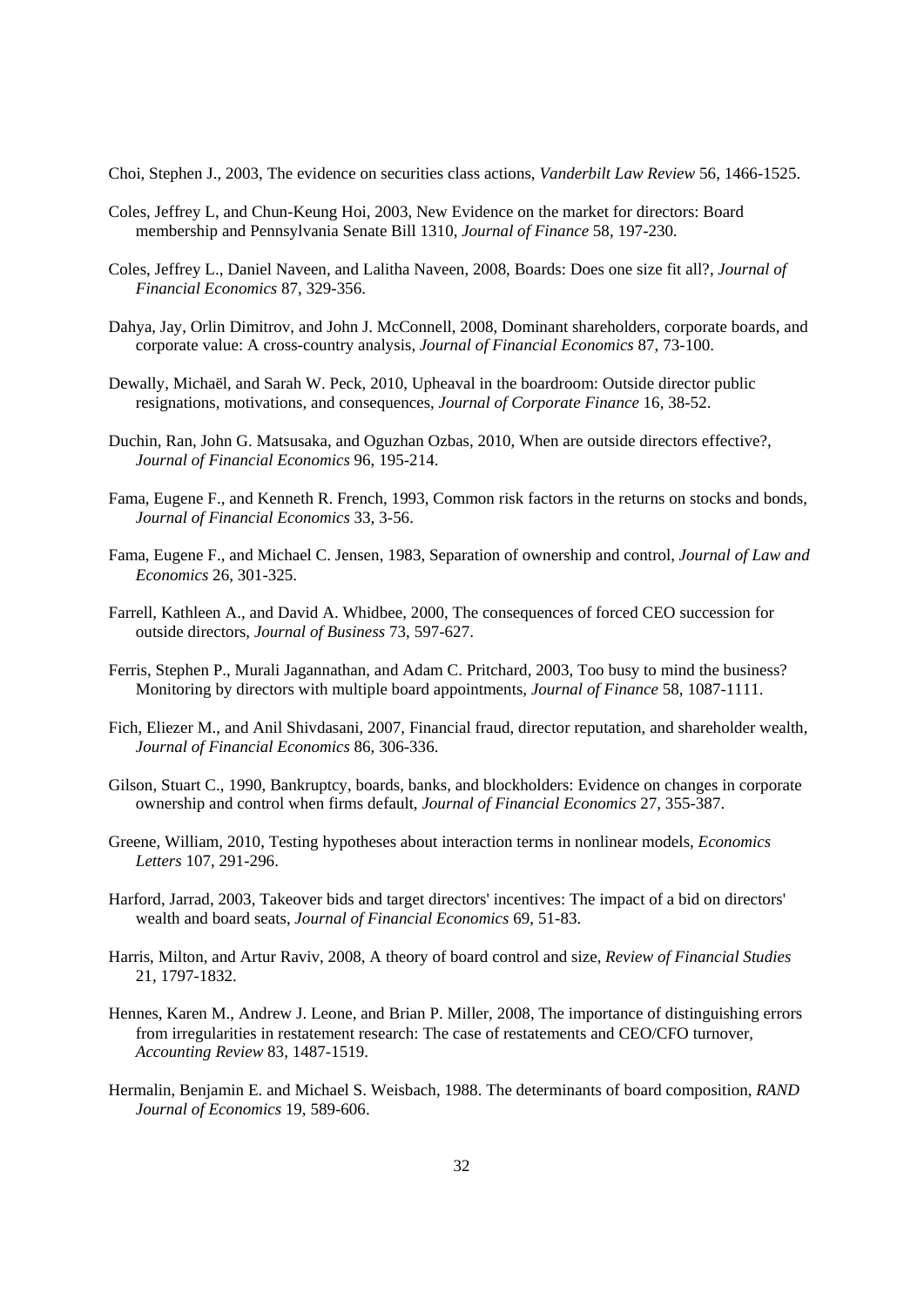Choi, Stephen J., 2003, The evidence on securities class actions, *Vanderbilt Law Review* 56, 1466-1525.

- Coles, Jeffrey L, and Chun-Keung Hoi, 2003, New Evidence on the market for directors: Board membership and Pennsylvania Senate Bill 1310, *Journal of Finance* 58, 197-230.
- Coles, Jeffrey L., Daniel Naveen, and Lalitha Naveen, 2008, Boards: Does one size fit all?, *Journal of Financial Economics* 87, 329-356.
- Dahya, Jay, Orlin Dimitrov, and John J. McConnell, 2008, Dominant shareholders, corporate boards, and corporate value: A cross-country analysis, *Journal of Financial Economics* 87, 73-100.
- Dewally, Michaël, and Sarah W. Peck, 2010, Upheaval in the boardroom: Outside director public resignations, motivations, and consequences, *Journal of Corporate Finance* 16, 38-52.
- Duchin, Ran, John G. Matsusaka, and Oguzhan Ozbas, 2010, When are outside directors effective?, *Journal of Financial Economics* 96, 195-214.
- Fama, Eugene F., and Kenneth R. French, 1993, Common risk factors in the returns on stocks and bonds, *Journal of Financial Economics* 33, 3-56.
- Fama, Eugene F., and Michael C. Jensen, 1983, Separation of ownership and control, *Journal of Law and Economics* 26, 301-325.
- Farrell, Kathleen A., and David A. Whidbee, 2000, The consequences of forced CEO succession for outside directors, *Journal of Business* 73, 597-627.
- Ferris, Stephen P., Murali Jagannathan, and Adam C. Pritchard, 2003, Too busy to mind the business? Monitoring by directors with multiple board appointments, *Journal of Finance* 58, 1087-1111.
- Fich, Eliezer M., and Anil Shivdasani, 2007, Financial fraud, director reputation, and shareholder wealth, *Journal of Financial Economics* 86, 306-336.
- Gilson, Stuart C., 1990, Bankruptcy, boards, banks, and blockholders: Evidence on changes in corporate ownership and control when firms default, *Journal of Financial Economics* 27, 355-387.
- Greene, William, 2010, Testing hypotheses about interaction terms in nonlinear models, *Economics Letters* 107, 291-296.
- Harford, Jarrad, 2003, Takeover bids and target directors' incentives: The impact of a bid on directors' wealth and board seats, *Journal of Financial Economics* 69, 51-83.
- Harris, Milton, and Artur Raviv, 2008, A theory of board control and size, *Review of Financial Studies* 21, 1797-1832.
- Hennes, Karen M., Andrew J. Leone, and Brian P. Miller, 2008, The importance of distinguishing errors from irregularities in restatement research: The case of restatements and CEO/CFO turnover, *Accounting Review* 83, 1487-1519.
- Hermalin, Benjamin E. and Michael S. Weisbach, 1988. The determinants of board composition, *RAND Journal of Economics* 19, 589-606.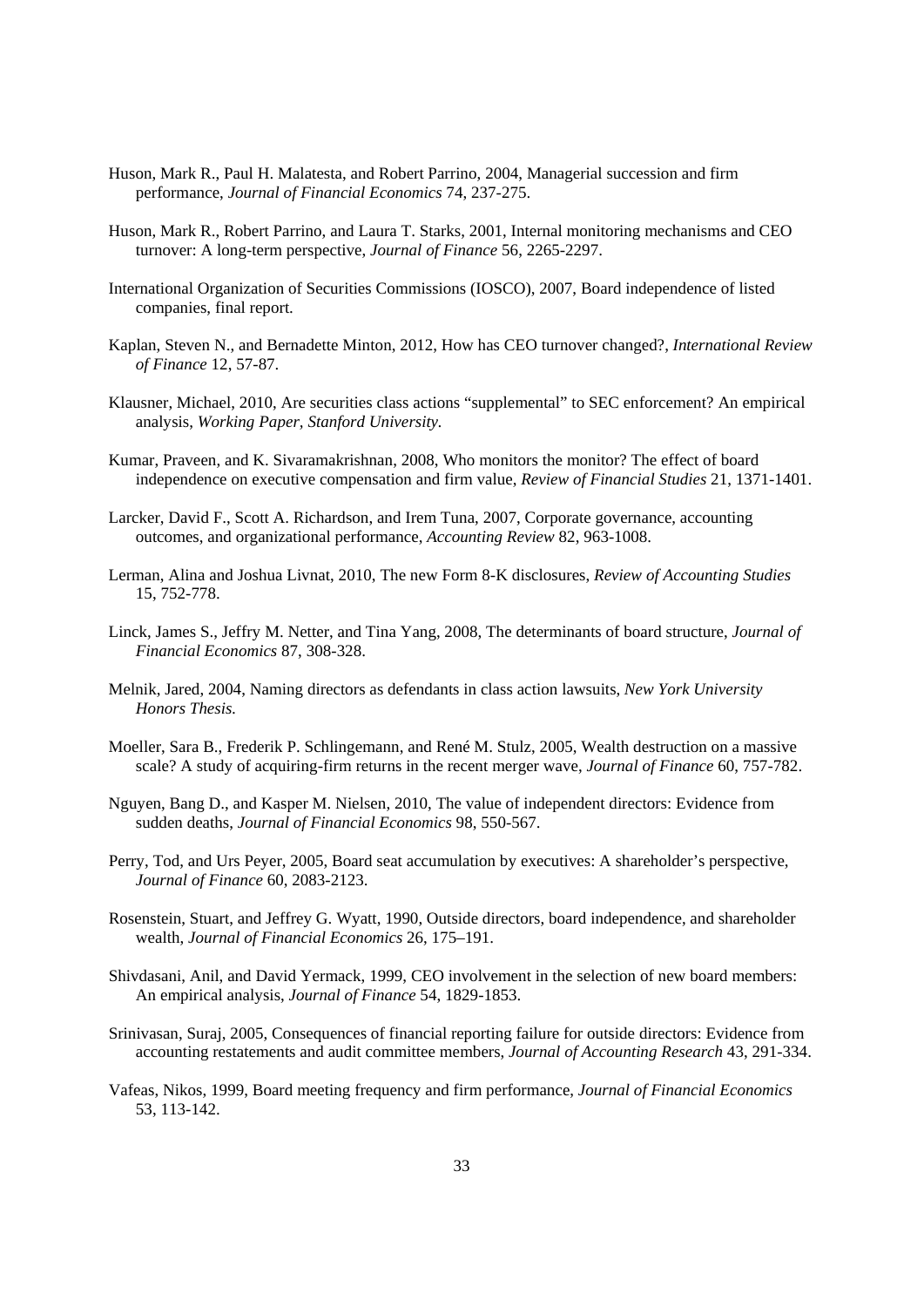- Huson, Mark R., Paul H. Malatesta, and Robert Parrino, 2004, Managerial succession and firm performance, *Journal of Financial Economics* 74, 237-275.
- Huson, Mark R., Robert Parrino, and Laura T. Starks, 2001, Internal monitoring mechanisms and CEO turnover: A long-term perspective, *Journal of Finance* 56, 2265-2297.
- International Organization of Securities Commissions (IOSCO), 2007, Board independence of listed companies, final report.
- Kaplan, Steven N., and Bernadette Minton, 2012, How has CEO turnover changed?, *International Review of Finance* 12, 57-87.
- Klausner, Michael, 2010, Are securities class actions "supplemental" to SEC enforcement? An empirical analysis, *Working Paper, Stanford University.*
- Kumar, Praveen, and K. Sivaramakrishnan, 2008, Who monitors the monitor? The effect of board independence on executive compensation and firm value, *Review of Financial Studies* 21, 1371-1401.
- Larcker, David F., Scott A. Richardson, and Irem Tuna, 2007, Corporate governance, accounting outcomes, and organizational performance, *Accounting Review* 82, 963-1008.
- Lerman, Alina and Joshua Livnat, 2010, The new Form 8-K disclosures, *Review of Accounting Studies* 15, 752-778.
- Linck, James S., Jeffry M. Netter, and Tina Yang, 2008, The determinants of board structure, *Journal of Financial Economics* 87, 308-328.
- Melnik, Jared, 2004, Naming directors as defendants in class action lawsuits, *New York University Honors Thesis.*
- Moeller, Sara B., Frederik P. Schlingemann, and René M. Stulz, 2005, Wealth destruction on a massive scale? A study of acquiring-firm returns in the recent merger wave, *Journal of Finance* 60, 757-782.
- Nguyen, Bang D., and Kasper M. Nielsen, 2010, The value of independent directors: Evidence from sudden deaths, *Journal of Financial Economics* 98, 550-567.
- Perry, Tod, and Urs Peyer, 2005, Board seat accumulation by executives: A shareholder's perspective, *Journal of Finance* 60, 2083-2123.
- Rosenstein, Stuart, and Jeffrey G. Wyatt, 1990, Outside directors, board independence, and shareholder wealth, *Journal of Financial Economics* 26, 175–191.
- Shivdasani, Anil, and David Yermack, 1999, CEO involvement in the selection of new board members: An empirical analysis, *Journal of Finance* 54, 1829-1853.
- Srinivasan, Suraj, 2005, Consequences of financial reporting failure for outside directors: Evidence from accounting restatements and audit committee members, *Journal of Accounting Research* 43, 291-334.
- Vafeas, Nikos, 1999, Board meeting frequency and firm performance, *Journal of Financial Economics* 53, 113-142.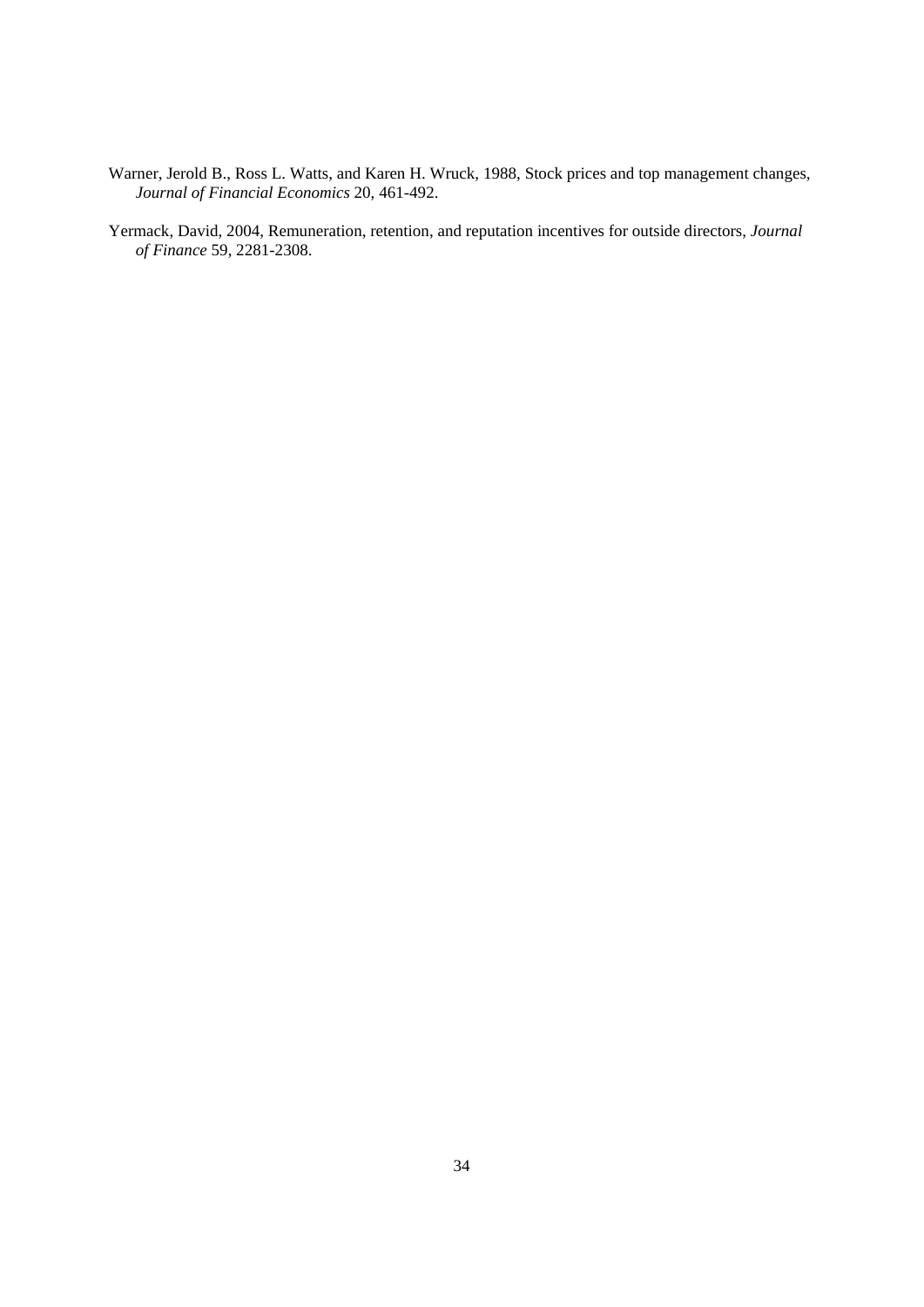- Warner, Jerold B., Ross L. Watts, and Karen H. Wruck, 1988, Stock prices and top management changes, *Journal of Financial Economics* 20, 461-492.
- Yermack, David, 2004, Remuneration, retention, and reputation incentives for outside directors, *Journal of Finance* 59, 2281-2308.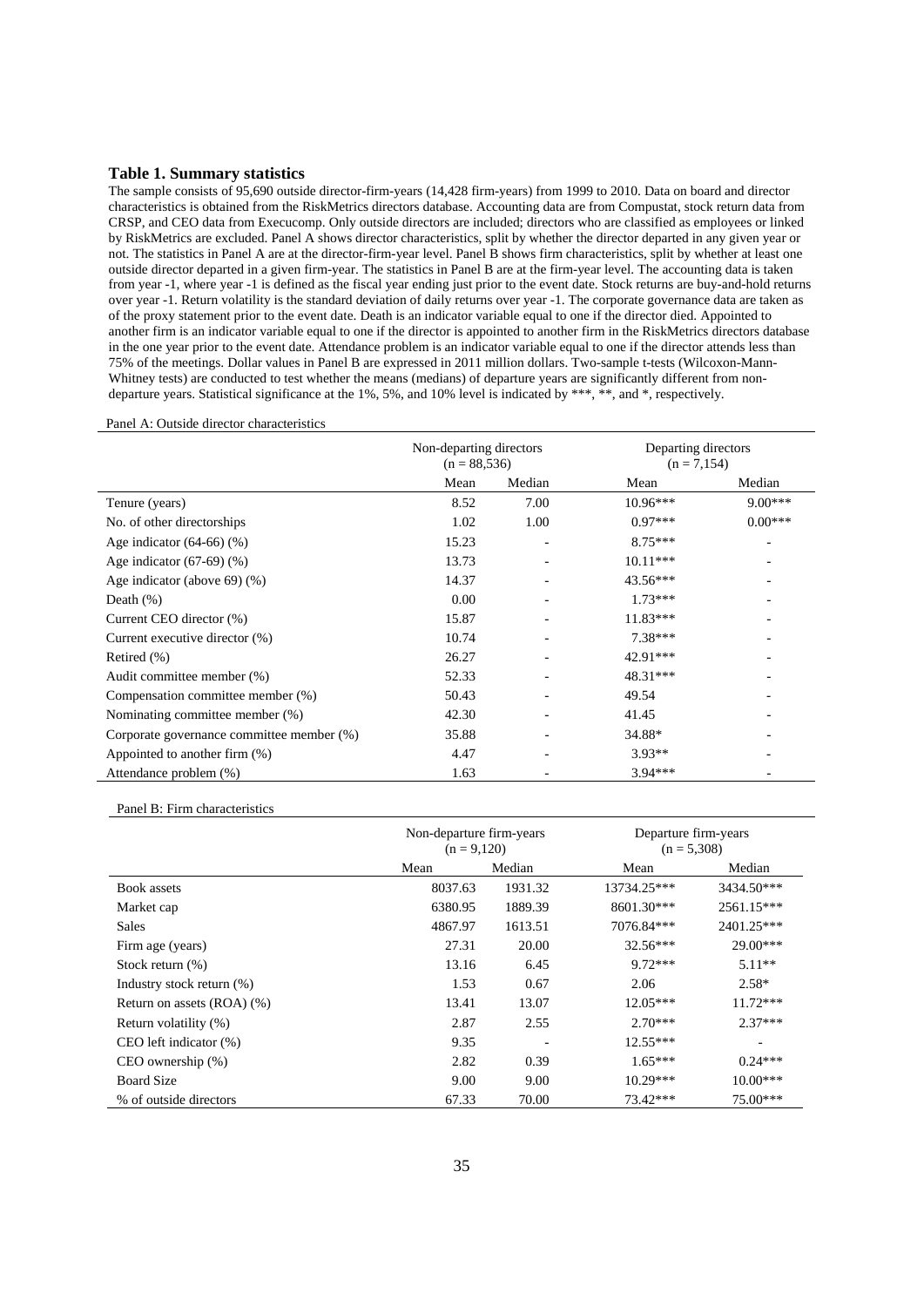#### **Table 1. Summary statistics**

The sample consists of 95,690 outside director-firm-years (14,428 firm-years) from 1999 to 2010. Data on board and director characteristics is obtained from the RiskMetrics directors database. Accounting data are from Compustat, stock return data from CRSP, and CEO data from Execucomp. Only outside directors are included; directors who are classified as employees or linked by RiskMetrics are excluded. Panel A shows director characteristics, split by whether the director departed in any given year or not. The statistics in Panel A are at the director-firm-year level. Panel B shows firm characteristics, split by whether at least one outside director departed in a given firm-year. The statistics in Panel B are at the firm-year level. The accounting data is taken from year -1, where year -1 is defined as the fiscal year ending just prior to the event date. Stock returns are buy-and-hold returns over year -1. Return volatility is the standard deviation of daily returns over year -1. The corporate governance data are taken as of the proxy statement prior to the event date. Death is an indicator variable equal to one if the director died. Appointed to another firm is an indicator variable equal to one if the director is appointed to another firm in the RiskMetrics directors database in the one year prior to the event date. Attendance problem is an indicator variable equal to one if the director attends less than 75% of the meetings. Dollar values in Panel B are expressed in 2011 million dollars. Two-sample t-tests (Wilcoxon-Mann-Whitney tests) are conducted to test whether the means (medians) of departure years are significantly different from nondeparture years. Statistical significance at the 1%, 5%, and 10% level is indicated by \*\*\*, \*\*, and \*, respectively.

#### Panel A: Outside director characteristics

|                                           | Non-departing directors<br>$(n = 88, 536)$ |                          | Departing directors<br>$(n = 7,154)$ |           |
|-------------------------------------------|--------------------------------------------|--------------------------|--------------------------------------|-----------|
|                                           | Mean                                       | Median                   | Mean                                 | Median    |
| Tenure (years)                            | 8.52                                       | 7.00                     | $10.96***$                           | $9.00***$ |
| No. of other directorships                | 1.02                                       | 1.00                     | $0.97***$                            | $0.00***$ |
| Age indicator $(64-66)$ $(\%)$            | 15.23                                      |                          | $8.75***$                            |           |
| Age indicator $(67-69)$ $(\%)$            | 13.73                                      |                          | $10.11***$                           |           |
| Age indicator (above 69) $(\%)$           | 14.37                                      |                          | $43.56***$                           |           |
| Death $(\%)$                              | 0.00                                       |                          | $1.73***$                            |           |
| Current CEO director (%)                  | 15.87                                      |                          | $11.83***$                           |           |
| Current executive director (%)            | 10.74                                      |                          | $7.38***$                            |           |
| Retired (%)                               | 26.27                                      |                          | 42.91***                             |           |
| Audit committee member (%)                | 52.33                                      |                          | 48.31***                             |           |
| Compensation committee member (%)         | 50.43                                      |                          | 49.54                                |           |
| Nominating committee member (%)           | 42.30                                      | $\overline{\phantom{0}}$ | 41.45                                |           |
| Corporate governance committee member (%) | 35.88                                      | -                        | 34.88*                               |           |
| Appointed to another firm (%)             | 4.47                                       | ٠                        | $3.93**$                             |           |
| Attendance problem (%)                    | 1.63                                       |                          | $3.94***$                            |           |

Panel B: Firm characteristics

|                                 |         | Non-departure firm-years<br>$(n = 9,120)$ |             | Departure firm-years<br>$(n = 5,308)$ |
|---------------------------------|---------|-------------------------------------------|-------------|---------------------------------------|
|                                 | Mean    | Median                                    | Mean        | Median                                |
| <b>Book</b> assets              | 8037.63 | 1931.32                                   | 13734.25*** | 3434.50***                            |
| Market cap                      | 6380.95 | 1889.39                                   | 8601.30***  | 2561.15***                            |
| <b>Sales</b>                    | 4867.97 | 1613.51                                   | 7076.84***  | 2401.25***                            |
| Firm age (years)                | 27.31   | 20.00                                     | 32.56***    | $29.00***$                            |
| Stock return $(\%)$             | 13.16   | 6.45                                      | $9.72***$   | $5.11**$                              |
| Industry stock return (%)       | 1.53    | 0.67                                      | 2.06        | $2.58*$                               |
| Return on assets $(ROA)$ $(\%)$ | 13.41   | 13.07                                     | $12.05***$  | $11.72***$                            |
| Return volatility (%)           | 2.87    | 2.55                                      | $2.70***$   | $2.37***$                             |
| $CEO$ left indicator $(\%)$     | 9.35    |                                           | $12.55***$  |                                       |
| $CEO$ ownership $(\%)$          | 2.82    | 0.39                                      | $1.65***$   | $0.24***$                             |
| <b>Board Size</b>               | 9.00    | 9.00                                      | $10.29***$  | $10.00***$                            |
| % of outside directors          | 67.33   | 70.00                                     | 73.42***    | 75.00***                              |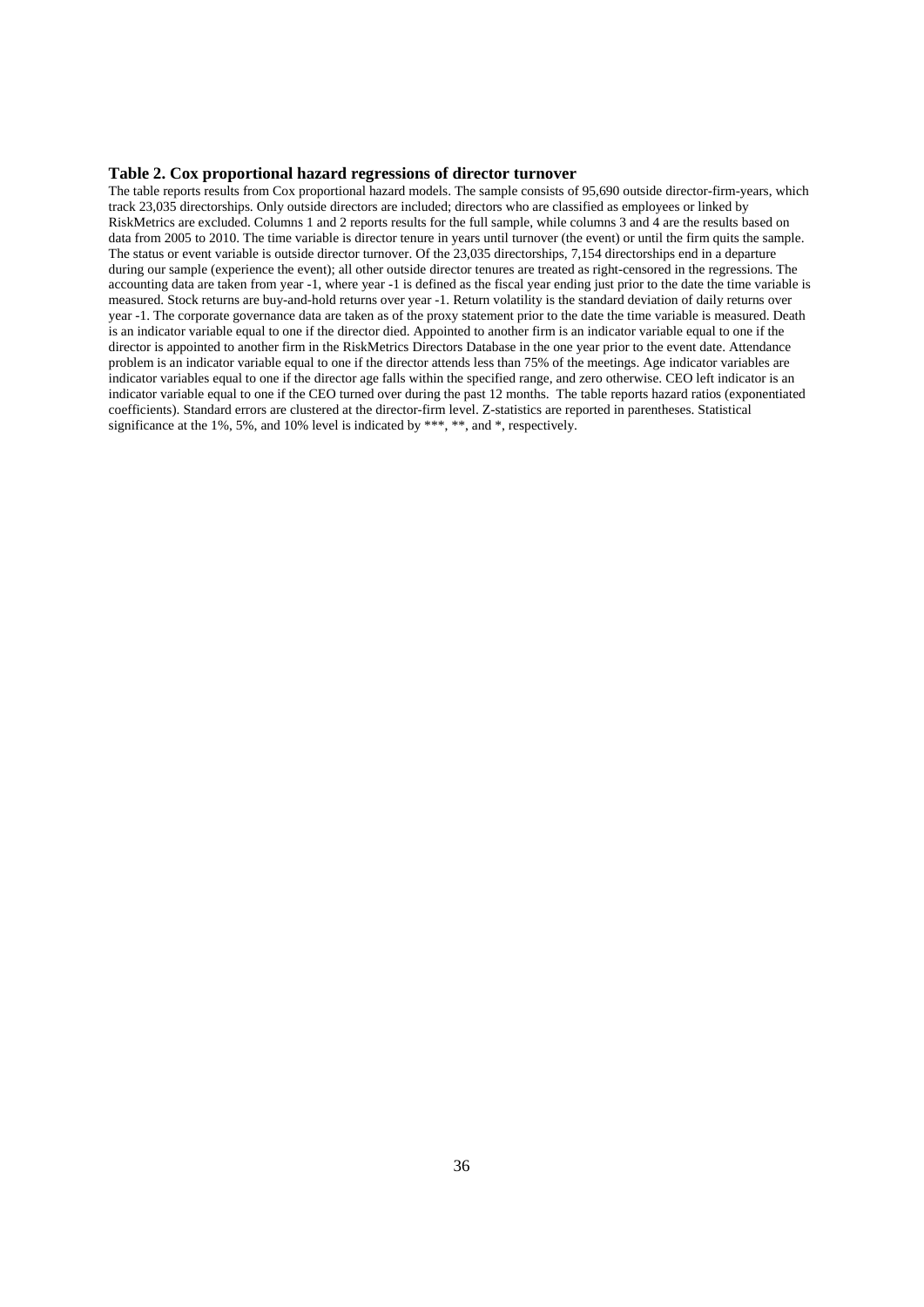#### **Table 2. Cox proportional hazard regressions of director turnover**

The table reports results from Cox proportional hazard models. The sample consists of 95,690 outside director-firm-years, which track 23,035 directorships. Only outside directors are included; directors who are classified as employees or linked by RiskMetrics are excluded. Columns 1 and 2 reports results for the full sample, while columns 3 and 4 are the results based on data from 2005 to 2010. The time variable is director tenure in years until turnover (the event) or until the firm quits the sample. The status or event variable is outside director turnover. Of the 23,035 directorships, 7,154 directorships end in a departure during our sample (experience the event); all other outside director tenures are treated as right-censored in the regressions. The accounting data are taken from year -1, where year -1 is defined as the fiscal year ending just prior to the date the time variable is measured. Stock returns are buy-and-hold returns over year -1. Return volatility is the standard deviation of daily returns over year -1. The corporate governance data are taken as of the proxy statement prior to the date the time variable is measured. Death is an indicator variable equal to one if the director died. Appointed to another firm is an indicator variable equal to one if the director is appointed to another firm in the RiskMetrics Directors Database in the one year prior to the event date. Attendance problem is an indicator variable equal to one if the director attends less than 75% of the meetings. Age indicator variables are indicator variables equal to one if the director age falls within the specified range, and zero otherwise. CEO left indicator is an indicator variable equal to one if the CEO turned over during the past 12 months. The table reports hazard ratios (exponentiated coefficients). Standard errors are clustered at the director-firm level. Z-statistics are reported in parentheses. Statistical significance at the 1%, 5%, and 10% level is indicated by \*\*\*, \*\*, and \*, respectively.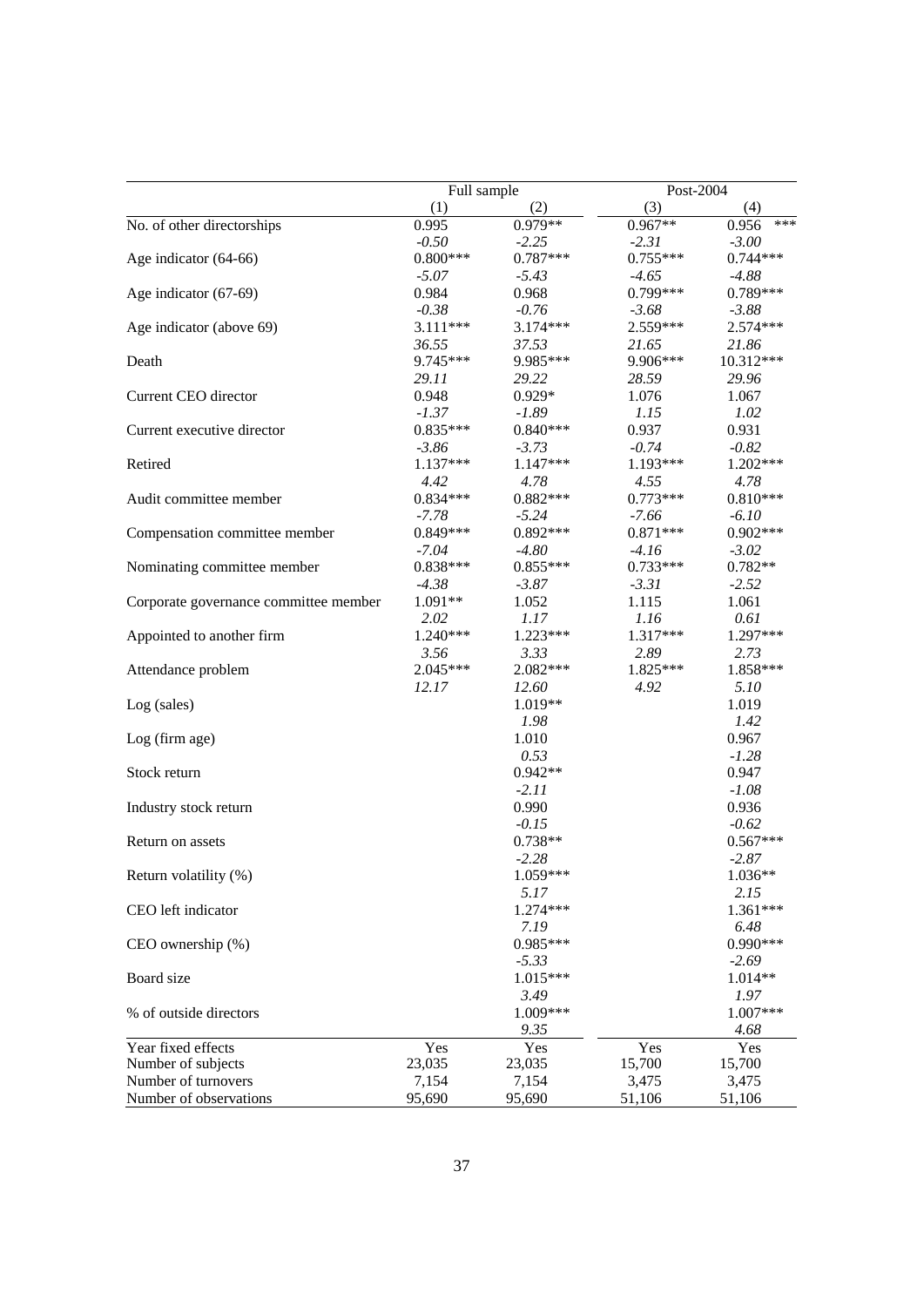|                                       | Full sample |            | Post-2004  |              |
|---------------------------------------|-------------|------------|------------|--------------|
|                                       | (1)         | (2)        | (3)        | (4)          |
| No. of other directorships            | 0.995       | 0.979**    | $0.967**$  | ***<br>0.956 |
|                                       | $-0.50$     | $-2.25$    | $-2.31$    | $-3.00$      |
| Age indicator (64-66)                 | $0.800***$  | $0.787***$ | $0.755***$ | $0.744***$   |
|                                       | $-5.07$     | $-5.43$    | $-4.65$    | $-4.88$      |
| Age indicator (67-69)                 | 0.984       | 0.968      | $0.799***$ | 0.789***     |
|                                       | $-0.38$     | $-0.76$    | $-3.68$    | $-3.88$      |
| Age indicator (above 69)              | $3.111***$  | 3.174***   | 2.559***   | 2.574 ***    |
|                                       | 36.55       | 37.53      | 21.65      | 21.86        |
| Death                                 | 9.745***    | 9.985***   | 9.906***   | 10.312***    |
|                                       | 29.11       | 29.22      | 28.59      | 29.96        |
| Current CEO director                  | 0.948       | $0.929*$   | 1.076      | 1.067        |
|                                       | $-1.37$     | $-1.89$    | 1.15       | 1.02         |
| Current executive director            | $0.835***$  | $0.840***$ | 0.937      | 0.931        |
|                                       | $-3.86$     | $-3.73$    | $-0.74$    | $-0.82$      |
| Retired                               | $1.137***$  | 1.147***   | 1.193***   | $1.202***$   |
|                                       | 4.42        | 4.78       | 4.55       | 4.78         |
| Audit committee member                | $0.834***$  | $0.882***$ | $0.773***$ | $0.810***$   |
|                                       | $-7.78$     | $-5.24$    | $-7.66$    | $-6.10$      |
| Compensation committee member         | $0.849***$  | $0.892***$ | $0.871***$ | $0.902***$   |
|                                       | $-7.04$     | $-4.80$    | $-4.16$    | $-3.02$      |
| Nominating committee member           | $0.838***$  | $0.855***$ | $0.733***$ | $0.782**$    |
|                                       | $-4.38$     | $-3.87$    | $-3.31$    | $-2.52$      |
| Corporate governance committee member | $1.091**$   | 1.052      | 1.115      | 1.061        |
|                                       | 2.02        | 1.17       | 1.16       | 0.61         |
| Appointed to another firm             | $1.240***$  | $1.223***$ | 1.317***   | 1.297***     |
|                                       | 3.56        | 3.33       | 2.89       | 2.73         |
| Attendance problem                    | 2.045***    | 2.082***   | 1.825***   | 1.858***     |
|                                       | 12.17       | 12.60      | 4.92       | 5.10         |
| Log (sales)                           |             | $1.019**$  |            | 1.019        |
|                                       |             | 1.98       |            | 1.42         |
| Log (firm age)                        |             | 1.010      |            | 0.967        |
|                                       |             | 0.53       |            | $-1.28$      |
| Stock return                          |             | $0.942**$  |            | 0.947        |
|                                       |             | $-2.11$    |            | $-1.08$      |
| Industry stock return                 |             | 0.990      |            | 0.936        |
|                                       |             | $-0.15$    |            | $-0.62$      |
| Return on assets                      |             | 0.738**    |            | $0.567***$   |
|                                       |             | $-2.28$    |            | $-2.87$      |
| Return volatility (%)                 |             | 1.059***   |            | $1.036**$    |
|                                       |             | 5.17       |            | 2.15         |
| CEO left indicator                    |             | 1.274***   |            | 1.361***     |
|                                       |             | 7.19       |            | 6.48         |
| CEO ownership (%)                     |             | $0.985***$ |            | 0.990 ***    |
|                                       |             | $-5.33$    |            | $-2.69$      |
| Board size                            |             | 1.015***   |            | $1.014**$    |
|                                       |             | 3.49       |            | 1.97         |
| % of outside directors                |             | 1.009***   |            | $1.007***$   |
|                                       |             | 9.35       |            | 4.68         |
| Year fixed effects                    | Yes         | Yes        | Yes        | Yes          |
| Number of subjects                    | 23,035      | 23,035     | 15,700     | 15,700       |
| Number of turnovers                   | 7,154       | 7,154      | 3,475      | 3,475        |
| Number of observations                | 95,690      | 95,690     | 51,106     | 51,106       |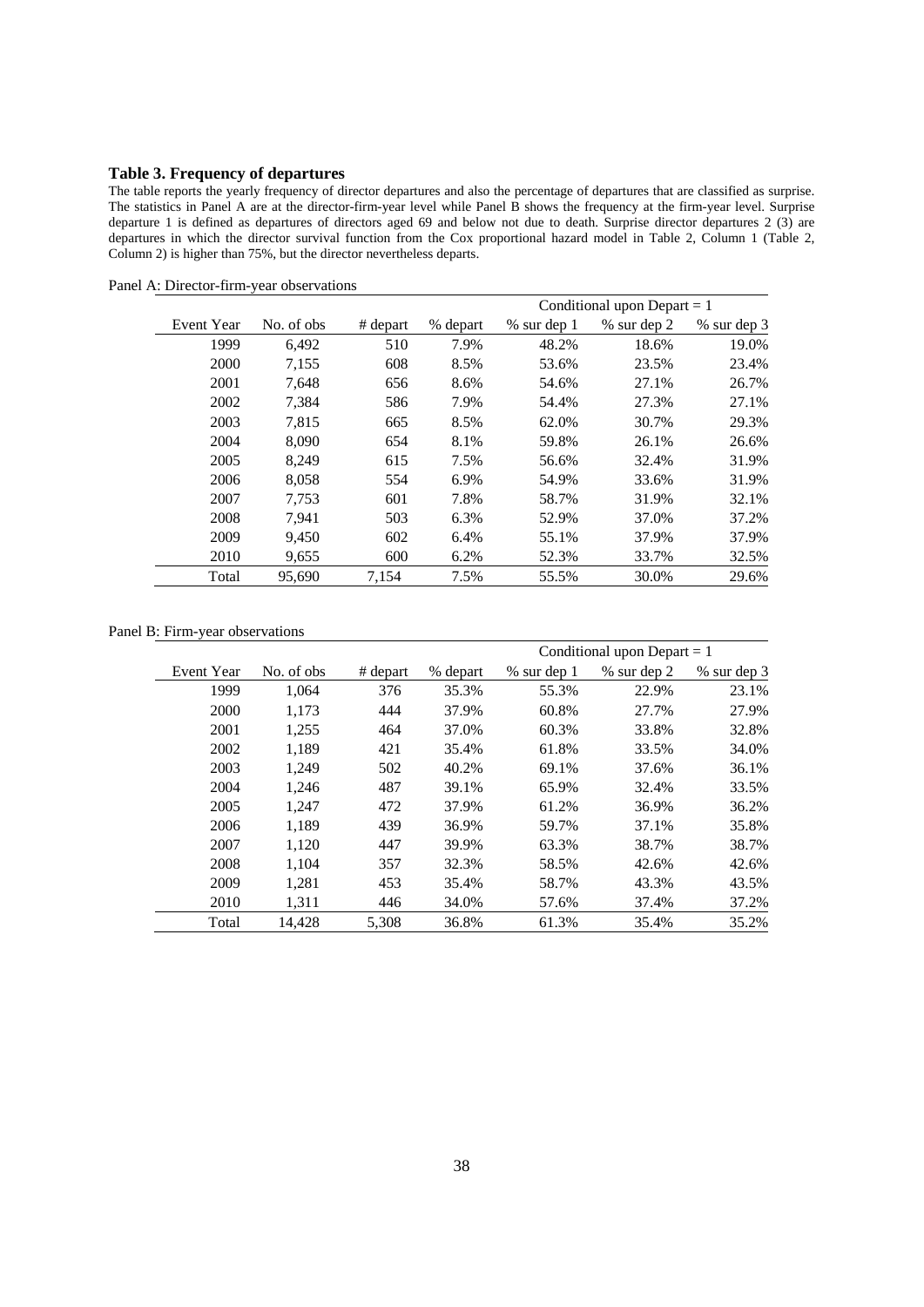# **Table 3. Frequency of departures**

The table reports the yearly frequency of director departures and also the percentage of departures that are classified as surprise. The statistics in Panel A are at the director-firm-year level while Panel B shows the frequency at the firm-year level. Surprise departure 1 is defined as departures of directors aged 69 and below not due to death. Surprise director departures 2 (3) are departures in which the director survival function from the Cox proportional hazard model in Table 2, Column 1 (Table 2, Column 2) is higher than 75%, but the director nevertheless departs.

|            |            |          | Conditional upon Depart $= 1$ |             |             |               |  |
|------------|------------|----------|-------------------------------|-------------|-------------|---------------|--|
| Event Year | No. of obs | # depart | % depart                      | % sur dep 1 | % sur dep 2 | $%$ sur dep 3 |  |
| 1999       | 6,492      | 510      | 7.9%                          | 48.2%       | 18.6%       | 19.0%         |  |
| 2000       | 7,155      | 608      | 8.5%                          | 53.6%       | 23.5%       | 23.4%         |  |
| 2001       | 7.648      | 656      | 8.6%                          | 54.6%       | 27.1%       | 26.7%         |  |
| 2002       | 7,384      | 586      | 7.9%                          | 54.4%       | 27.3%       | 27.1%         |  |
| 2003       | 7,815      | 665      | 8.5%                          | 62.0%       | 30.7%       | 29.3%         |  |
| 2004       | 8.090      | 654      | 8.1%                          | 59.8%       | 26.1%       | 26.6%         |  |
| 2005       | 8,249      | 615      | 7.5%                          | 56.6%       | 32.4%       | 31.9%         |  |
| 2006       | 8,058      | 554      | 6.9%                          | 54.9%       | 33.6%       | 31.9%         |  |
| 2007       | 7,753      | 601      | 7.8%                          | 58.7%       | 31.9%       | 32.1%         |  |
| 2008       | 7.941      | 503      | 6.3%                          | 52.9%       | 37.0%       | 37.2%         |  |
| 2009       | 9,450      | 602      | 6.4%                          | 55.1%       | 37.9%       | 37.9%         |  |
| 2010       | 9,655      | 600      | 6.2%                          | 52.3%       | 33.7%       | 32.5%         |  |
| Total      | 95,690     | 7,154    | 7.5%                          | 55.5%       | 30.0%       | 29.6%         |  |

Panel A: Director-firm-year observations

Panel B: Firm-year observations

|            |            |          |          | Conditional upon Depart $= 1$ |             |               |  |
|------------|------------|----------|----------|-------------------------------|-------------|---------------|--|
| Event Year | No. of obs | # depart | % depart | % sur dep 1                   | % sur dep 2 | $%$ sur dep 3 |  |
| 1999       | 1.064      | 376      | 35.3%    | 55.3%                         | 22.9%       | 23.1%         |  |
| 2000       | 1,173      | 444      | 37.9%    | 60.8%                         | 27.7%       | 27.9%         |  |
| 2001       | 1,255      | 464      | 37.0%    | 60.3%                         | 33.8%       | 32.8%         |  |
| 2002       | 1,189      | 421      | 35.4%    | 61.8%                         | 33.5%       | 34.0%         |  |
| 2003       | 1.249      | 502      | 40.2%    | 69.1%                         | 37.6%       | 36.1%         |  |
| 2004       | 1,246      | 487      | 39.1%    | 65.9%                         | 32.4%       | 33.5%         |  |
| 2005       | 1.247      | 472      | 37.9%    | 61.2%                         | 36.9%       | 36.2%         |  |
| 2006       | 1,189      | 439      | 36.9%    | 59.7%                         | 37.1%       | 35.8%         |  |
| 2007       | 1.120      | 447      | 39.9%    | 63.3%                         | 38.7%       | 38.7%         |  |
| 2008       | 1,104      | 357      | 32.3%    | 58.5%                         | 42.6%       | 42.6%         |  |
| 2009       | 1.281      | 453      | 35.4%    | 58.7%                         | 43.3%       | 43.5%         |  |
| 2010       | 1,311      | 446      | 34.0%    | 57.6%                         | 37.4%       | 37.2%         |  |
| Total      | 14.428     | 5.308    | 36.8%    | 61.3%                         | 35.4%       | 35.2%         |  |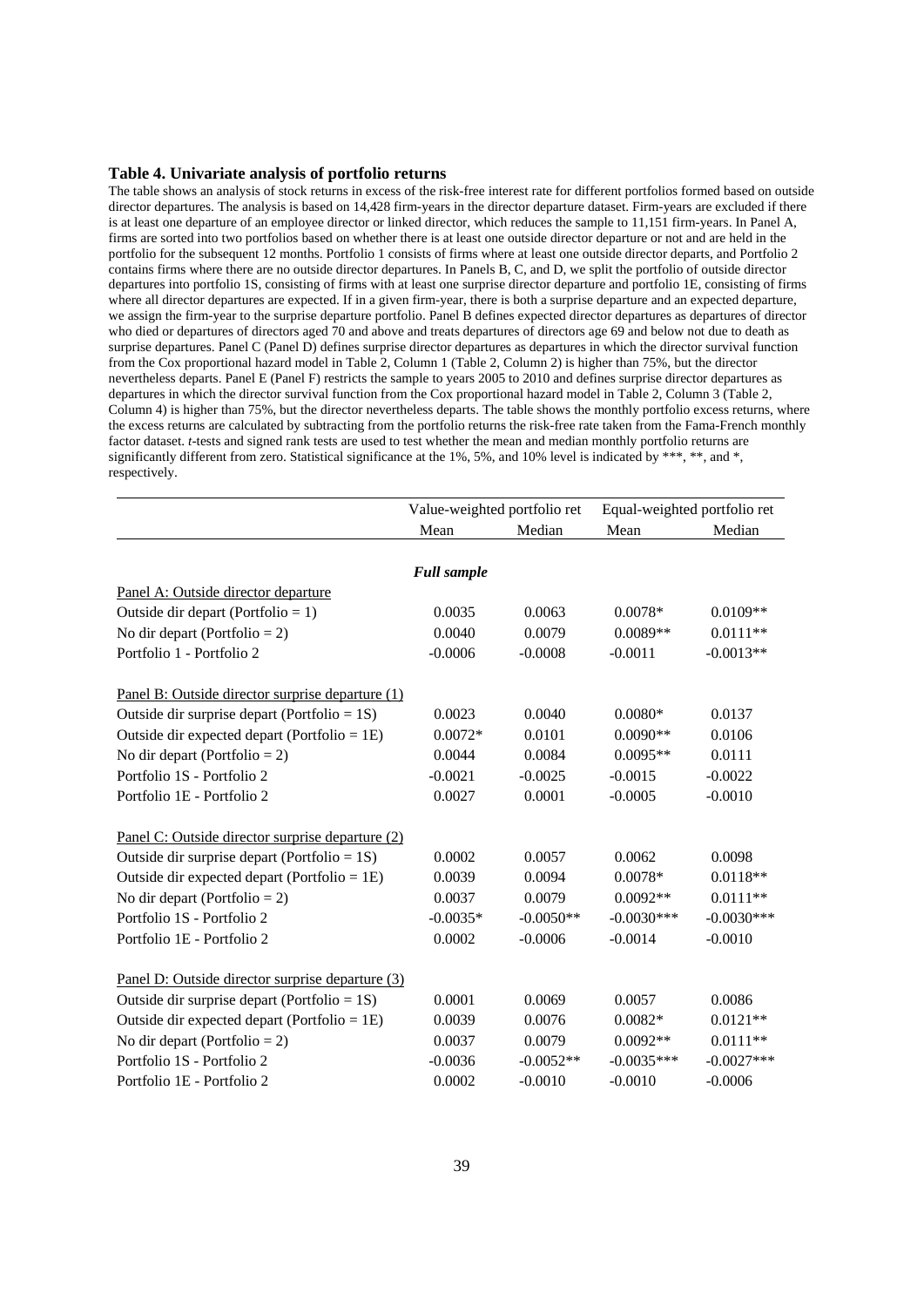#### **Table 4. Univariate analysis of portfolio returns**

The table shows an analysis of stock returns in excess of the risk-free interest rate for different portfolios formed based on outside director departures. The analysis is based on 14.428 firm-years in the director departure dataset. Firm-years are excluded if there is at least one departure of an employee director or linked director, which reduces the sample to 11,151 firm-years. In Panel A, firms are sorted into two portfolios based on whether there is at least one outside director departure or not and are held in the portfolio for the subsequent 12 months. Portfolio 1 consists of firms where at least one outside director departs, and Portfolio 2 contains firms where there are no outside director departures. In Panels B, C, and D, we split the portfolio of outside director departures into portfolio 1S, consisting of firms with at least one surprise director departure and portfolio 1E, consisting of firms where all director departures are expected. If in a given firm-year, there is both a surprise departure and an expected departure, we assign the firm-year to the surprise departure portfolio. Panel B defines expected director departures as departures of director who died or departures of directors aged 70 and above and treats departures of directors age 69 and below not due to death as surprise departures. Panel C (Panel D) defines surprise director departures as departures in which the director survival function from the Cox proportional hazard model in Table 2, Column 1 (Table 2, Column 2) is higher than 75%, but the director nevertheless departs. Panel E (Panel F) restricts the sample to years 2005 to 2010 and defines surprise director departures as departures in which the director survival function from the Cox proportional hazard model in Table 2, Column 3 (Table 2, Column 4) is higher than 75%, but the director nevertheless departs. The table shows the monthly portfolio excess returns, where the excess returns are calculated by subtracting from the portfolio returns the risk-free rate taken from the Fama-French monthly factor dataset. *t*-tests and signed rank tests are used to test whether the mean and median monthly portfolio returns are significantly different from zero. Statistical significance at the 1%, 5%, and 10% level is indicated by \*\*\*, \*\*, and \*, respectively.

|                                                  |                    | Value-weighted portfolio ret |              | Equal-weighted portfolio ret |
|--------------------------------------------------|--------------------|------------------------------|--------------|------------------------------|
|                                                  | Mean               | Median                       | Mean         | Median                       |
|                                                  |                    |                              |              |                              |
|                                                  | <b>Full sample</b> |                              |              |                              |
| Panel A: Outside director departure              |                    |                              |              |                              |
| Outside dir depart (Portfolio = 1)               | 0.0035             | 0.0063                       | $0.0078*$    | $0.0109**$                   |
| No dir depart (Portfolio = 2)                    | 0.0040             | 0.0079                       | $0.0089**$   | $0.0111**$                   |
| Portfolio 1 - Portfolio 2                        | $-0.0006$          | $-0.0008$                    | $-0.0011$    | $-0.0013**$                  |
| Panel B: Outside director surprise departure (1) |                    |                              |              |                              |
| Outside dir surprise depart (Portfolio = $1S$ )  | 0.0023             | 0.0040                       | $0.0080*$    | 0.0137                       |
| Outside dir expected depart (Portfolio = $1E$ )  | $0.0072*$          | 0.0101                       | $0.0090**$   | 0.0106                       |
| No dir depart (Portfolio = 2)                    | 0.0044             | 0.0084                       | $0.0095**$   | 0.0111                       |
| Portfolio 1S - Portfolio 2                       | $-0.0021$          | $-0.0025$                    | $-0.0015$    | $-0.0022$                    |
| Portfolio 1E - Portfolio 2                       | 0.0027             | 0.0001                       | $-0.0005$    | $-0.0010$                    |
| Panel C: Outside director surprise departure (2) |                    |                              |              |                              |
| Outside dir surprise depart (Portfolio = $1S$ )  | 0.0002             | 0.0057                       | 0.0062       | 0.0098                       |
| Outside dir expected depart (Portfolio = $1E$ )  | 0.0039             | 0.0094                       | $0.0078*$    | $0.0118**$                   |
| No dir depart (Portfolio = 2)                    | 0.0037             | 0.0079                       | $0.0092**$   | $0.0111**$                   |
| Portfolio 1S - Portfolio 2                       | $-0.0035*$         | $-0.0050**$                  | $-0.0030***$ | $-0.0030***$                 |
| Portfolio 1E - Portfolio 2                       | 0.0002             | $-0.0006$                    | $-0.0014$    | $-0.0010$                    |
| Panel D: Outside director surprise departure (3) |                    |                              |              |                              |
| Outside dir surprise depart (Portfolio = $1S$ )  | 0.0001             | 0.0069                       | 0.0057       | 0.0086                       |
| Outside dir expected depart (Portfolio = $1E$ )  | 0.0039             | 0.0076                       | $0.0082*$    | $0.0121**$                   |
| No dir depart (Portfolio = 2)                    | 0.0037             | 0.0079                       | $0.0092**$   | $0.0111**$                   |
| Portfolio 1S - Portfolio 2                       | $-0.0036$          | $-0.0052**$                  | $-0.0035***$ | $-0.0027***$                 |
| Portfolio 1E - Portfolio 2                       | 0.0002             | $-0.0010$                    | $-0.0010$    | $-0.0006$                    |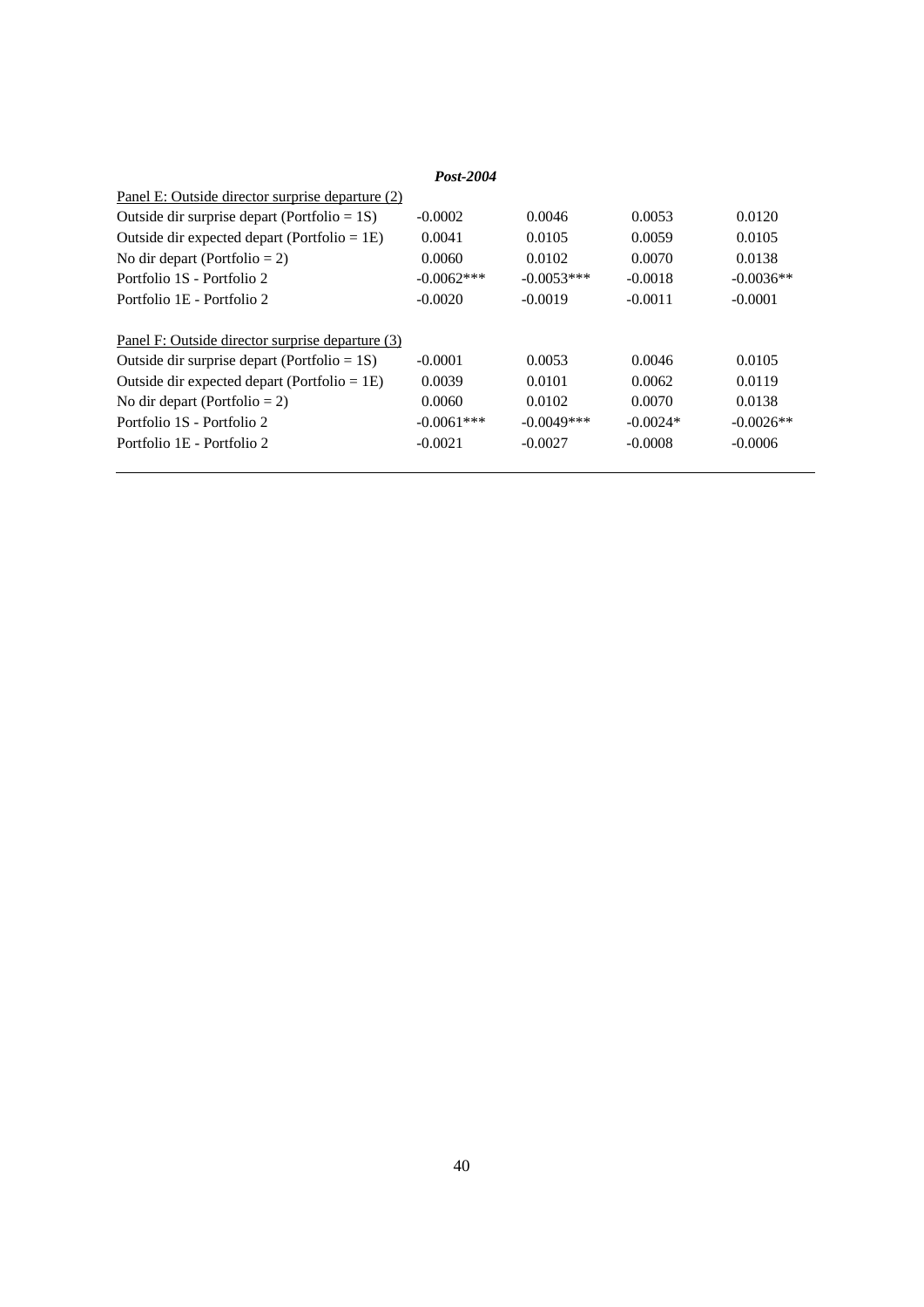| Post-2004                                        |              |              |            |             |  |  |  |  |  |  |
|--------------------------------------------------|--------------|--------------|------------|-------------|--|--|--|--|--|--|
| Panel E: Outside director surprise departure (2) |              |              |            |             |  |  |  |  |  |  |
| Outside dir surprise depart (Portfolio = $1S$ )  | $-0.0002$    | 0.0046       | 0.0053     | 0.0120      |  |  |  |  |  |  |
| Outside dir expected depart (Portfolio = $1E$ )  | 0.0041       | 0.0105       | 0.0059     | 0.0105      |  |  |  |  |  |  |
| No dir depart (Portfolio = 2)                    | 0.0060       | 0.0102       | 0.0070     | 0.0138      |  |  |  |  |  |  |
| Portfolio 1S - Portfolio 2                       | $-0.0062***$ | $-0.0053***$ | $-0.0018$  | $-0.0036**$ |  |  |  |  |  |  |
| Portfolio 1E - Portfolio 2                       | $-0.0020$    | $-0.0019$    | $-0.0011$  | $-0.0001$   |  |  |  |  |  |  |
| Panel F: Outside director surprise departure (3) |              |              |            |             |  |  |  |  |  |  |
| Outside dir surprise depart (Portfolio = $1S$ )  | $-0.0001$    | 0.0053       | 0.0046     | 0.0105      |  |  |  |  |  |  |
| Outside dir expected depart (Portfolio = $1E$ )  | 0.0039       | 0.0101       | 0.0062     | 0.0119      |  |  |  |  |  |  |
| No dir depart (Portfolio = 2)                    | 0.0060       | 0.0102       | 0.0070     | 0.0138      |  |  |  |  |  |  |
| Portfolio 1S - Portfolio 2                       | $-0.0061***$ | $-0.0049***$ | $-0.0024*$ | $-0.0026**$ |  |  |  |  |  |  |
| Portfolio 1E - Portfolio 2                       | $-0.0021$    | $-0.0027$    | $-0.0008$  | $-0.0006$   |  |  |  |  |  |  |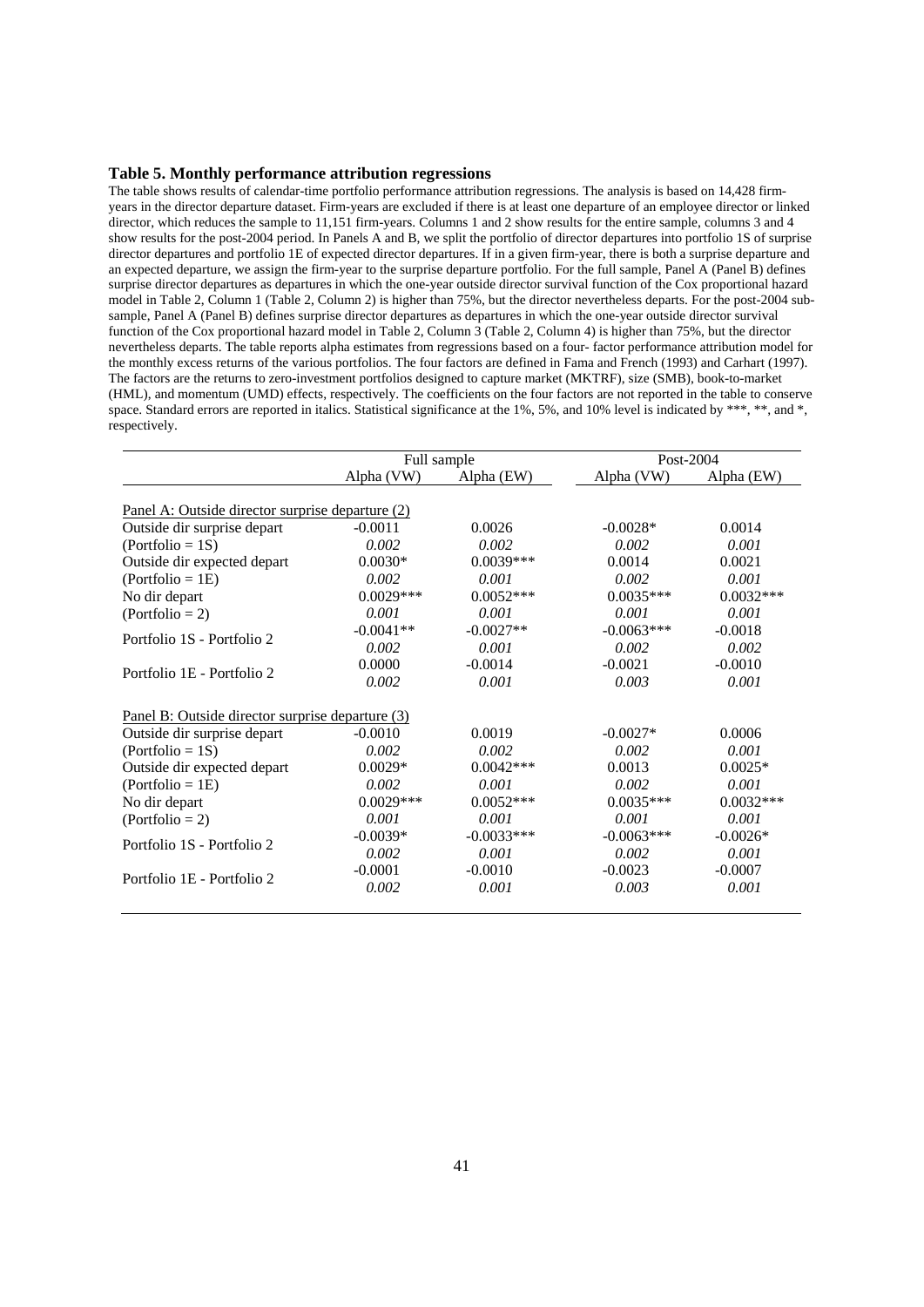#### **Table 5. Monthly performance attribution regressions**

The table shows results of calendar-time portfolio performance attribution regressions. The analysis is based on 14,428 firmyears in the director departure dataset. Firm-years are excluded if there is at least one departure of an employee director or linked director, which reduces the sample to 11,151 firm-years. Columns 1 and 2 show results for the entire sample, columns 3 and 4 show results for the post-2004 period. In Panels A and B, we split the portfolio of director departures into portfolio 1S of surprise director departures and portfolio 1E of expected director departures. If in a given firm-year, there is both a surprise departure and an expected departure, we assign the firm-year to the surprise departure portfolio. For the full sample, Panel A (Panel B) defines surprise director departures as departures in which the one-year outside director survival function of the Cox proportional hazard model in Table 2, Column 1 (Table 2, Column 2) is higher than 75%, but the director nevertheless departs. For the post-2004 subsample, Panel A (Panel B) defines surprise director departures as departures in which the one-year outside director survival function of the Cox proportional hazard model in Table 2, Column 3 (Table 2, Column 4) is higher than 75%, but the director nevertheless departs. The table reports alpha estimates from regressions based on a four- factor performance attribution model for the monthly excess returns of the various portfolios. The four factors are defined in Fama and French (1993) and Carhart (1997). The factors are the returns to zero-investment portfolios designed to capture market (MKTRF), size (SMB), book-to-market (HML), and momentum (UMD) effects, respectively. The coefficients on the four factors are not reported in the table to conserve space. Standard errors are reported in italics. Statistical significance at the 1%, 5%, and 10% level is indicated by \*\*\*, \*\*, and \*, respectively.

|                                                  |             | Full sample  |              | Post-2004   |
|--------------------------------------------------|-------------|--------------|--------------|-------------|
|                                                  | Alpha (VW)  | Alpha (EW)   | Alpha (VW)   | Alpha (EW)  |
| Panel A: Outside director surprise departure (2) |             |              |              |             |
| Outside dir surprise depart                      | $-0.0011$   | 0.0026       | $-0.0028*$   | 0.0014      |
| $(Portfolio = 1S)$                               | 0.002       | 0.002        | 0.002        | 0.001       |
| Outside dir expected depart                      | $0.0030*$   | $0.0039***$  | 0.0014       | 0.0021      |
|                                                  | 0.002       | 0.001        | 0.002        | 0.001       |
| $(Portfolio = 1E)$                               |             |              |              |             |
| No dir depart                                    | $0.0029***$ | $0.0052***$  | $0.0035***$  | $0.0032***$ |
| $(Portfolio = 2)$                                | 0.001       | 0.001        | 0.001        | 0.001       |
| Portfolio 1S - Portfolio 2                       | $-0.0041**$ | $-0.0027**$  | $-0.0063***$ | $-0.0018$   |
|                                                  | 0.002       | 0.001        | 0.002        | 0.002       |
|                                                  | 0.0000      | $-0.0014$    | $-0.0021$    | $-0.0010$   |
| Portfolio 1E - Portfolio 2                       | 0.002       | 0.001        | 0.003        | 0.001       |
| Panel B: Outside director surprise departure (3) |             |              |              |             |
| Outside dir surprise depart                      | $-0.0010$   | 0.0019       | $-0.0027*$   | 0.0006      |
| $(Portfolio = 1S)$                               | 0.002       | 0.002        | 0.002        | 0.001       |
| Outside dir expected depart                      | $0.0029*$   | $0.0042***$  | 0.0013       | $0.0025*$   |
| $(Port folio = 1E)$                              | 0.002       | 0.001        | 0.002        | 0.001       |
| No dir depart                                    | $0.0029***$ | $0.0052***$  | $0.0035***$  | $0.0032***$ |
| $(Portfolio = 2)$                                | 0.001       | 0.001        | 0.001        | 0.001       |
| Portfolio 1S - Portfolio 2                       | $-0.0039*$  | $-0.0033***$ | $-0.0063***$ | $-0.0026*$  |
|                                                  | 0.002       | 0.001        | 0.002        | 0.001       |
|                                                  | $-0.0001$   | $-0.0010$    | $-0.0023$    | $-0.0007$   |
| Portfolio 1E - Portfolio 2                       | 0.002       | 0.001        | 0.003        | 0.001       |
|                                                  |             |              |              |             |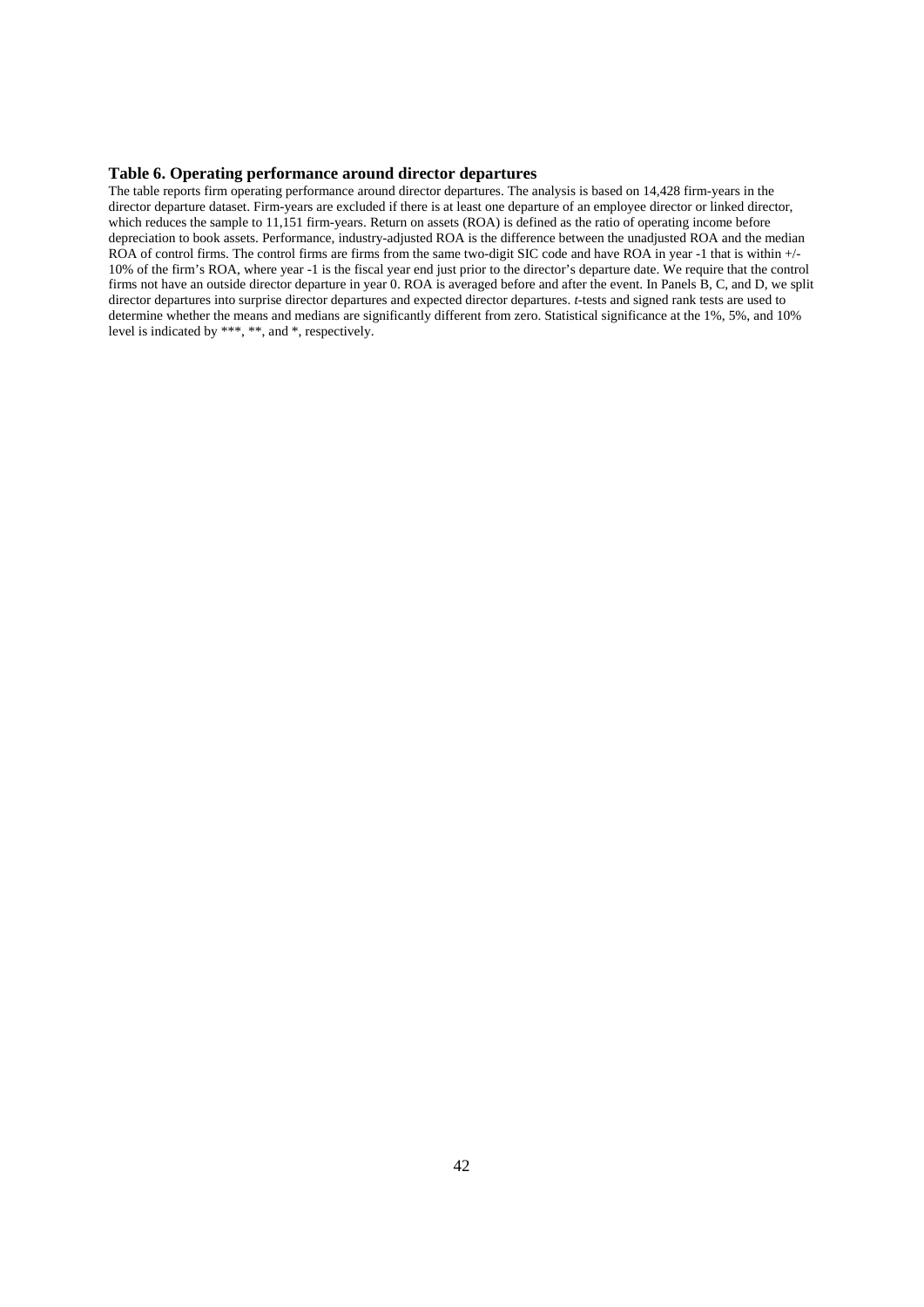#### **Table 6. Operating performance around director departures**

The table reports firm operating performance around director departures. The analysis is based on 14,428 firm-years in the director departure dataset. Firm-years are excluded if there is at least one departure of an employee director or linked director, which reduces the sample to 11,151 firm-years. Return on assets (ROA) is defined as the ratio of operating income before depreciation to book assets. Performance, industry-adjusted ROA is the difference between the unadjusted ROA and the median ROA of control firms. The control firms are firms from the same two-digit SIC code and have ROA in year -1 that is within +/-10% of the firm's ROA, where year -1 is the fiscal year end just prior to the director's departure date. We require that the control firms not have an outside director departure in year 0. ROA is averaged before and after the event. In Panels B, C, and D, we split director departures into surprise director departures and expected director departures. *t*-tests and signed rank tests are used to determine whether the means and medians are significantly different from zero. Statistical significance at the 1%, 5%, and 10% level is indicated by \*\*\*, \*\*, and \*, respectively.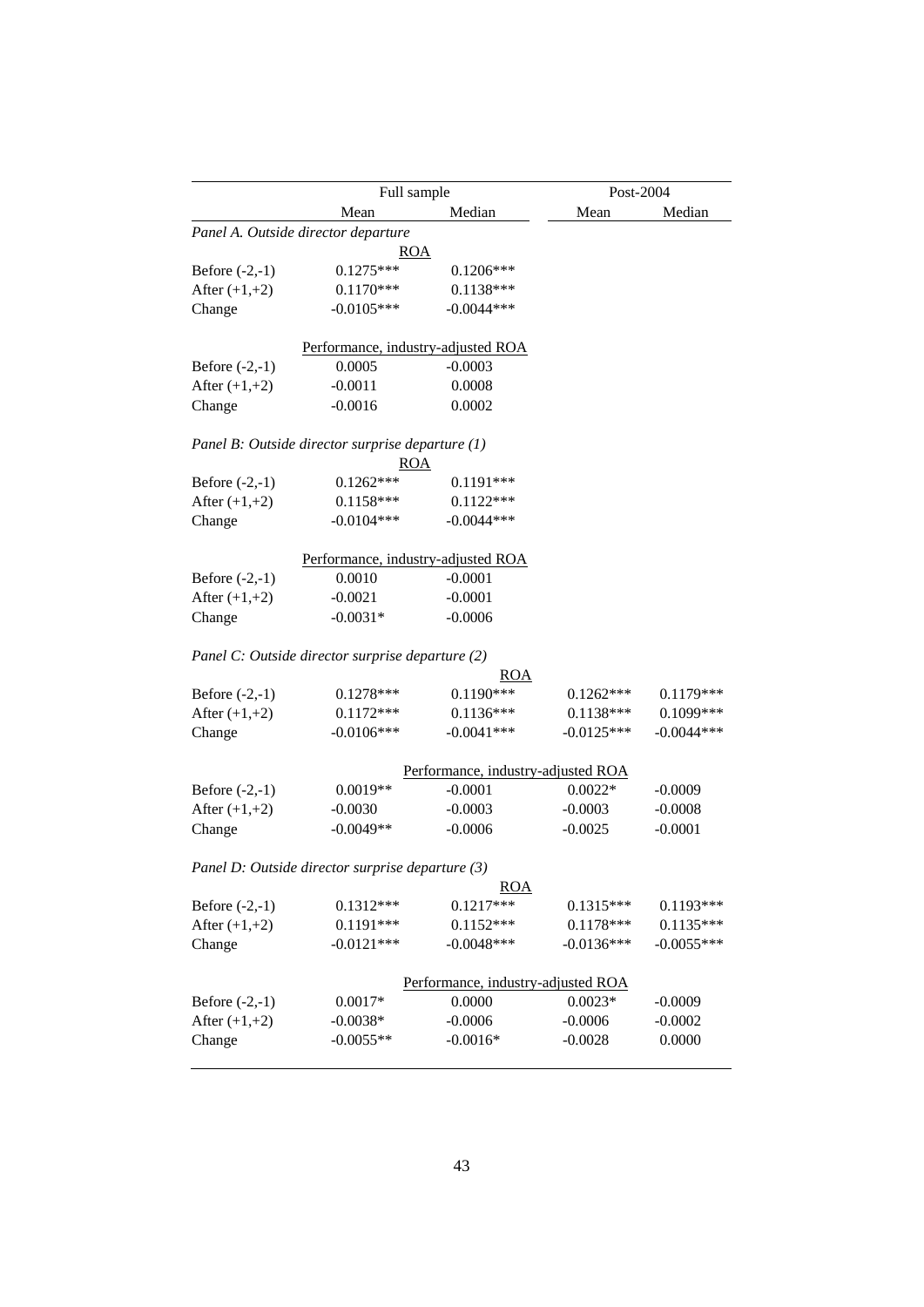|                                     | Full sample                                      |                                    |              | Post-2004    |  |
|-------------------------------------|--------------------------------------------------|------------------------------------|--------------|--------------|--|
|                                     | Mean                                             | Median                             | Mean         | Median       |  |
|                                     | Panel A. Outside director departure              |                                    |              |              |  |
|                                     | ROA                                              |                                    |              |              |  |
| Before $(-2,-1)$                    | $0.1275***$                                      | $0.1206***$                        |              |              |  |
| After $(+1,+2)$                     | $0.1170***$                                      | $0.1138***$                        |              |              |  |
| Change                              | $-0.0105***$                                     | $-0.0044***$                       |              |              |  |
|                                     | Performance, industry-adjusted ROA               |                                    |              |              |  |
| Before $(-2,-1)$                    | 0.0005                                           | $-0.0003$                          |              |              |  |
| After $(+1,+2)$                     | $-0.0011$                                        | 0.0008                             |              |              |  |
| Change                              | $-0.0016$                                        | 0.0002                             |              |              |  |
|                                     | Panel B: Outside director surprise departure (1) |                                    |              |              |  |
|                                     | <b>ROA</b>                                       |                                    |              |              |  |
| Before $(-2,-1)$                    | $0.1262***$                                      | $0.1191***$                        |              |              |  |
| After $(+1,+2)$                     | $0.1158***$                                      | $0.1122***$                        |              |              |  |
| Change                              | $-0.0104***$                                     | $-0.0044***$                       |              |              |  |
|                                     | Performance, industry-adjusted ROA               |                                    |              |              |  |
| Before $(-2,-1)$                    | 0.0010                                           | $-0.0001$                          |              |              |  |
| After $(+1,+2)$                     | $-0.0021$                                        | $-0.0001$                          |              |              |  |
| Change                              | $-0.0031*$                                       | $-0.0006$                          |              |              |  |
|                                     |                                                  |                                    |              |              |  |
|                                     | Panel C: Outside director surprise departure (2) |                                    |              |              |  |
|                                     | $0.1278***$                                      | ROA<br>$0.1190***$                 | $0.1262***$  | 0.1179***    |  |
| Before $(-2,-1)$<br>After $(+1,+2)$ | $0.1172***$                                      | $0.1136***$                        | $0.1138***$  | 0.1099***    |  |
|                                     | $-0.0106***$                                     | $-0.0041***$                       | $-0.0125***$ | $-0.0044***$ |  |
| Change                              |                                                  |                                    |              |              |  |
|                                     |                                                  | Performance, industry-adjusted ROA |              |              |  |
| Before $(-2,-1)$                    | $0.0019**$                                       | $-0.0001$                          | $0.0022*$    | $-0.0009$    |  |
| After $(+1,+2)$                     | $-0.0030$                                        | $-0.0003$                          | $-0.0003$    | $-0.0008$    |  |
| Change                              | $-0.0049**$                                      | $-0.0006$                          | $-0.0025$    | $-0.0001$    |  |
|                                     | Panel D: Outside director surprise departure (3) |                                    |              |              |  |
|                                     |                                                  | ROA                                |              |              |  |
| Before $(-2,-1)$                    | $0.1312***$                                      | $0.1217***$                        | $0.1315***$  | $0.1193***$  |  |
| After $(+1,+2)$                     | $0.1191***$                                      | $0.1152***$                        | $0.1178***$  | $0.1135***$  |  |
| Change                              | $-0.0121***$                                     | $-0.0048***$                       | $-0.0136***$ | $-0.0055***$ |  |
|                                     |                                                  | Performance, industry-adjusted ROA |              |              |  |
| Before $(-2,-1)$                    | $0.0017*$                                        | 0.0000                             | $0.0023*$    | $-0.0009$    |  |
| After $(+1,+2)$                     | $-0.0038*$                                       | $-0.0006$                          | $-0.0006$    | $-0.0002$    |  |
| Change                              | $-0.0055**$                                      | $-0.0016*$                         | $-0.0028$    | 0.0000       |  |
|                                     |                                                  |                                    |              |              |  |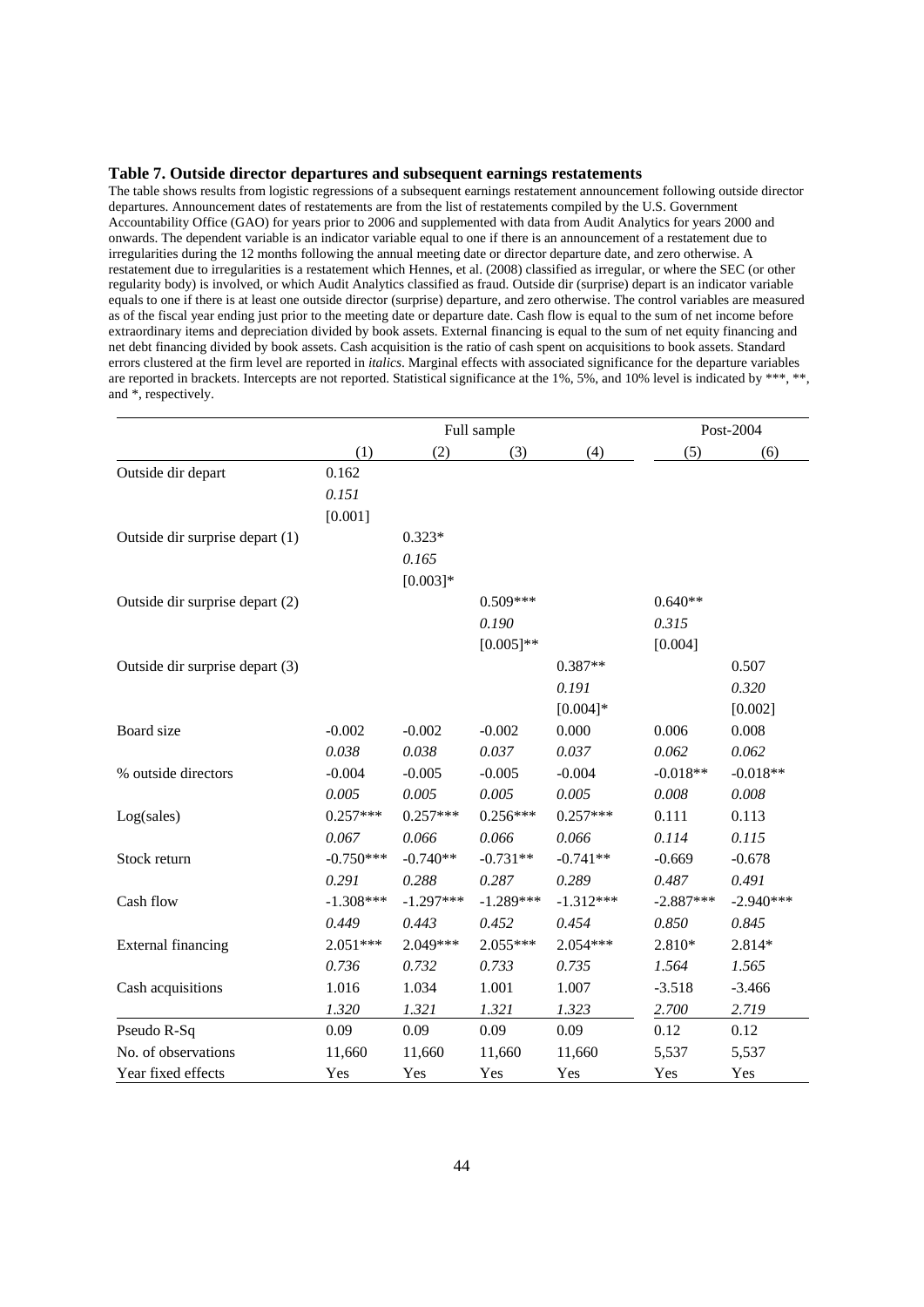#### **Table 7. Outside director departures and subsequent earnings restatements**

The table shows results from logistic regressions of a subsequent earnings restatement announcement following outside director departures. Announcement dates of restatements are from the list of restatements compiled by the U.S. Government Accountability Office (GAO) for years prior to 2006 and supplemented with data from Audit Analytics for years 2000 and onwards. The dependent variable is an indicator variable equal to one if there is an announcement of a restatement due to irregularities during the 12 months following the annual meeting date or director departure date, and zero otherwise. A restatement due to irregularities is a restatement which Hennes, et al. (2008) classified as irregular, or where the SEC (or other regularity body) is involved, or which Audit Analytics classified as fraud. Outside dir (surprise) depart is an indicator variable equals to one if there is at least one outside director (surprise) departure, and zero otherwise. The control variables are measured as of the fiscal year ending just prior to the meeting date or departure date. Cash flow is equal to the sum of net income before extraordinary items and depreciation divided by book assets. External financing is equal to the sum of net equity financing and net debt financing divided by book assets. Cash acquisition is the ratio of cash spent on acquisitions to book assets. Standard errors clustered at the firm level are reported in *italics*. Marginal effects with associated significance for the departure variables are reported in brackets. Intercepts are not reported. Statistical significance at the 1%, 5%, and 10% level is indicated by \*\*\*, \*\*, and \*, respectively.

|                                 |             |             | Post-2004<br>Full sample |             |             |             |
|---------------------------------|-------------|-------------|--------------------------|-------------|-------------|-------------|
|                                 | (1)         | (2)         | (3)                      | (4)         | (5)         | (6)         |
| Outside dir depart              | 0.162       |             |                          |             |             |             |
|                                 | 0.151       |             |                          |             |             |             |
|                                 | [0.001]     |             |                          |             |             |             |
| Outside dir surprise depart (1) |             | $0.323*$    |                          |             |             |             |
|                                 |             | 0.165       |                          |             |             |             |
|                                 |             | $[0.003]*$  |                          |             |             |             |
| Outside dir surprise depart (2) |             |             | $0.509***$               |             | $0.640**$   |             |
|                                 |             |             | 0.190                    |             | 0.315       |             |
|                                 |             |             | $[0.005]$ **             |             | [0.004]     |             |
| Outside dir surprise depart (3) |             |             |                          | $0.387**$   |             | 0.507       |
|                                 |             |             |                          | 0.191       |             | 0.320       |
|                                 |             |             |                          | $[0.004]*$  |             | [0.002]     |
| Board size                      | $-0.002$    | $-0.002$    | $-0.002$                 | 0.000       | 0.006       | 0.008       |
|                                 | 0.038       | 0.038       | 0.037                    | 0.037       | 0.062       | 0.062       |
| % outside directors             | $-0.004$    | $-0.005$    | $-0.005$                 | $-0.004$    | $-0.018**$  | $-0.018**$  |
|                                 | 0.005       | 0.005       | 0.005                    | 0.005       | 0.008       | 0.008       |
| Log(sales)                      | $0.257***$  | $0.257***$  | $0.256***$               | $0.257***$  | 0.111       | 0.113       |
|                                 | 0.067       | 0.066       | 0.066                    | 0.066       | 0.114       | 0.115       |
| Stock return                    | $-0.750***$ | $-0.740**$  | $-0.731**$               | $-0.741**$  | $-0.669$    | $-0.678$    |
|                                 | 0.291       | 0.288       | 0.287                    | 0.289       | 0.487       | 0.491       |
| Cash flow                       | $-1.308***$ | $-1.297***$ | $-1.289***$              | $-1.312***$ | $-2.887***$ | $-2.940***$ |
|                                 | 0.449       | 0.443       | 0.452                    | 0.454       | 0.850       | 0.845       |
| <b>External financing</b>       | $2.051***$  | 2.049***    | 2.055***                 | 2.054***    | 2.810*      | 2.814*      |
|                                 | 0.736       | 0.732       | 0.733                    | 0.735       | 1.564       | 1.565       |
| Cash acquisitions               | 1.016       | 1.034       | 1.001                    | 1.007       | $-3.518$    | $-3.466$    |
|                                 | 1.320       | 1.321       | 1.321                    | 1.323       | 2.700       | 2.719       |
| Pseudo R-Sq                     | 0.09        | 0.09        | 0.09                     | 0.09        | 0.12        | 0.12        |
| No. of observations             | 11,660      | 11,660      | 11,660                   | 11,660      | 5,537       | 5,537       |
| Year fixed effects              | Yes         | Yes         | Yes                      | Yes         | Yes         | Yes         |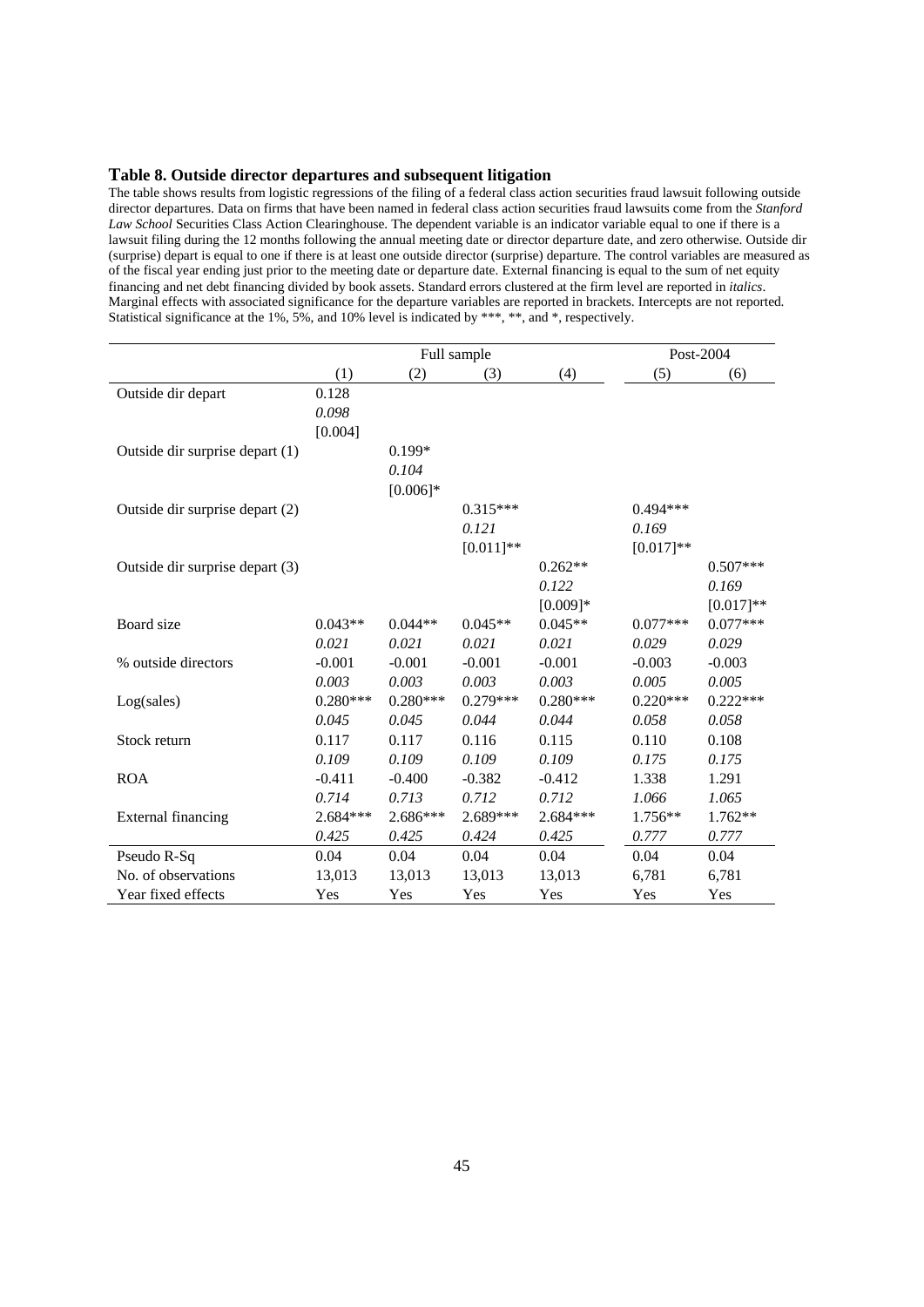# **Table 8. Outside director departures and subsequent litigation**

The table shows results from logistic regressions of the filing of a federal class action securities fraud lawsuit following outside director departures. Data on firms that have been named in federal class action securities fraud lawsuits come from the *Stanford Law School Securities Class Action Clearinghouse. The dependent variable is an indicator variable equal to one if there is a* lawsuit filing during the 12 months following the annual meeting date or director departure date, and zero otherwise. Outside dir (surprise) depart is equal to one if there is at least one outside director (surprise) departure. The control variables are measured as of the fiscal year ending just prior to the meeting date or departure date. External financing is equal to the sum of net equity financing and net debt financing divided by book assets. Standard errors clustered at the firm level are reported in *italics*. Marginal effects with associated significance for the departure variables are reported in brackets. Intercepts are not reported. Statistical significance at the 1%, 5%, and 10% level is indicated by \*\*\*, \*\*, and \*, respectively.

|                                 |            |            | Full sample  |            | Post-2004   |             |
|---------------------------------|------------|------------|--------------|------------|-------------|-------------|
|                                 | (1)        | (2)        | (3)          | (4)        | (5)         | (6)         |
| Outside dir depart              | 0.128      |            |              |            |             |             |
|                                 | 0.098      |            |              |            |             |             |
|                                 | [0.004]    |            |              |            |             |             |
| Outside dir surprise depart (1) |            | $0.199*$   |              |            |             |             |
|                                 |            | 0.104      |              |            |             |             |
|                                 |            | $[0.006]*$ |              |            |             |             |
| Outside dir surprise depart (2) |            |            | $0.315***$   |            | $0.494***$  |             |
|                                 |            |            | 0.121        |            | 0.169       |             |
|                                 |            |            | $[0.011]$ ** |            | $[0.017]**$ |             |
| Outside dir surprise depart (3) |            |            |              | $0.262**$  |             | $0.507***$  |
|                                 |            |            |              | 0.122      |             | 0.169       |
|                                 |            |            |              | $[0.009]*$ |             | $[0.017]**$ |
| Board size                      | $0.043**$  | $0.044**$  | $0.045**$    | $0.045**$  | $0.077***$  | $0.077***$  |
|                                 | 0.021      | 0.021      | 0.021        | 0.021      | 0.029       | 0.029       |
| % outside directors             | $-0.001$   | $-0.001$   | $-0.001$     | $-0.001$   | $-0.003$    | $-0.003$    |
|                                 | 0.003      | 0.003      | 0.003        | 0.003      | 0.005       | 0.005       |
| Log(sales)                      | $0.280***$ | $0.280***$ | $0.279***$   | $0.280***$ | $0.220***$  | $0.222***$  |
|                                 | 0.045      | 0.045      | 0.044        | 0.044      | 0.058       | 0.058       |
| Stock return                    | 0.117      | 0.117      | 0.116        | 0.115      | 0.110       | 0.108       |
|                                 | 0.109      | 0.109      | 0.109        | 0.109      | 0.175       | 0.175       |
| <b>ROA</b>                      | $-0.411$   | $-0.400$   | $-0.382$     | $-0.412$   | 1.338       | 1.291       |
|                                 | 0.714      | 0.713      | 0.712        | 0.712      | 1.066       | 1.065       |
| <b>External financing</b>       | 2.684***   | 2.686***   | 2.689***     | 2.684***   | $1.756**$   | 1.762**     |
|                                 | 0.425      | 0.425      | 0.424        | 0.425      | 0.777       | 0.777       |
| Pseudo R-Sq                     | 0.04       | 0.04       | 0.04         | 0.04       | 0.04        | 0.04        |
| No. of observations             | 13,013     | 13,013     | 13,013       | 13,013     | 6,781       | 6,781       |
| Year fixed effects              | Yes        | Yes        | Yes          | Yes        | Yes         | Yes         |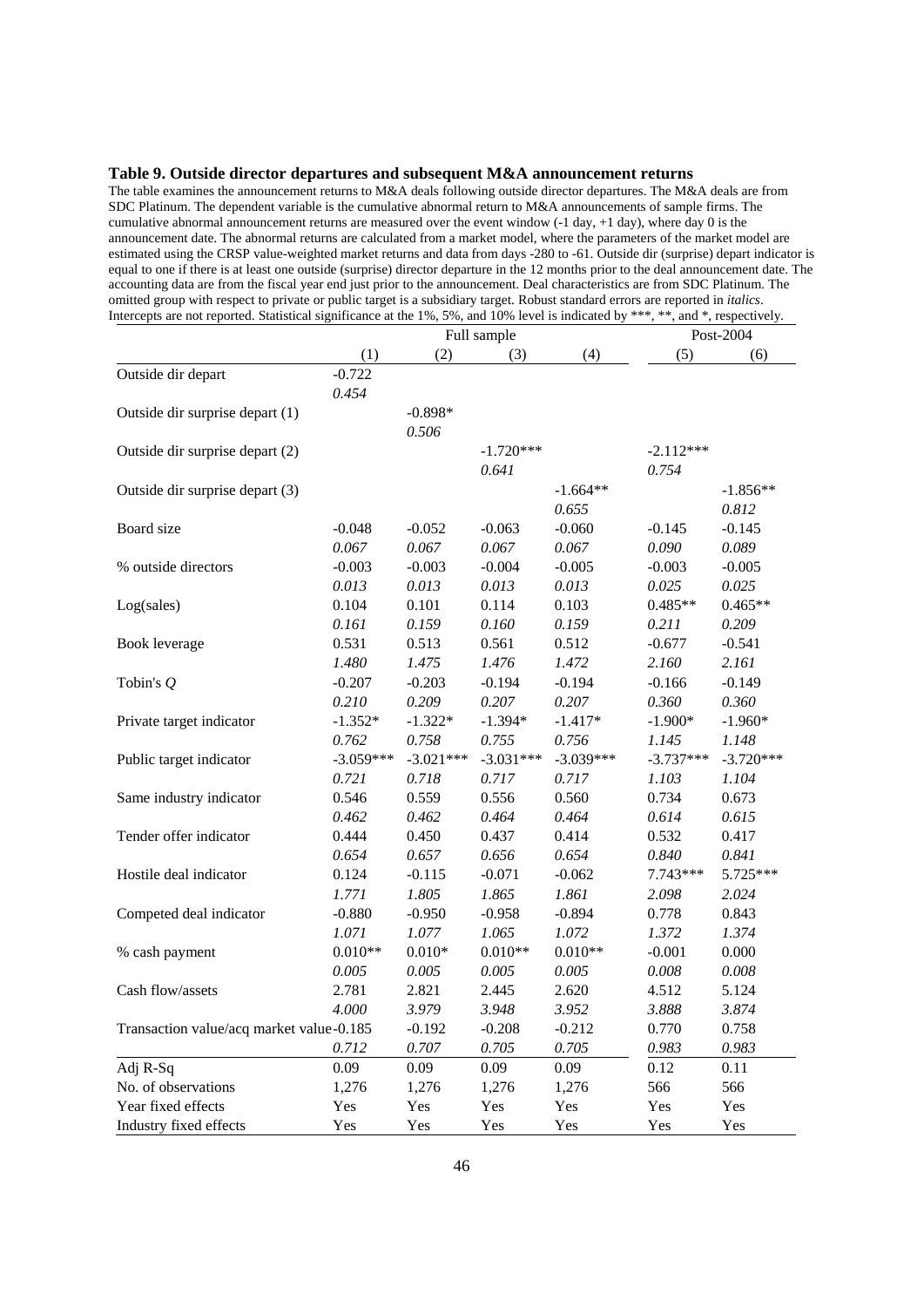#### **Table 9. Outside director departures and subsequent M&A announcement returns**

The table examines the announcement returns to M&A deals following outside director departures. The M&A deals are from SDC Platinum. The dependent variable is the cumulative abnormal return to M&A announcements of sample firms. The cumulative abnormal announcement returns are measured over the event window (-1 day, +1 day), where day 0 is the announcement date. The abnormal returns are calculated from a market model, where the parameters of the market model are estimated using the CRSP value-weighted market returns and data from days -280 to -61. Outside dir (surprise) depart indicator is equal to one if there is at least one outside (surprise) director departure in the 12 months prior to the deal announcement date. The accounting data are from the fiscal year end just prior to the announcement. Deal characteristics are from SDC Platinum. The omitted group with respect to private or public target is a subsidiary target. Robust standard errors are reported in *italics*. Intercepts are not reported. Statistical significance at the 1%, 5%, and 10% level is indicated by \*\*\*, \*\*, and \*, respectively.

|                                          |             | Full sample |             |             | Post-2004   |             |
|------------------------------------------|-------------|-------------|-------------|-------------|-------------|-------------|
|                                          | (1)         | (2)         | (3)         | (4)         | (5)         | (6)         |
| Outside dir depart                       | $-0.722$    |             |             |             |             |             |
|                                          | 0.454       |             |             |             |             |             |
| Outside dir surprise depart (1)          |             | $-0.898*$   |             |             |             |             |
|                                          |             | 0.506       |             |             |             |             |
| Outside dir surprise depart (2)          |             |             | $-1.720***$ |             | $-2.112***$ |             |
|                                          |             |             | 0.641       |             | 0.754       |             |
| Outside dir surprise depart (3)          |             |             |             | $-1.664**$  |             | $-1.856**$  |
|                                          |             |             |             | 0.655       |             | 0.812       |
| Board size                               | $-0.048$    | $-0.052$    | $-0.063$    | $-0.060$    | $-0.145$    | $-0.145$    |
|                                          | 0.067       | 0.067       | 0.067       | 0.067       | 0.090       | 0.089       |
| % outside directors                      | $-0.003$    | $-0.003$    | $-0.004$    | $-0.005$    | $-0.003$    | $-0.005$    |
|                                          | 0.013       | 0.013       | 0.013       | 0.013       | 0.025       | 0.025       |
| Log(sales)                               | 0.104       | 0.101       | 0.114       | 0.103       | $0.485**$   | $0.465**$   |
|                                          | 0.161       | 0.159       | 0.160       | 0.159       | 0.211       | 0.209       |
| Book leverage                            | 0.531       | 0.513       | 0.561       | 0.512       | $-0.677$    | $-0.541$    |
|                                          | 1.480       | 1.475       | 1.476       | 1.472       | 2.160       | 2.161       |
| Tobin's $Q$                              | $-0.207$    | $-0.203$    | $-0.194$    | $-0.194$    | $-0.166$    | $-0.149$    |
|                                          | 0.210       | 0.209       | 0.207       | 0.207       | 0.360       | 0.360       |
| Private target indicator                 | $-1.352*$   | $-1.322*$   | $-1.394*$   | $-1.417*$   | $-1.900*$   | $-1.960*$   |
|                                          | 0.762       | 0.758       | 0.755       | 0.756       | 1.145       | 1.148       |
| Public target indicator                  | $-3.059***$ | $-3.021***$ | $-3.031***$ | $-3.039***$ | $-3.737***$ | $-3.720***$ |
|                                          | 0.721       | 0.718       | 0.717       | 0.717       | 1.103       | 1.104       |
| Same industry indicator                  | 0.546       | 0.559       | 0.556       | 0.560       | 0.734       | 0.673       |
|                                          | 0.462       | 0.462       | 0.464       | 0.464       | 0.614       | 0.615       |
| Tender offer indicator                   | 0.444       | 0.450       | 0.437       | 0.414       | 0.532       | 0.417       |
|                                          | 0.654       | 0.657       | 0.656       | 0.654       | 0.840       | 0.841       |
| Hostile deal indicator                   | 0.124       | $-0.115$    | $-0.071$    | $-0.062$    | $7.743***$  | 5.725***    |
|                                          | 1.771       | 1.805       | 1.865       | 1.861       | 2.098       | 2.024       |
| Competed deal indicator                  | $-0.880$    | $-0.950$    | $-0.958$    | $-0.894$    | 0.778       | 0.843       |
|                                          | 1.071       | 1.077       | 1.065       | 1.072       | 1.372       | 1.374       |
| % cash payment                           | $0.010**$   | $0.010*$    | $0.010**$   | $0.010**$   | $-0.001$    | 0.000       |
|                                          | 0.005       | 0.005       | 0.005       | 0.005       | 0.008       | 0.008       |
| Cash flow/assets                         | 2.781       | 2.821       | 2.445       | 2.620       | 4.512       | 5.124       |
|                                          | 4.000       | 3.979       | 3.948       | 3.952       | 3.888       | 3.874       |
| Transaction value/acq market value-0.185 |             | $-0.192$    | $-0.208$    | $-0.212$    | 0.770       | 0.758       |
|                                          | 0.712       | 0.707       | 0.705       | 0.705       | 0.983       | 0.983       |
| Adj R-Sq                                 | 0.09        | 0.09        | 0.09        | 0.09        | 0.12        | 0.11        |
| No. of observations                      | 1,276       | 1,276       | 1,276       | 1,276       | 566         | 566         |
| Year fixed effects                       | Yes         | Yes         | Yes         | Yes         | Yes         | Yes         |
| Industry fixed effects                   | Yes         | Yes         | Yes         | Yes         | Yes         | Yes         |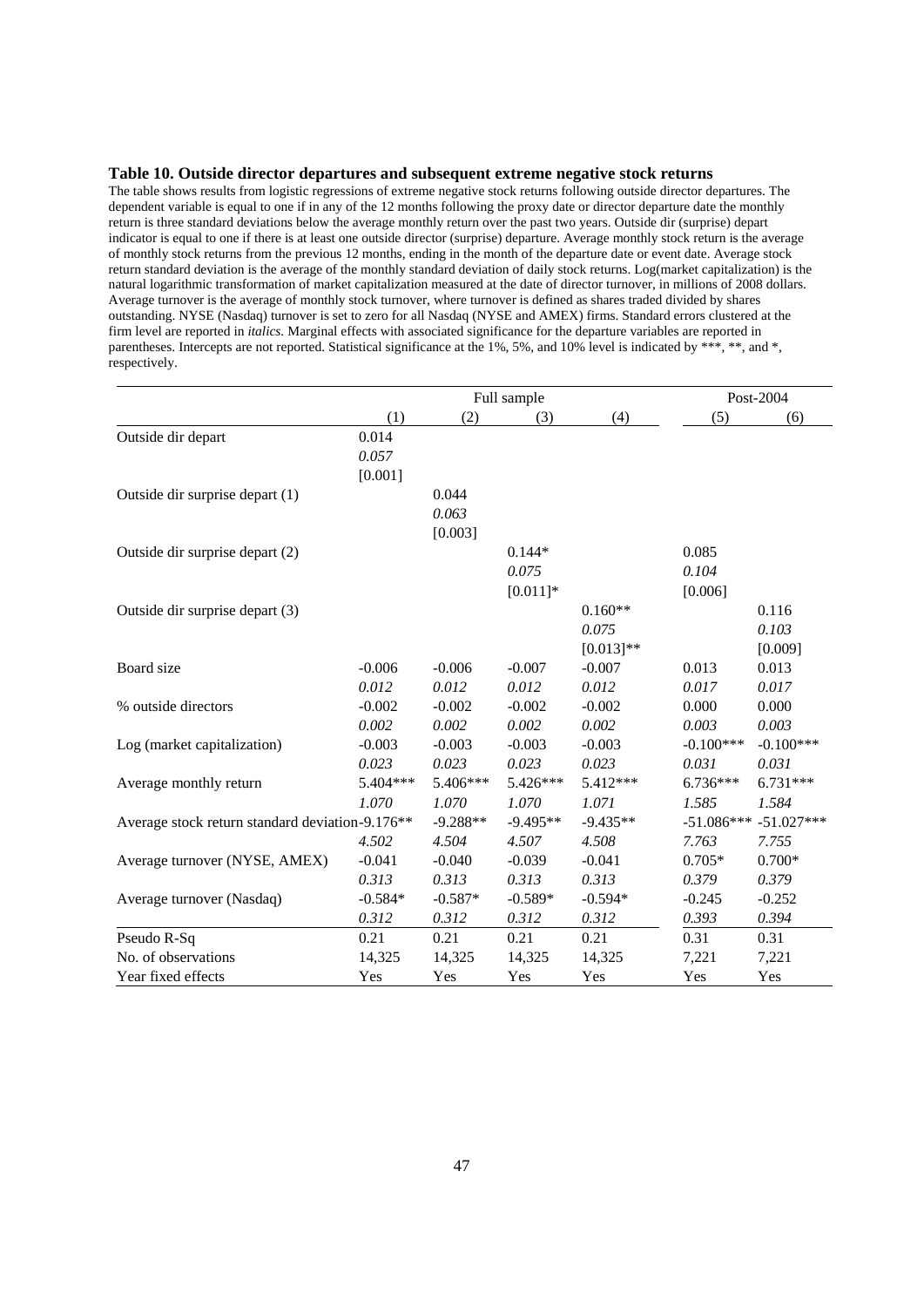#### **Table 10. Outside director departures and subsequent extreme negative stock returns**

The table shows results from logistic regressions of extreme negative stock returns following outside director departures. The dependent variable is equal to one if in any of the 12 months following the proxy date or director departure date the monthly return is three standard deviations below the average monthly return over the past two years. Outside dir (surprise) depart indicator is equal to one if there is at least one outside director (surprise) departure. Average monthly stock return is the average of monthly stock returns from the previous 12 months, ending in the month of the departure date or event date. Average stock return standard deviation is the average of the monthly standard deviation of daily stock returns. Log(market capitalization) is the natural logarithmic transformation of market capitalization measured at the date of director turnover, in millions of 2008 dollars. Average turnover is the average of monthly stock turnover, where turnover is defined as shares traded divided by shares outstanding. NYSE (Nasdaq) turnover is set to zero for all Nasdaq (NYSE and AMEX) firms. Standard errors clustered at the firm level are reported in *italics.* Marginal effects with associated significance for the departure variables are reported in parentheses. Intercepts are not reported. Statistical significance at the 1%, 5%, and 10% level is indicated by \*\*\*, \*\*, and \*, respectively.

|                                                 |           | Full sample |            |             |              | Post-2004    |  |
|-------------------------------------------------|-----------|-------------|------------|-------------|--------------|--------------|--|
|                                                 | (1)       | (2)         | (3)        | (4)         | (5)          | (6)          |  |
| Outside dir depart                              | 0.014     |             |            |             |              |              |  |
|                                                 | 0.057     |             |            |             |              |              |  |
|                                                 | [0.001]   |             |            |             |              |              |  |
| Outside dir surprise depart (1)                 |           | 0.044       |            |             |              |              |  |
|                                                 |           | 0.063       |            |             |              |              |  |
|                                                 |           | [0.003]     |            |             |              |              |  |
| Outside dir surprise depart (2)                 |           |             | $0.144*$   |             | 0.085        |              |  |
|                                                 |           |             | 0.075      |             | 0.104        |              |  |
|                                                 |           |             | $[0.011]*$ |             | [0.006]      |              |  |
| Outside dir surprise depart (3)                 |           |             |            | $0.160**$   |              | 0.116        |  |
|                                                 |           |             |            | 0.075       |              | 0.103        |  |
|                                                 |           |             |            | $[0.013]**$ |              | [0.009]      |  |
| Board size                                      | $-0.006$  | $-0.006$    | $-0.007$   | $-0.007$    | 0.013        | 0.013        |  |
|                                                 | 0.012     | 0.012       | 0.012      | 0.012       | 0.017        | 0.017        |  |
| % outside directors                             | $-0.002$  | $-0.002$    | $-0.002$   | $-0.002$    | 0.000        | 0.000        |  |
|                                                 | 0.002     | 0.002       | 0.002      | 0.002       | 0.003        | 0.003        |  |
| Log (market capitalization)                     | $-0.003$  | $-0.003$    | $-0.003$   | $-0.003$    | $-0.100***$  | $-0.100***$  |  |
|                                                 | 0.023     | 0.023       | 0.023      | 0.023       | 0.031        | 0.031        |  |
| Average monthly return                          | 5.404***  | 5.406***    | 5.426***   | 5.412***    | $6.736***$   | $6.731***$   |  |
|                                                 | 1.070     | 1.070       | 1.070      | 1.071       | 1.585        | 1.584        |  |
| Average stock return standard deviation-9.176** |           | $-9.288**$  | $-9.495**$ | $-9.435**$  | $-51.086***$ | $-51.027***$ |  |
|                                                 | 4.502     | 4.504       | 4.507      | 4.508       | 7.763        | 7.755        |  |
| Average turnover (NYSE, AMEX)                   | $-0.041$  | $-0.040$    | $-0.039$   | $-0.041$    | $0.705*$     | $0.700*$     |  |
|                                                 | 0.313     | 0.313       | 0.313      | 0.313       | 0.379        | 0.379        |  |
| Average turnover (Nasdaq)                       | $-0.584*$ | $-0.587*$   | $-0.589*$  | $-0.594*$   | $-0.245$     | $-0.252$     |  |
|                                                 | 0.312     | 0.312       | 0.312      | 0.312       | 0.393        | 0.394        |  |
| Pseudo R-Sq                                     | 0.21      | 0.21        | 0.21       | 0.21        | 0.31         | 0.31         |  |
| No. of observations                             | 14,325    | 14,325      | 14,325     | 14,325      | 7,221        | 7,221        |  |
| Year fixed effects                              | Yes       | Yes         | Yes        | Yes         | Yes          | Yes          |  |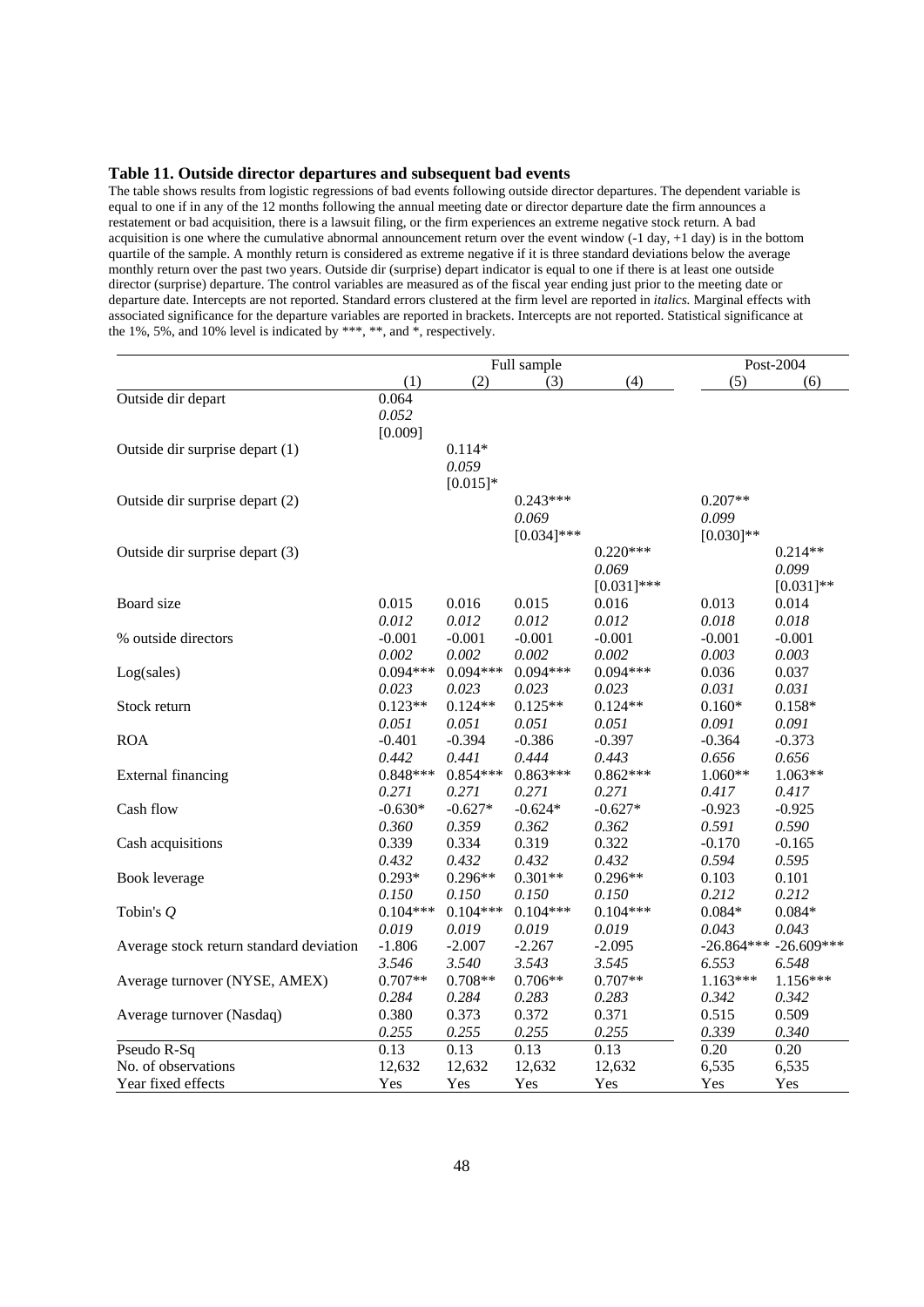#### **Table 11. Outside director departures and subsequent bad events**

The table shows results from logistic regressions of bad events following outside director departures. The dependent variable is equal to one if in any of the 12 months following the annual meeting date or director departure date the firm announces a restatement or bad acquisition, there is a lawsuit filing, or the firm experiences an extreme negative stock return. A bad acquisition is one where the cumulative abnormal announcement return over the event window  $(-1 \text{ day}, +1 \text{ day})$  is in the bottom quartile of the sample. A monthly return is considered as extreme negative if it is three standard deviations below the average monthly return over the past two years. Outside dir (surprise) depart indicator is equal to one if there is at least one outside director (surprise) departure. The control variables are measured as of the fiscal year ending just prior to the meeting date or departure date. Intercepts are not reported. Standard errors clustered at the firm level are reported in *italics.* Marginal effects with associated significance for the departure variables are reported in brackets. Intercepts are not reported. Statistical significance at the 1%, 5%, and 10% level is indicated by \*\*\*, \*\*, and  $*$ , respectively.

|                                         |            |            | Full sample   |               | Post-2004    |              |
|-----------------------------------------|------------|------------|---------------|---------------|--------------|--------------|
|                                         | (1)        | (2)        | (3)           | (4)           | (5)          | (6)          |
| Outside dir depart                      | 0.064      |            |               |               |              |              |
|                                         | 0.052      |            |               |               |              |              |
|                                         | [0.009]    |            |               |               |              |              |
| Outside dir surprise depart (1)         |            | $0.114*$   |               |               |              |              |
|                                         |            | 0.059      |               |               |              |              |
|                                         |            | $[0.015]*$ |               |               |              |              |
| Outside dir surprise depart (2)         |            |            | $0.243***$    |               | $0.207**$    |              |
|                                         |            |            | 0.069         |               | 0.099        |              |
|                                         |            |            | $[0.034]$ *** |               | $[0.030]$ ** |              |
| Outside dir surprise depart (3)         |            |            |               | $0.220***$    |              | $0.214**$    |
|                                         |            |            |               | 0.069         |              | 0.099        |
|                                         |            |            |               | $[0.031]$ *** |              | $[0.031]$ ** |
| Board size                              | 0.015      | 0.016      | 0.015         | 0.016         | 0.013        | 0.014        |
|                                         | 0.012      | 0.012      | 0.012         | 0.012         | 0.018        | 0.018        |
| % outside directors                     | $-0.001$   | $-0.001$   | $-0.001$      | $-0.001$      | $-0.001$     | $-0.001$     |
|                                         | 0.002      | 0.002      | 0.002         | 0.002         | 0.003        | 0.003        |
| Log(sales)                              | $0.094***$ | $0.094***$ | $0.094***$    | $0.094***$    | 0.036        | 0.037        |
|                                         | 0.023      | 0.023      | 0.023         | 0.023         | 0.031        | 0.031        |
| Stock return                            | $0.123**$  | $0.124**$  | $0.125**$     | $0.124**$     | $0.160*$     | $0.158*$     |
|                                         | 0.051      | 0.051      | 0.051         | 0.051         | 0.091        | 0.091        |
| <b>ROA</b>                              | $-0.401$   | $-0.394$   | $-0.386$      | $-0.397$      | $-0.364$     | $-0.373$     |
|                                         | 0.442      | 0.441      | 0.444         | 0.443         | 0.656        | 0.656        |
| <b>External financing</b>               | $0.848***$ | $0.854***$ | $0.863***$    | $0.862***$    | $1.060**$    | $1.063**$    |
|                                         | 0.271      | 0.271      | 0.271         | 0.271         | 0.417        | 0.417        |
| Cash flow                               | $-0.630*$  | $-0.627*$  | $-0.624*$     | $-0.627*$     | $-0.923$     | $-0.925$     |
|                                         | 0.360      | 0.359      | 0.362         | 0.362         | 0.591        | 0.590        |
| Cash acquisitions                       | 0.339      | 0.334      | 0.319         | 0.322         | $-0.170$     | $-0.165$     |
|                                         | 0.432      | 0.432      | 0.432         | 0.432         | 0.594        | 0.595        |
| Book leverage                           | $0.293*$   | $0.296**$  | $0.301**$     | $0.296**$     | 0.103        | 0.101        |
|                                         | 0.150      | 0.150      | 0.150         | 0.150         | 0.212        | 0.212        |
| Tobin's $Q$                             | $0.104***$ | $0.104***$ | $0.104***$    | $0.104***$    | $0.084*$     | $0.084*$     |
|                                         | 0.019      | 0.019      | 0.019         | 0.019         | 0.043        | 0.043        |
| Average stock return standard deviation | $-1.806$   | $-2.007$   | $-2.267$      | $-2.095$      | $-26.864***$ | $-26.609***$ |
|                                         | 3.546      | 3.540      | 3.543         | 3.545         | 6.553        | 6.548        |
| Average turnover (NYSE, AMEX)           | $0.707**$  | $0.708**$  | $0.706**$     | $0.707**$     | $1.163***$   | $1.156***$   |
|                                         | 0.284      | 0.284      | 0.283         | 0.283         | 0.342        | 0.342        |
| Average turnover (Nasdaq)               | 0.380      | 0.373      | 0.372         | 0.371         | 0.515        | 0.509        |
|                                         | 0.255      | 0.255      | 0.255         | 0.255         | 0.339        | 0.340        |
| Pseudo R-Sq                             | 0.13       | 0.13       | 0.13          | 0.13          | 0.20         | 0.20         |
| No. of observations                     | 12,632     | 12,632     | 12,632        | 12,632        | 6,535        | 6,535        |
| Year fixed effects                      | Yes        | Yes        | Yes           | Yes           | Yes          | Yes          |